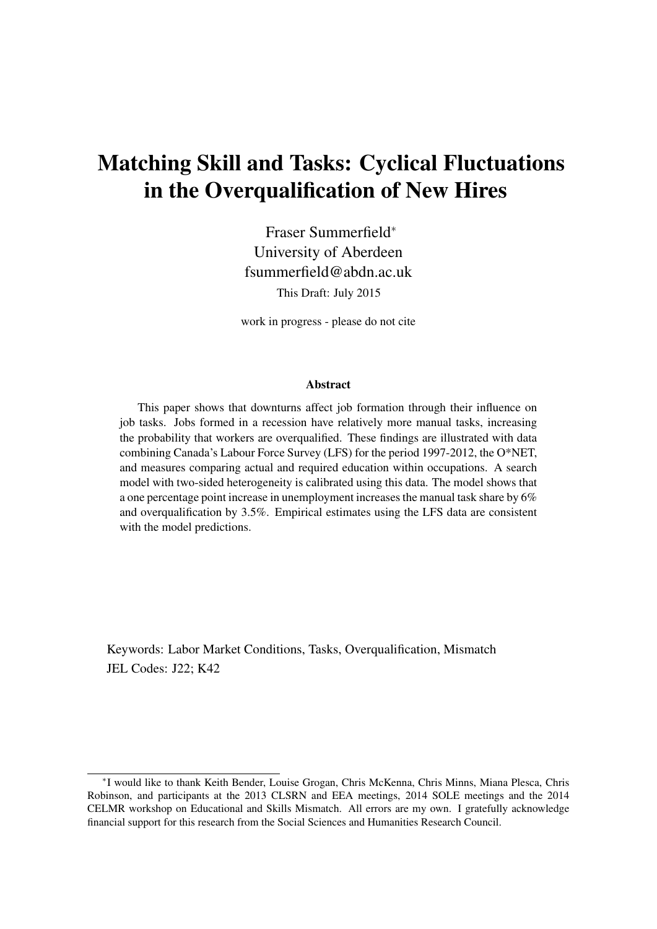# Matching Skill and Tasks: Cyclical Fluctuations in the Overqualification of New Hires

Fraser Summerfield<sup>∗</sup> University of Aberdeen fsummerfield@abdn.ac.uk This Draft: July 2015

work in progress - please do not cite

#### Abstract

This paper shows that downturns affect job formation through their influence on job tasks. Jobs formed in a recession have relatively more manual tasks, increasing the probability that workers are overqualified. These findings are illustrated with data combining Canada's Labour Force Survey (LFS) for the period 1997-2012, the O\*NET, and measures comparing actual and required education within occupations. A search model with two-sided heterogeneity is calibrated using this data. The model shows that a one percentage point increase in unemployment increases the manual task share by 6% and overqualification by 3.5%. Empirical estimates using the LFS data are consistent with the model predictions.

Keywords: Labor Market Conditions, Tasks, Overqualification, Mismatch JEL Codes: J22; K42

<sup>∗</sup> I would like to thank Keith Bender, Louise Grogan, Chris McKenna, Chris Minns, Miana Plesca, Chris Robinson, and participants at the 2013 CLSRN and EEA meetings, 2014 SOLE meetings and the 2014 CELMR workshop on Educational and Skills Mismatch. All errors are my own. I gratefully acknowledge financial support for this research from the Social Sciences and Humanities Research Council.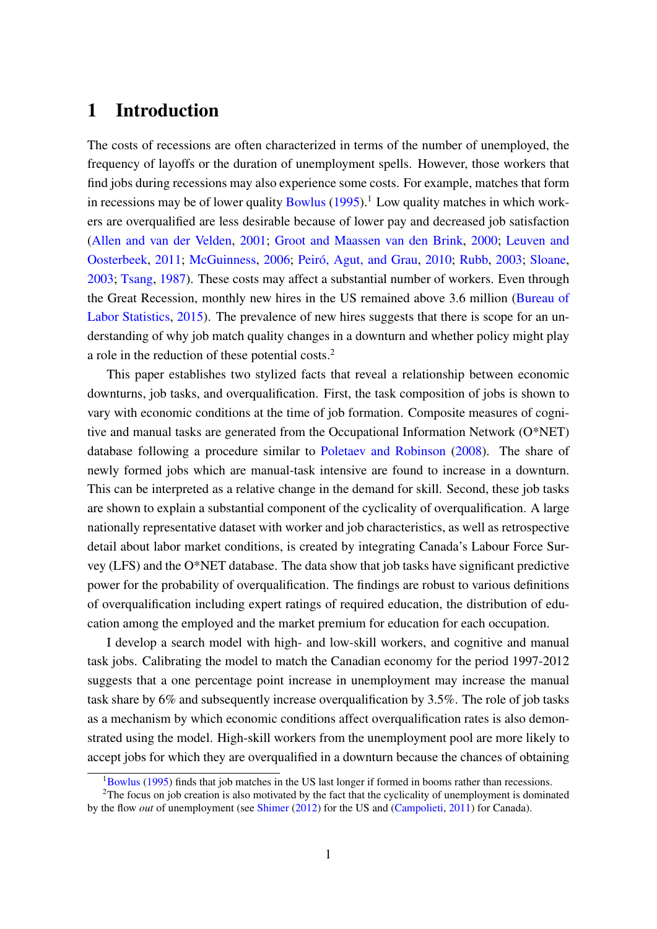## 1 Introduction

The costs of recessions are often characterized in terms of the number of unemployed, the frequency of layoffs or the duration of unemployment spells. However, those workers that find jobs during recessions may also experience some costs. For example, matches that form in recessions may be of lower quality [Bowlus](#page-27-0)  $(1995)$ .<sup>[1](#page-1-0)</sup> Low quality matches in which workers are overqualified are less desirable because of lower pay and decreased job satisfaction [\(Allen and van der Velden,](#page-26-0) [2001;](#page-26-0) [Groot and Maassen van den Brink,](#page-28-0) [2000;](#page-28-0) [Leuven and](#page-28-1) [Oosterbeek,](#page-28-1) [2011;](#page-28-1) [McGuinness,](#page-29-0) [2006;](#page-29-0) Peiró, Agut, and Grau, [2010;](#page-29-1) [Rubb,](#page-29-2) [2003;](#page-29-2) [Sloane,](#page-30-0) [2003;](#page-30-0) [Tsang,](#page-30-1) [1987\)](#page-30-1). These costs may affect a substantial number of workers. Even through the Great Recession, monthly new hires in the US remained above 3.6 million [\(Bureau of](#page-27-1) [Labor Statistics,](#page-27-1) [2015\)](#page-27-1). The prevalence of new hires suggests that there is scope for an understanding of why job match quality changes in a downturn and whether policy might play a role in the reduction of these potential costs.[2](#page-1-1)

This paper establishes two stylized facts that reveal a relationship between economic downturns, job tasks, and overqualification. First, the task composition of jobs is shown to vary with economic conditions at the time of job formation. Composite measures of cognitive and manual tasks are generated from the Occupational Information Network (O\*NET) database following a procedure similar to [Poletaev and Robinson](#page-29-3) [\(2008\)](#page-29-3). The share of newly formed jobs which are manual-task intensive are found to increase in a downturn. This can be interpreted as a relative change in the demand for skill. Second, these job tasks are shown to explain a substantial component of the cyclicality of overqualification. A large nationally representative dataset with worker and job characteristics, as well as retrospective detail about labor market conditions, is created by integrating Canada's Labour Force Survey (LFS) and the O\*NET database. The data show that job tasks have significant predictive power for the probability of overqualification. The findings are robust to various definitions of overqualification including expert ratings of required education, the distribution of education among the employed and the market premium for education for each occupation.

I develop a search model with high- and low-skill workers, and cognitive and manual task jobs. Calibrating the model to match the Canadian economy for the period 1997-2012 suggests that a one percentage point increase in unemployment may increase the manual task share by 6% and subsequently increase overqualification by 3.5%. The role of job tasks as a mechanism by which economic conditions affect overqualification rates is also demonstrated using the model. High-skill workers from the unemployment pool are more likely to accept jobs for which they are overqualified in a downturn because the chances of obtaining

<span id="page-1-1"></span><span id="page-1-0"></span> $1_{\text{Bowlus}}$  $1_{\text{Bowlus}}$  $1_{\text{Bowlus}}$  [\(1995\)](#page-27-0) finds that job matches in the US last longer if formed in booms rather than recessions.

 $2$ The focus on job creation is also motivated by the fact that the cyclicality of unemployment is dominated by the flow *out* of unemployment (see [Shimer](#page-29-4) [\(2012\)](#page-29-4) for the US and [\(Campolieti,](#page-27-2) [2011\)](#page-27-2) for Canada).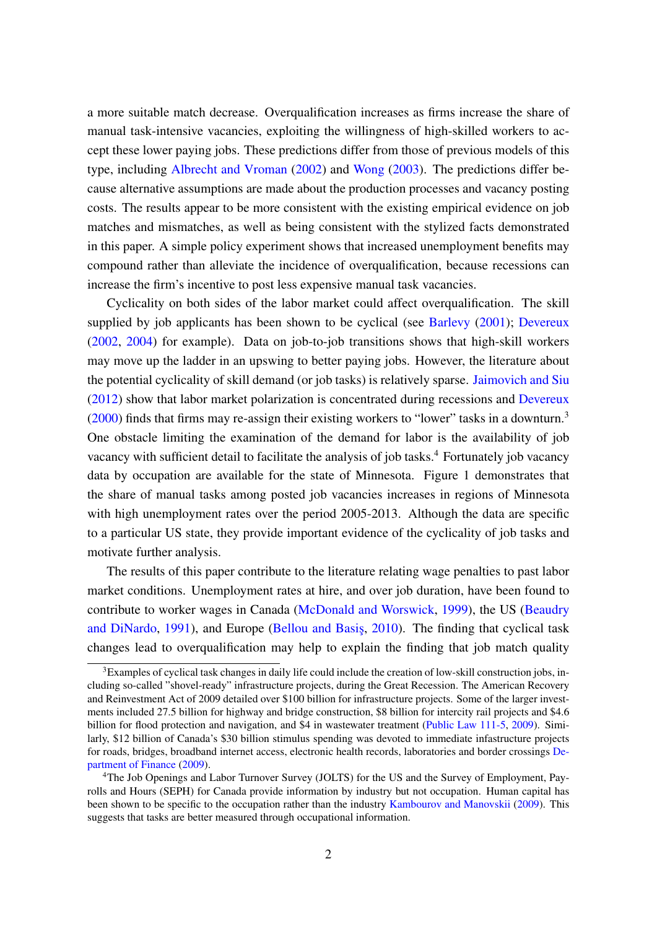a more suitable match decrease. Overqualification increases as firms increase the share of manual task-intensive vacancies, exploiting the willingness of high-skilled workers to accept these lower paying jobs. These predictions differ from those of previous models of this type, including [Albrecht and Vroman](#page-26-1) [\(2002\)](#page-26-1) and [Wong](#page-30-2) [\(2003\)](#page-30-2). The predictions differ because alternative assumptions are made about the production processes and vacancy posting costs. The results appear to be more consistent with the existing empirical evidence on job matches and mismatches, as well as being consistent with the stylized facts demonstrated in this paper. A simple policy experiment shows that increased unemployment benefits may compound rather than alleviate the incidence of overqualification, because recessions can increase the firm's incentive to post less expensive manual task vacancies.

Cyclicality on both sides of the labor market could affect overqualification. The skill supplied by job applicants has been shown to be cyclical (see [Barlevy](#page-26-2) [\(2001\)](#page-26-2); [Devereux](#page-27-3) [\(2002,](#page-27-3) [2004\)](#page-27-4) for example). Data on job-to-job transitions shows that high-skill workers may move up the ladder in an upswing to better paying jobs. However, the literature about the potential cyclicality of skill demand (or job tasks) is relatively sparse. [Jaimovich and Siu](#page-28-2) [\(2012\)](#page-28-2) show that labor market polarization is concentrated during recessions and [Devereux](#page-27-5)  $(2000)$  finds that firms may re-assign their existing workers to "lower" tasks in a downturn.<sup>[3](#page-2-0)</sup> One obstacle limiting the examination of the demand for labor is the availability of job vacancy with sufficient detail to facilitate the analysis of job tasks.<sup>[4](#page-2-1)</sup> Fortunately job vacancy data by occupation are available for the state of Minnesota. Figure [1](#page-3-0) demonstrates that the share of manual tasks among posted job vacancies increases in regions of Minnesota with high unemployment rates over the period 2005-2013. Although the data are specific to a particular US state, they provide important evidence of the cyclicality of job tasks and motivate further analysis.

The results of this paper contribute to the literature relating wage penalties to past labor market conditions. Unemployment rates at hire, and over job duration, have been found to contribute to worker wages in Canada [\(McDonald and Worswick,](#page-28-3) [1999\)](#page-28-3), the US [\(Beaudry](#page-27-6) [and DiNardo,](#page-27-6) [1991\)](#page-27-6), and Europe [\(Bellou and Basis¸,](#page-27-7) [2010\)](#page-27-7). The finding that cyclical task changes lead to overqualification may help to explain the finding that job match quality

<span id="page-2-0"></span><sup>&</sup>lt;sup>3</sup>Examples of cyclical task changes in daily life could include the creation of low-skill construction jobs, including so-called "shovel-ready" infrastructure projects, during the Great Recession. The American Recovery and Reinvestment Act of 2009 detailed over \$100 billion for infrastructure projects. Some of the larger investments included 27.5 billion for highway and bridge construction, \$8 billion for intercity rail projects and \$4.6 billion for flood protection and navigation, and \$4 in wastewater treatment [\(Public Law 111-5,](#page-29-5) [2009\)](#page-29-5). Similarly, \$12 billion of Canada's \$30 billion stimulus spending was devoted to immediate infastructure projects for roads, bridges, broadband internet access, electronic health records, laboratories and border crossings [De](#page-27-8)[partment of Finance](#page-27-8) [\(2009\)](#page-27-8).

<span id="page-2-1"></span><sup>&</sup>lt;sup>4</sup>The Job Openings and Labor Turnover Survey (JOLTS) for the US and the Survey of Employment, Payrolls and Hours (SEPH) for Canada provide information by industry but not occupation. Human capital has been shown to be specific to the occupation rather than the industry [Kambourov and Manovskii](#page-28-4) [\(2009\)](#page-28-4). This suggests that tasks are better measured through occupational information.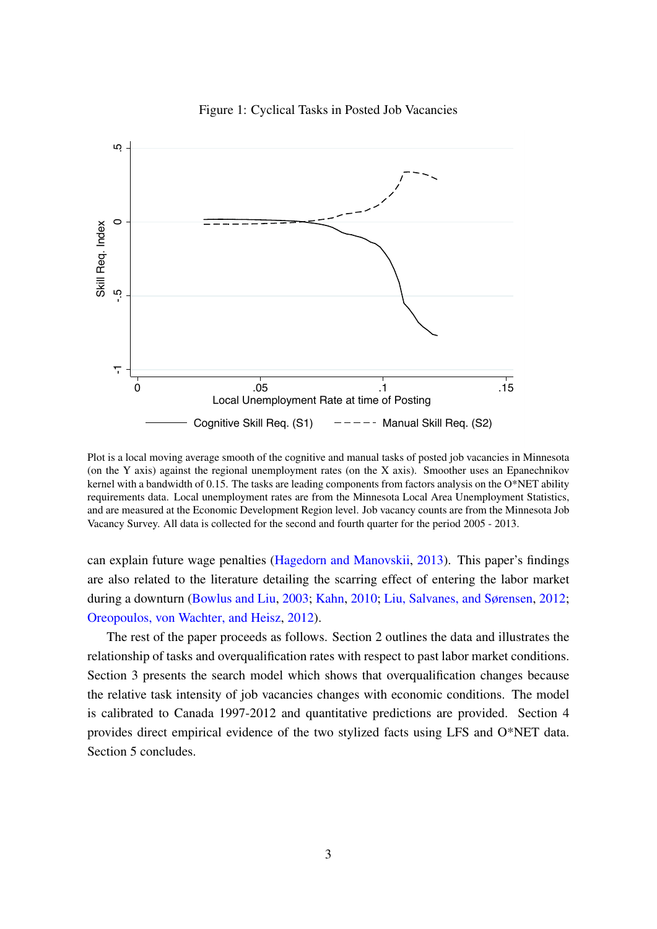<span id="page-3-0"></span>

Figure 1: Cyclical Tasks in Posted Job Vacancies

Plot is a local moving average smooth of the cognitive and manual tasks of posted job vacancies in Minnesota (on the Y axis) against the regional unemployment rates (on the X axis). Smoother uses an Epanechnikov kernel with a bandwidth of 0.15. The tasks are leading components from factors analysis on the O\*NET ability requirements data. Local unemployment rates are from the Minnesota Local Area Unemployment Statistics, and are measured at the Economic Development Region level. Job vacancy counts are from the Minnesota Job Vacancy Survey. All data is collected for the second and fourth quarter for the period 2005 - 2013.

can explain future wage penalties [\(Hagedorn and Manovskii,](#page-28-5) [2013\)](#page-28-5). This paper's findings are also related to the literature detailing the scarring effect of entering the labor market during a downturn [\(Bowlus and Liu,](#page-27-9) [2003;](#page-27-9) [Kahn,](#page-28-6) [2010;](#page-28-6) [Liu, Salvanes, and Sørensen,](#page-28-7) [2012;](#page-28-7) [Oreopoulos, von Wachter, and Heisz,](#page-29-6) [2012\)](#page-29-6).

The rest of the paper proceeds as follows. Section [2](#page-4-0) outlines the data and illustrates the relationship of tasks and overqualification rates with respect to past labor market conditions. Section [3](#page-8-0) presents the search model which shows that overqualification changes because the relative task intensity of job vacancies changes with economic conditions. The model is calibrated to Canada 1997-2012 and quantitative predictions are provided. Section [4](#page-17-0) provides direct empirical evidence of the two stylized facts using LFS and O\*NET data. Section [5](#page-22-0) concludes.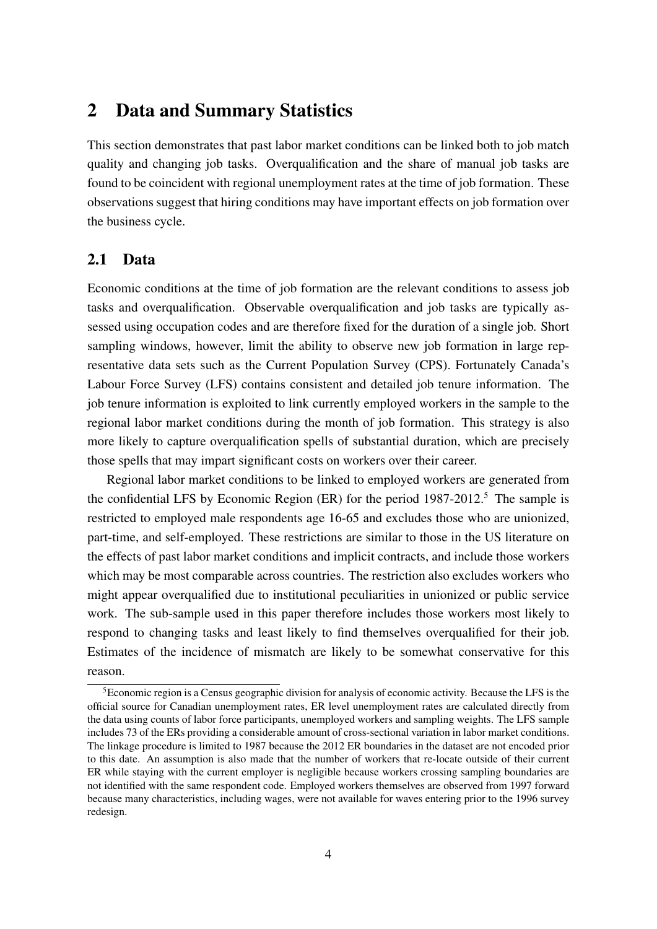## <span id="page-4-0"></span>2 Data and Summary Statistics

This section demonstrates that past labor market conditions can be linked both to job match quality and changing job tasks. Overqualification and the share of manual job tasks are found to be coincident with regional unemployment rates at the time of job formation. These observations suggest that hiring conditions may have important effects on job formation over the business cycle.

### 2.1 Data

Economic conditions at the time of job formation are the relevant conditions to assess job tasks and overqualification. Observable overqualification and job tasks are typically assessed using occupation codes and are therefore fixed for the duration of a single job. Short sampling windows, however, limit the ability to observe new job formation in large representative data sets such as the Current Population Survey (CPS). Fortunately Canada's Labour Force Survey (LFS) contains consistent and detailed job tenure information. The job tenure information is exploited to link currently employed workers in the sample to the regional labor market conditions during the month of job formation. This strategy is also more likely to capture overqualification spells of substantial duration, which are precisely those spells that may impart significant costs on workers over their career.

Regional labor market conditions to be linked to employed workers are generated from the confidential LFS by Economic Region  $(ER)$  for the period  $1987-2012$ <sup>[5](#page-4-1)</sup>. The sample is restricted to employed male respondents age 16-65 and excludes those who are unionized, part-time, and self-employed. These restrictions are similar to those in the US literature on the effects of past labor market conditions and implicit contracts, and include those workers which may be most comparable across countries. The restriction also excludes workers who might appear overqualified due to institutional peculiarities in unionized or public service work. The sub-sample used in this paper therefore includes those workers most likely to respond to changing tasks and least likely to find themselves overqualified for their job. Estimates of the incidence of mismatch are likely to be somewhat conservative for this reason.

<span id="page-4-1"></span><sup>5</sup>Economic region is a Census geographic division for analysis of economic activity. Because the LFS is the official source for Canadian unemployment rates, ER level unemployment rates are calculated directly from the data using counts of labor force participants, unemployed workers and sampling weights. The LFS sample includes 73 of the ERs providing a considerable amount of cross-sectional variation in labor market conditions. The linkage procedure is limited to 1987 because the 2012 ER boundaries in the dataset are not encoded prior to this date. An assumption is also made that the number of workers that re-locate outside of their current ER while staying with the current employer is negligible because workers crossing sampling boundaries are not identified with the same respondent code. Employed workers themselves are observed from 1997 forward because many characteristics, including wages, were not available for waves entering prior to the 1996 survey redesign.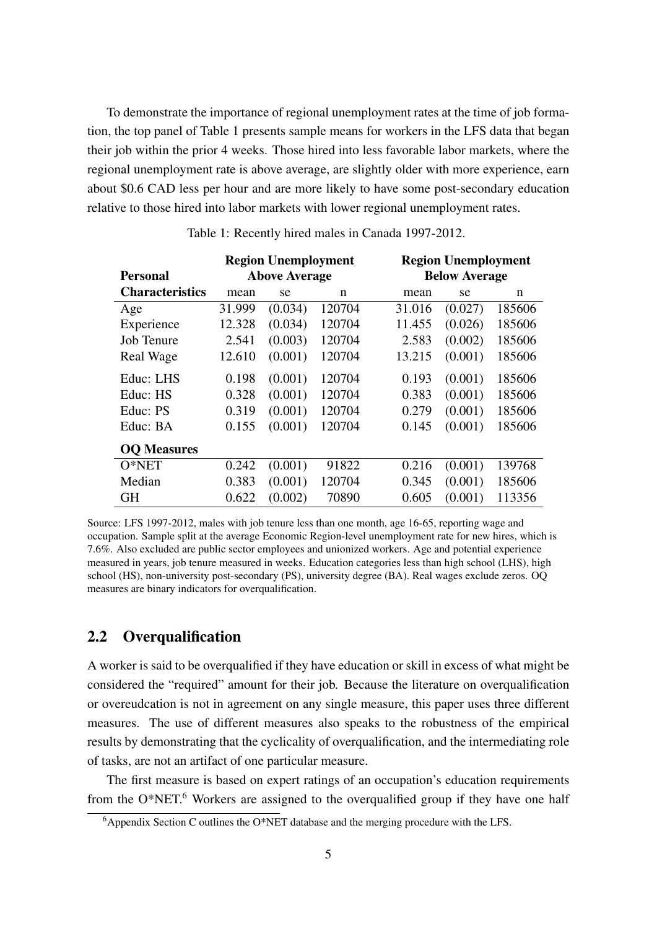To demonstrate the importance of regional unemployment rates at the time of job formation, the top panel of Table [1](#page-5-0) presents sample means for workers in the LFS data that began their job within the prior 4 weeks. Those hired into less favorable labor markets, where the regional unemployment rate is above average, are slightly older with more experience, earn about \$0.6 CAD less per hour and are more likely to have some post-secondary education relative to those hired into labor markets with lower regional unemployment rates.

<span id="page-5-0"></span>

|                        | <b>Region Unemployment</b> |                      |        | <b>Region Unemployment</b> |                      |        |  |  |
|------------------------|----------------------------|----------------------|--------|----------------------------|----------------------|--------|--|--|
| <b>Personal</b>        |                            | <b>Above Average</b> |        |                            | <b>Below Average</b> |        |  |  |
| <b>Characteristics</b> | mean                       | se                   | n      | mean                       | se                   | n      |  |  |
| Age                    | 31.999                     | (0.034)              | 120704 | 31.016                     | (0.027)              | 185606 |  |  |
| Experience             | 12.328                     | (0.034)              | 120704 | 11.455                     | (0.026)              | 185606 |  |  |
| <b>Job Tenure</b>      | 2.541                      | (0.003)              | 120704 | 2.583                      | (0.002)              | 185606 |  |  |
| Real Wage              | 12.610                     | (0.001)              | 120704 | 13.215                     | (0.001)              | 185606 |  |  |
| Educ: LHS              | 0.198                      | (0.001)              | 120704 | 0.193                      | (0.001)              | 185606 |  |  |
| Educ: HS               | 0.328                      | (0.001)              | 120704 | 0.383                      | (0.001)              | 185606 |  |  |
| Educ: PS               | 0.319                      | (0.001)              | 120704 | 0.279                      | (0.001)              | 185606 |  |  |
| Educ: BA               | 0.155                      | (0.001)              | 120704 | 0.145                      | (0.001)              | 185606 |  |  |
| <b>OQ</b> Measures     |                            |                      |        |                            |                      |        |  |  |
| $O*NET$                | 0.242                      | (0.001)              | 91822  | 0.216                      | (0.001)              | 139768 |  |  |
| Median                 | 0.383                      | (0.001)              | 120704 | 0.345                      | (0.001)              | 185606 |  |  |
| <b>GH</b>              | 0.622                      | (0.002)              | 70890  | 0.605                      | (0.001)              | 113356 |  |  |

Table 1: Recently hired males in Canada 1997-2012.

Source: LFS 1997-2012, males with job tenure less than one month, age 16-65, reporting wage and occupation. Sample split at the average Economic Region-level unemployment rate for new hires, which is 7.6%. Also excluded are public sector employees and unionized workers. Age and potential experience measured in years, job tenure measured in weeks. Education categories less than high school (LHS), high school (HS), non-university post-secondary (PS), university degree (BA). Real wages exclude zeros. OQ measures are binary indicators for overqualification.

## 2.2 Overqualification

A worker is said to be overqualified if they have education or skill in excess of what might be considered the "required" amount for their job. Because the literature on overqualification or overeudcation is not in agreement on any single measure, this paper uses three different measures. The use of different measures also speaks to the robustness of the empirical results by demonstrating that the cyclicality of overqualification, and the intermediating role of tasks, are not an artifact of one particular measure.

The first measure is based on expert ratings of an occupation's education requirements from the  $O^*NET$ <sup>[6](#page-5-1)</sup>. Workers are assigned to the overqualified group if they have one half

<span id="page-5-1"></span> $6A$ ppendix Section [C](#page-8-0) outlines the O\*NET database and the merging procedure with the LFS.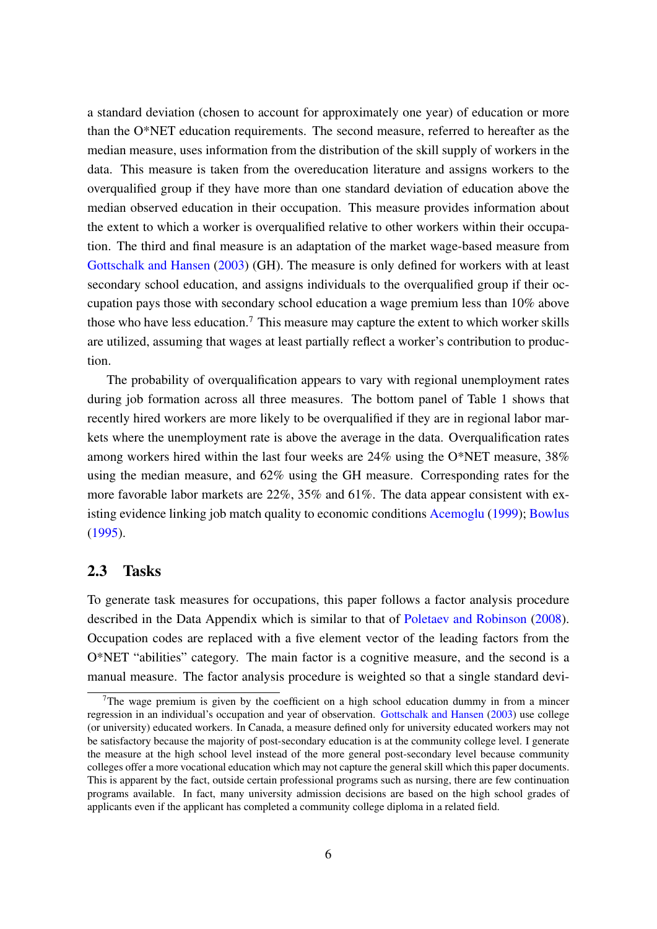a standard deviation (chosen to account for approximately one year) of education or more than the O\*NET education requirements. The second measure, referred to hereafter as the median measure, uses information from the distribution of the skill supply of workers in the data. This measure is taken from the overeducation literature and assigns workers to the overqualified group if they have more than one standard deviation of education above the median observed education in their occupation. This measure provides information about the extent to which a worker is overqualified relative to other workers within their occupation. The third and final measure is an adaptation of the market wage-based measure from [Gottschalk and Hansen](#page-28-8) [\(2003\)](#page-28-8) (GH). The measure is only defined for workers with at least secondary school education, and assigns individuals to the overqualified group if their occupation pays those with secondary school education a wage premium less than 10% above those who have less education.<sup>[7](#page-6-0)</sup> This measure may capture the extent to which worker skills are utilized, assuming that wages at least partially reflect a worker's contribution to production.

The probability of overqualification appears to vary with regional unemployment rates during job formation across all three measures. The bottom panel of Table [1](#page-5-0) shows that recently hired workers are more likely to be overqualified if they are in regional labor markets where the unemployment rate is above the average in the data. Overqualification rates among workers hired within the last four weeks are 24% using the O\*NET measure, 38% using the median measure, and 62% using the GH measure. Corresponding rates for the more favorable labor markets are 22%, 35% and 61%. The data appear consistent with existing evidence linking job match quality to economic conditions [Acemoglu](#page-26-3) [\(1999\)](#page-26-3); [Bowlus](#page-27-0) [\(1995\)](#page-27-0).

#### 2.3 Tasks

To generate task measures for occupations, this paper follows a factor analysis procedure described in the Data Appendix which is similar to that of [Poletaev and Robinson](#page-29-3) [\(2008\)](#page-29-3). Occupation codes are replaced with a five element vector of the leading factors from the O\*NET "abilities" category. The main factor is a cognitive measure, and the second is a manual measure. The factor analysis procedure is weighted so that a single standard devi-

<span id="page-6-0"></span><sup>&</sup>lt;sup>7</sup>The wage premium is given by the coefficient on a high school education dummy in from a mincer regression in an individual's occupation and year of observation. [Gottschalk and Hansen](#page-28-8) [\(2003\)](#page-28-8) use college (or university) educated workers. In Canada, a measure defined only for university educated workers may not be satisfactory because the majority of post-secondary education is at the community college level. I generate the measure at the high school level instead of the more general post-secondary level because community colleges offer a more vocational education which may not capture the general skill which this paper documents. This is apparent by the fact, outside certain professional programs such as nursing, there are few continuation programs available. In fact, many university admission decisions are based on the high school grades of applicants even if the applicant has completed a community college diploma in a related field.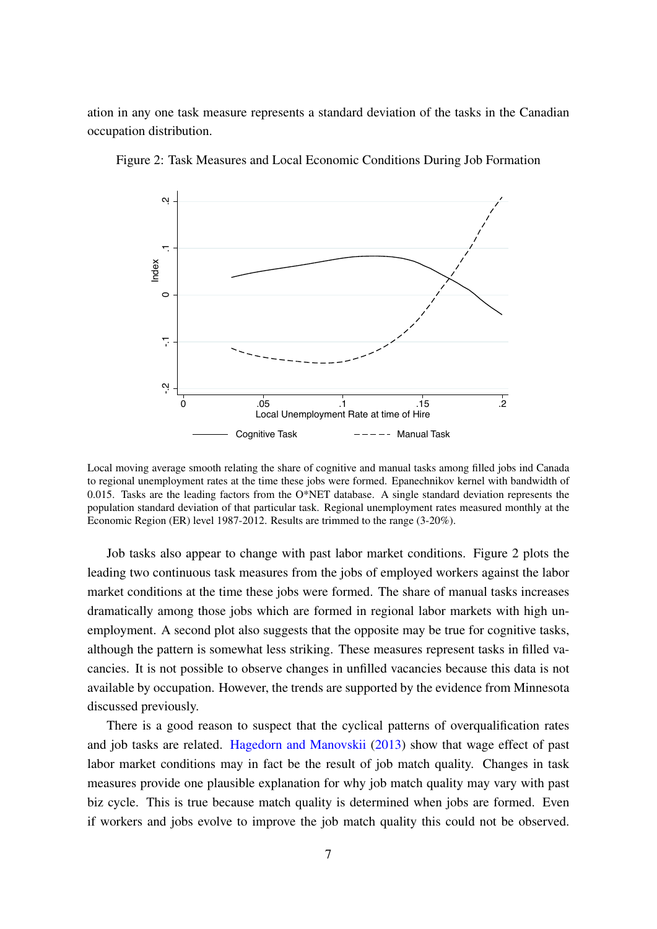ation in any one task measure represents a standard deviation of the tasks in the Canadian occupation distribution.



<span id="page-7-0"></span>Figure 2: Task Measures and Local Economic Conditions During Job Formation

Local moving average smooth relating the share of cognitive and manual tasks among filled jobs ind Canada to regional unemployment rates at the time these jobs were formed. Epanechnikov kernel with bandwidth of 0.015. Tasks are the leading factors from the  $O*NET$  database. A single standard deviation represents the population standard deviation of that particular task. Regional unemployment rates measured monthly at the Economic Region (ER) level 1987-2012. Results are trimmed to the range (3-20%).

Job tasks also appear to change with past labor market conditions. Figure [2](#page-7-0) plots the leading two continuous task measures from the jobs of employed workers against the labor market conditions at the time these jobs were formed. The share of manual tasks increases dramatically among those jobs which are formed in regional labor markets with high unemployment. A second plot also suggests that the opposite may be true for cognitive tasks, although the pattern is somewhat less striking. These measures represent tasks in filled vacancies. It is not possible to observe changes in unfilled vacancies because this data is not available by occupation. However, the trends are supported by the evidence from Minnesota discussed previously.

There is a good reason to suspect that the cyclical patterns of overqualification rates and job tasks are related. [Hagedorn and Manovskii](#page-28-5) [\(2013\)](#page-28-5) show that wage effect of past labor market conditions may in fact be the result of job match quality. Changes in task measures provide one plausible explanation for why job match quality may vary with past biz cycle. This is true because match quality is determined when jobs are formed. Even if workers and jobs evolve to improve the job match quality this could not be observed.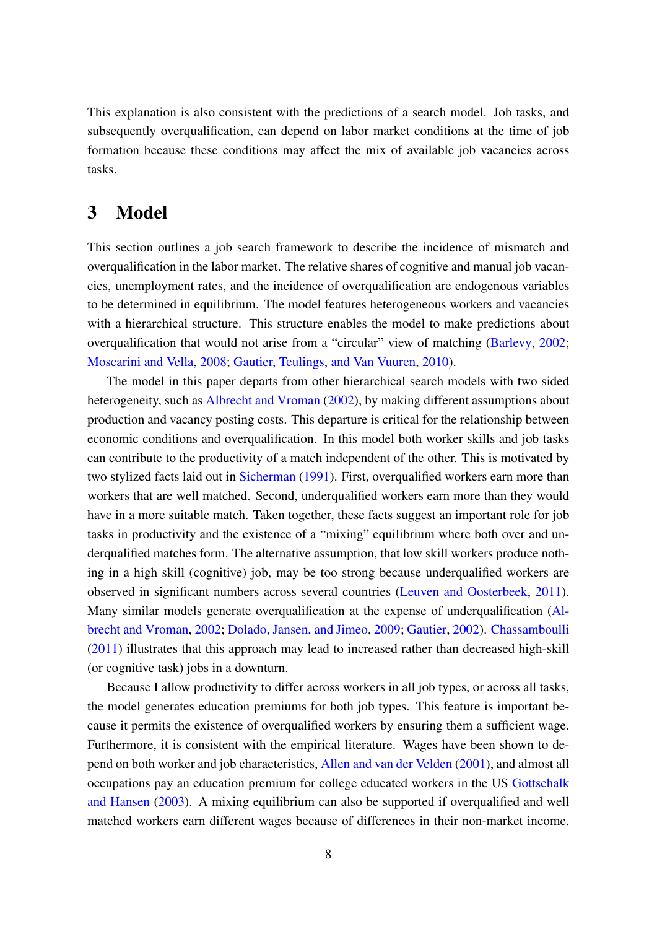This explanation is also consistent with the predictions of a search model. Job tasks, and subsequently overqualification, can depend on labor market conditions at the time of job formation because these conditions may affect the mix of available job vacancies across tasks.

## <span id="page-8-0"></span>3 Model

This section outlines a job search framework to describe the incidence of mismatch and overqualification in the labor market. The relative shares of cognitive and manual job vacancies, unemployment rates, and the incidence of overqualification are endogenous variables to be determined in equilibrium. The model features heterogeneous workers and vacancies with a hierarchical structure. This structure enables the model to make predictions about overqualification that would not arise from a "circular" view of matching [\(Barlevy,](#page-27-10) [2002;](#page-27-10) [Moscarini and Vella,](#page-29-7) [2008;](#page-29-7) [Gautier, Teulings, and Van Vuuren,](#page-28-9) [2010\)](#page-28-9).

The model in this paper departs from other hierarchical search models with two sided heterogeneity, such as [Albrecht and Vroman](#page-26-1) [\(2002\)](#page-26-1), by making different assumptions about production and vacancy posting costs. This departure is critical for the relationship between economic conditions and overqualification. In this model both worker skills and job tasks can contribute to the productivity of a match independent of the other. This is motivated by two stylized facts laid out in [Sicherman](#page-29-8) [\(1991\)](#page-29-8). First, overqualified workers earn more than workers that are well matched. Second, underqualified workers earn more than they would have in a more suitable match. Taken together, these facts suggest an important role for job tasks in productivity and the existence of a "mixing" equilibrium where both over and underqualified matches form. The alternative assumption, that low skill workers produce nothing in a high skill (cognitive) job, may be too strong because underqualified workers are observed in significant numbers across several countries [\(Leuven and Oosterbeek,](#page-28-1) [2011\)](#page-28-1). Many similar models generate overqualification at the expense of underqualification [\(Al](#page-26-1)[brecht and Vroman,](#page-26-1) [2002;](#page-26-1) [Dolado, Jansen, and Jimeo,](#page-27-11) [2009;](#page-27-11) [Gautier,](#page-28-10) [2002\)](#page-28-10). [Chassamboulli](#page-27-12) [\(2011\)](#page-27-12) illustrates that this approach may lead to increased rather than decreased high-skill (or cognitive task) jobs in a downturn.

Because I allow productivity to differ across workers in all job types, or across all tasks, the model generates education premiums for both job types. This feature is important because it permits the existence of overqualified workers by ensuring them a sufficient wage. Furthermore, it is consistent with the empirical literature. Wages have been shown to depend on both worker and job characteristics, [Allen and van der Velden](#page-26-0) [\(2001\)](#page-26-0), and almost all occupations pay an education premium for college educated workers in the US [Gottschalk](#page-28-8) [and Hansen](#page-28-8) [\(2003\)](#page-28-8). A mixing equilibrium can also be supported if overqualified and well matched workers earn different wages because of differences in their non-market income.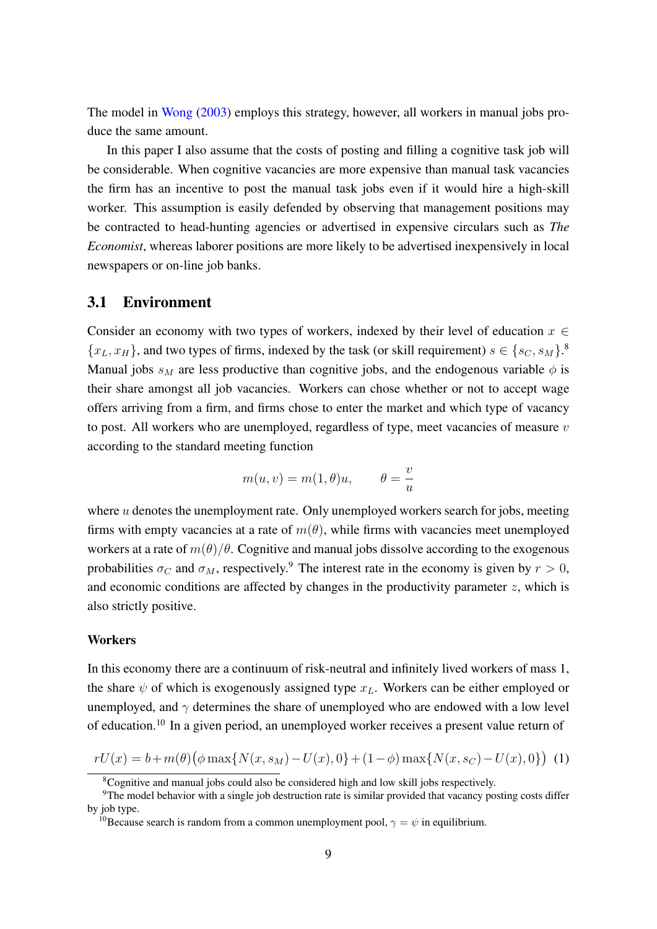The model in [Wong](#page-30-2) [\(2003\)](#page-30-2) employs this strategy, however, all workers in manual jobs produce the same amount.

In this paper I also assume that the costs of posting and filling a cognitive task job will be considerable. When cognitive vacancies are more expensive than manual task vacancies the firm has an incentive to post the manual task jobs even if it would hire a high-skill worker. This assumption is easily defended by observing that management positions may be contracted to head-hunting agencies or advertised in expensive circulars such as *The Economist*, whereas laborer positions are more likely to be advertised inexpensively in local newspapers or on-line job banks.

### 3.1 Environment

Consider an economy with two types of workers, indexed by their level of education  $x \in$  $\{x_L, x_H\}$ , and two types of firms, indexed by the task (or skill requirement)  $s \in \{s_C, s_M\}$ . Manual jobs  $s_M$  are less productive than cognitive jobs, and the endogenous variable  $\phi$  is their share amongst all job vacancies. Workers can chose whether or not to accept wage offers arriving from a firm, and firms chose to enter the market and which type of vacancy to post. All workers who are unemployed, regardless of type, meet vacancies of measure  $v$ according to the standard meeting function

$$
m(u, v) = m(1, \theta)u, \qquad \theta = \frac{v}{u}
$$

where  $u$  denotes the unemployment rate. Only unemployed workers search for jobs, meeting firms with empty vacancies at a rate of  $m(\theta)$ , while firms with vacancies meet unemployed workers at a rate of  $m(\theta)/\theta$ . Cognitive and manual jobs dissolve according to the exogenous probabilities  $\sigma_C$  and  $\sigma_M$ , respectively.<sup>[9](#page-9-1)</sup> The interest rate in the economy is given by  $r > 0$ , and economic conditions are affected by changes in the productivity parameter  $z$ , which is also strictly positive.

#### **Workers**

In this economy there are a continuum of risk-neutral and infinitely lived workers of mass 1, the share  $\psi$  of which is exogenously assigned type  $x_L$ . Workers can be either employed or unemployed, and  $\gamma$  determines the share of unemployed who are endowed with a low level of education.[10](#page-9-2) In a given period, an unemployed worker receives a present value return of

<span id="page-9-3"></span>
$$
rU(x) = b + m(\theta) \left( \phi \max\{N(x, s_M) - U(x), 0\} + (1 - \phi) \max\{N(x, s_C) - U(x), 0\} \right) \tag{1}
$$

<span id="page-9-1"></span><span id="page-9-0"></span><sup>8</sup>Cognitive and manual jobs could also be considered high and low skill jobs respectively.

<sup>&</sup>lt;sup>9</sup>The model behavior with a single job destruction rate is similar provided that vacancy posting costs differ by job type.

<span id="page-9-2"></span><sup>&</sup>lt;sup>10</sup>Because search is random from a common unemployment pool,  $\gamma = \psi$  in equilibrium.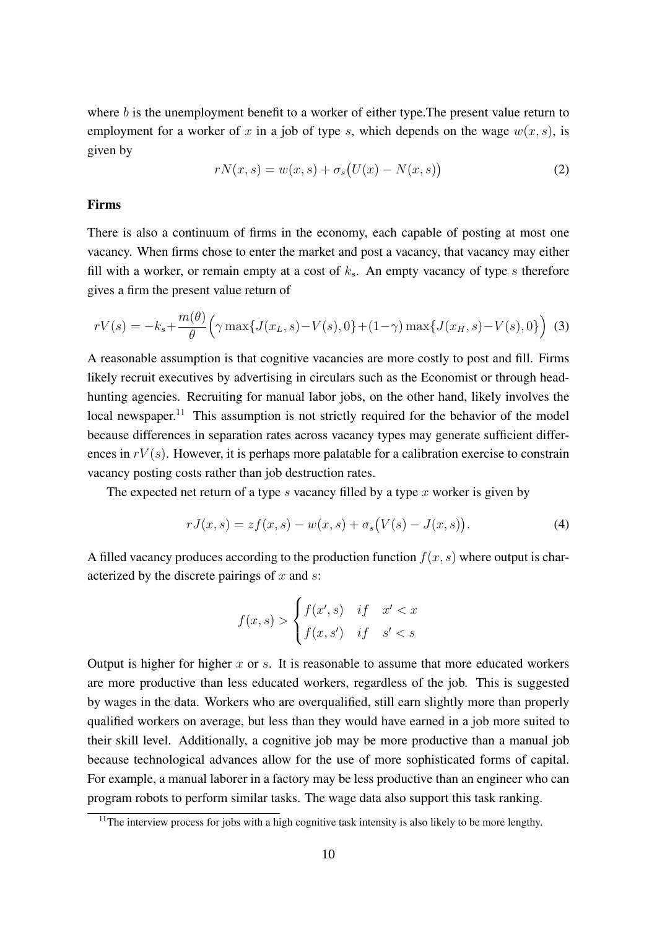where  $b$  is the unemployment benefit to a worker of either type. The present value return to employment for a worker of x in a job of type s, which depends on the wage  $w(x, s)$ , is given by

<span id="page-10-2"></span>
$$
rN(x,s) = w(x,s) + \sigma_s(U(x) - N(x,s))
$$
\n(2)

#### Firms

There is also a continuum of firms in the economy, each capable of posting at most one vacancy. When firms chose to enter the market and post a vacancy, that vacancy may either fill with a worker, or remain empty at a cost of  $k<sub>s</sub>$ . An empty vacancy of type s therefore gives a firm the present value return of

$$
rV(s) = -k_s + \frac{m(\theta)}{\theta} \Big( \gamma \max\{J(x_L, s) - V(s), 0\} + (1 - \gamma) \max\{J(x_H, s) - V(s), 0\} \Big)
$$
 (3)

A reasonable assumption is that cognitive vacancies are more costly to post and fill. Firms likely recruit executives by advertising in circulars such as the Economist or through headhunting agencies. Recruiting for manual labor jobs, on the other hand, likely involves the local newspaper.<sup>[11](#page-10-0)</sup> This assumption is not strictly required for the behavior of the model because differences in separation rates across vacancy types may generate sufficient differences in  $rV(s)$ . However, it is perhaps more palatable for a calibration exercise to constrain vacancy posting costs rather than job destruction rates.

The expected net return of a type s vacancy filled by a type x worker is given by

<span id="page-10-1"></span>
$$
rJ(x,s) = zf(x,s) - w(x,s) + \sigma_s(V(s) - J(x,s)).
$$
\n(4)

A filled vacancy produces according to the production function  $f(x, s)$  where output is characterized by the discrete pairings of  $x$  and  $s$ :

$$
f(x,s) > \begin{cases} f(x',s) & \text{if } x' < x \\ f(x,s') & \text{if } s' < s \end{cases}
$$

Output is higher for higher  $x$  or  $s$ . It is reasonable to assume that more educated workers are more productive than less educated workers, regardless of the job. This is suggested by wages in the data. Workers who are overqualified, still earn slightly more than properly qualified workers on average, but less than they would have earned in a job more suited to their skill level. Additionally, a cognitive job may be more productive than a manual job because technological advances allow for the use of more sophisticated forms of capital. For example, a manual laborer in a factory may be less productive than an engineer who can program robots to perform similar tasks. The wage data also support this task ranking.

<span id="page-10-0"></span> $11$ The interview process for jobs with a high cognitive task intensity is also likely to be more lengthy.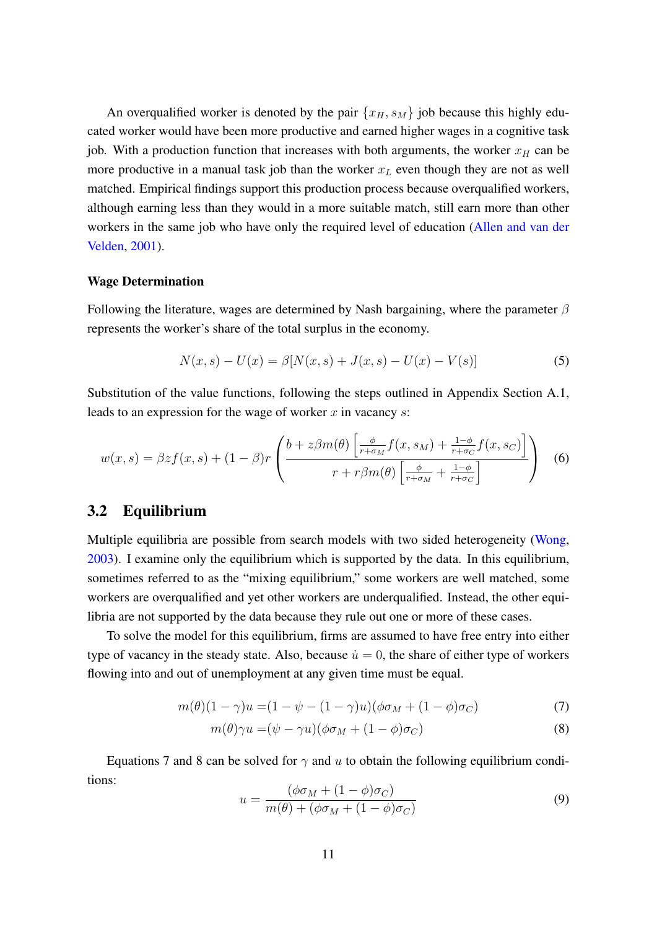An overqualified worker is denoted by the pair  $\{x_H, s_M\}$  job because this highly educated worker would have been more productive and earned higher wages in a cognitive task job. With a production function that increases with both arguments, the worker  $x_H$  can be more productive in a manual task job than the worker  $x_L$  even though they are not as well matched. Empirical findings support this production process because overqualified workers, although earning less than they would in a more suitable match, still earn more than other workers in the same job who have only the required level of education [\(Allen and van der](#page-26-0) [Velden,](#page-26-0) [2001\)](#page-26-0).

#### Wage Determination

Following the literature, wages are determined by Nash bargaining, where the parameter  $\beta$ represents the worker's share of the total surplus in the economy.

<span id="page-11-3"></span>
$$
N(x,s) - U(x) = \beta[N(x,s) + J(x,s) - U(x) - V(s)]
$$
\n(5)

Substitution of the value functions, following the steps outlined in Appendix Section [A.1,](#page-30-3) leads to an expression for the wage of worker  $x$  in vacancy  $s$ :

<span id="page-11-4"></span>
$$
w(x,s) = \beta z f(x,s) + (1-\beta)r \left( \frac{b + z\beta m(\theta) \left[ \frac{\phi}{r+\sigma_M} f(x,s_M) + \frac{1-\phi}{r+\sigma_C} f(x,s_C) \right]}{r + r\beta m(\theta) \left[ \frac{\phi}{r+\sigma_M} + \frac{1-\phi}{r+\sigma_C} \right]} \right)
$$
(6)

#### 3.2 Equilibrium

Multiple equilibria are possible from search models with two sided heterogeneity [\(Wong,](#page-30-2) [2003\)](#page-30-2). I examine only the equilibrium which is supported by the data. In this equilibrium, sometimes referred to as the "mixing equilibrium," some workers are well matched, some workers are overqualified and yet other workers are underqualified. Instead, the other equilibria are not supported by the data because they rule out one or more of these cases.

To solve the model for this equilibrium, firms are assumed to have free entry into either type of vacancy in the steady state. Also, because  $\dot{u} = 0$ , the share of either type of workers flowing into and out of unemployment at any given time must be equal.

$$
m(\theta)(1-\gamma)u = (1-\psi - (1-\gamma)u)(\phi\sigma_M + (1-\phi)\sigma_C)
$$
\n<sup>(7)</sup>

$$
m(\theta)\gamma u = (\psi - \gamma u)(\phi \sigma_M + (1 - \phi)\sigma_C) \tag{8}
$$

Equations [7](#page-11-0) and [8](#page-11-1) can be solved for  $\gamma$  and u to obtain the following equilibrium conditions:

<span id="page-11-2"></span><span id="page-11-1"></span><span id="page-11-0"></span>
$$
u = \frac{(\phi \sigma_M + (1 - \phi)\sigma_C)}{m(\theta) + (\phi \sigma_M + (1 - \phi)\sigma_C)}
$$
(9)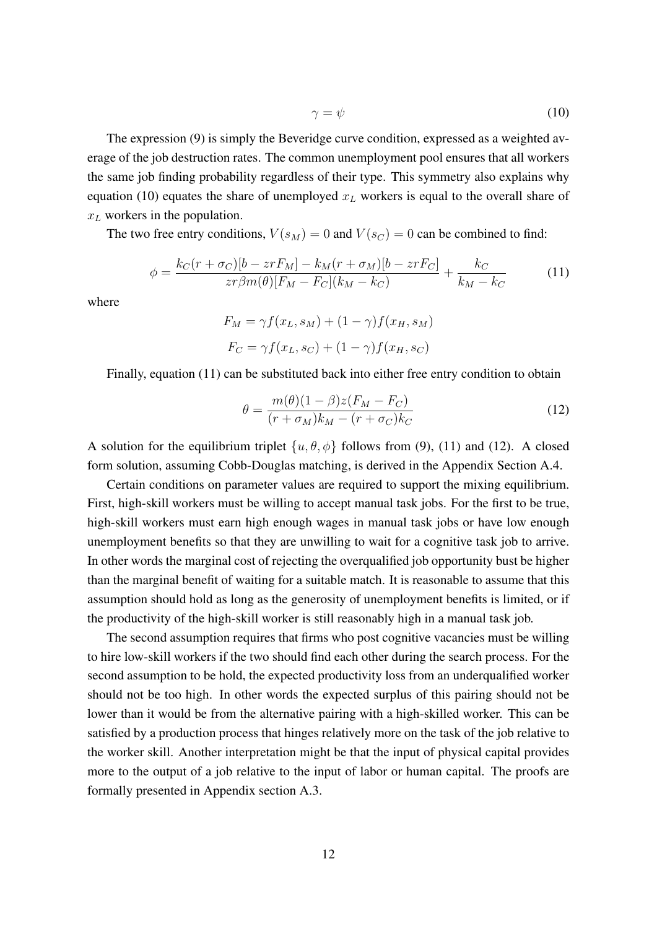<span id="page-12-0"></span>
$$
\gamma = \psi \tag{10}
$$

The expression [\(9\)](#page-11-2) is simply the Beveridge curve condition, expressed as a weighted average of the job destruction rates. The common unemployment pool ensures that all workers the same job finding probability regardless of their type. This symmetry also explains why equation [\(10\)](#page-12-0) equates the share of unemployed  $x<sub>L</sub>$  workers is equal to the overall share of  $x_L$  workers in the population.

The two free entry conditions,  $V(s_M) = 0$  and  $V(s_C) = 0$  can be combined to find:

<span id="page-12-1"></span>
$$
\phi = \frac{k_C(r + \sigma_C)[b - zrF_M] - k_M(r + \sigma_M)[b - zrF_C]}{zr\beta m(\theta)[F_M - F_C](k_M - k_C)} + \frac{k_C}{k_M - k_C}
$$
(11)

where

$$
F_M = \gamma f(x_L, s_M) + (1 - \gamma) f(x_H, s_M)
$$

$$
F_C = \gamma f(x_L, s_C) + (1 - \gamma) f(x_H, s_C)
$$

Finally, equation [\(11\)](#page-12-1) can be substituted back into either free entry condition to obtain

<span id="page-12-2"></span>
$$
\theta = \frac{m(\theta)(1-\beta)z(F_M - F_C)}{(r+\sigma_M)k_M - (r+\sigma_C)k_C}
$$
\n(12)

A solution for the equilibrium triplet  $\{u, \theta, \phi\}$  follows from [\(9\)](#page-11-2), [\(11\)](#page-12-1) and [\(12\)](#page-12-2). A closed form solution, assuming Cobb-Douglas matching, is derived in the Appendix Section [A.4.](#page-34-0)

Certain conditions on parameter values are required to support the mixing equilibrium. First, high-skill workers must be willing to accept manual task jobs. For the first to be true, high-skill workers must earn high enough wages in manual task jobs or have low enough unemployment benefits so that they are unwilling to wait for a cognitive task job to arrive. In other words the marginal cost of rejecting the overqualified job opportunity bust be higher than the marginal benefit of waiting for a suitable match. It is reasonable to assume that this assumption should hold as long as the generosity of unemployment benefits is limited, or if the productivity of the high-skill worker is still reasonably high in a manual task job.

The second assumption requires that firms who post cognitive vacancies must be willing to hire low-skill workers if the two should find each other during the search process. For the second assumption to be hold, the expected productivity loss from an underqualified worker should not be too high. In other words the expected surplus of this pairing should not be lower than it would be from the alternative pairing with a high-skilled worker. This can be satisfied by a production process that hinges relatively more on the task of the job relative to the worker skill. Another interpretation might be that the input of physical capital provides more to the output of a job relative to the input of labor or human capital. The proofs are formally presented in Appendix section [A.3.](#page-33-0)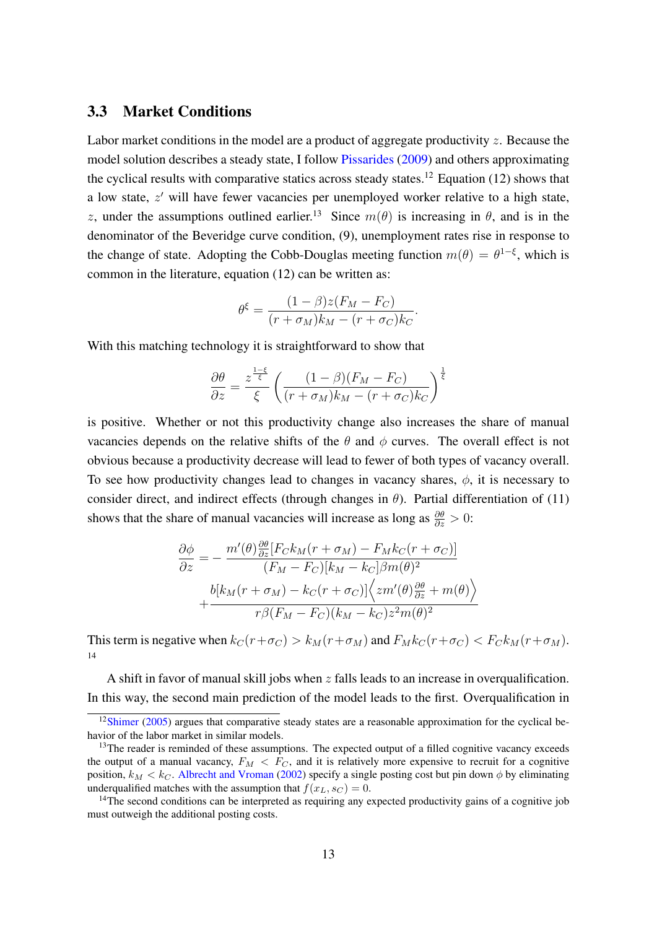### 3.3 Market Conditions

Labor market conditions in the model are a product of aggregate productivity  $\zeta$ . Because the model solution describes a steady state, I follow [Pissarides](#page-29-9) [\(2009\)](#page-29-9) and others approximating the cyclical results with comparative statics across steady states.<sup>[12](#page-13-0)</sup> Equation [\(12\)](#page-12-2) shows that a low state,  $z'$  will have fewer vacancies per unemployed worker relative to a high state, z, under the assumptions outlined earlier.<sup>[13](#page-13-1)</sup> Since  $m(\theta)$  is increasing in  $\theta$ , and is in the denominator of the Beveridge curve condition, [\(9\)](#page-11-2), unemployment rates rise in response to the change of state. Adopting the Cobb-Douglas meeting function  $m(\theta) = \theta^{1-\xi}$ , which is common in the literature, equation [\(12\)](#page-12-2) can be written as:

$$
\theta^{\xi} = \frac{(1-\beta)z(F_M - F_C)}{(r + \sigma_M)k_M - (r + \sigma_C)k_C}
$$

.

With this matching technology it is straightforward to show that

$$
\frac{\partial \theta}{\partial z} = \frac{z^{\frac{1-\xi}{\xi}}}{\xi} \left( \frac{(1-\beta)(F_M - F_C)}{(r + \sigma_M)k_M - (r + \sigma_C)k_C} \right)^{\frac{1}{\xi}}
$$

is positive. Whether or not this productivity change also increases the share of manual vacancies depends on the relative shifts of the  $\theta$  and  $\phi$  curves. The overall effect is not obvious because a productivity decrease will lead to fewer of both types of vacancy overall. To see how productivity changes lead to changes in vacancy shares,  $\phi$ , it is necessary to consider direct, and indirect effects (through changes in  $\theta$ ). Partial differentiation of [\(11\)](#page-12-1) shows that the share of manual vacancies will increase as long as  $\frac{\partial \theta}{\partial z} > 0$ :

$$
\frac{\partial \phi}{\partial z} = -\frac{m'(\theta) \frac{\partial \theta}{\partial z} [F_C k_M (r + \sigma_M) - F_M k_C (r + \sigma_C)]}{(F_M - F_C) [k_M - k_C] \beta m(\theta)^2} + \frac{b[k_M (r + \sigma_M) - k_C (r + \sigma_C)] \Big\langle zm'(\theta) \frac{\partial \theta}{\partial z} + m(\theta) \Big\rangle}{r \beta (F_M - F_C) (k_M - k_C) z^2 m(\theta)^2}
$$

This term is negative when  $k_C(r+\sigma_C) > k_M(r+\sigma_M)$  and  $F_Mk_C(r+\sigma_C) < F_Ck_M(r+\sigma_M)$ . [14](#page-13-2)

A shift in favor of manual skill jobs when z falls leads to an increase in overqualification. In this way, the second main prediction of the model leads to the first. Overqualification in

<span id="page-13-0"></span> $12$ [Shimer](#page-29-10) [\(2005\)](#page-29-10) argues that comparative steady states are a reasonable approximation for the cyclical behavior of the labor market in similar models.

<span id="page-13-1"></span><sup>&</sup>lt;sup>13</sup>The reader is reminded of these assumptions. The expected output of a filled cognitive vacancy exceeds the output of a manual vacancy,  $F_M < F_C$ , and it is relatively more expensive to recruit for a cognitive position,  $k_M < k_C$ . [Albrecht and Vroman](#page-26-1) [\(2002\)](#page-26-1) specify a single posting cost but pin down  $\phi$  by eliminating underqualified matches with the assumption that  $f(x_L, s_C) = 0$ .

<span id="page-13-2"></span><sup>&</sup>lt;sup>14</sup>The second conditions can be interpreted as requiring any expected productivity gains of a cognitive job must outweigh the additional posting costs.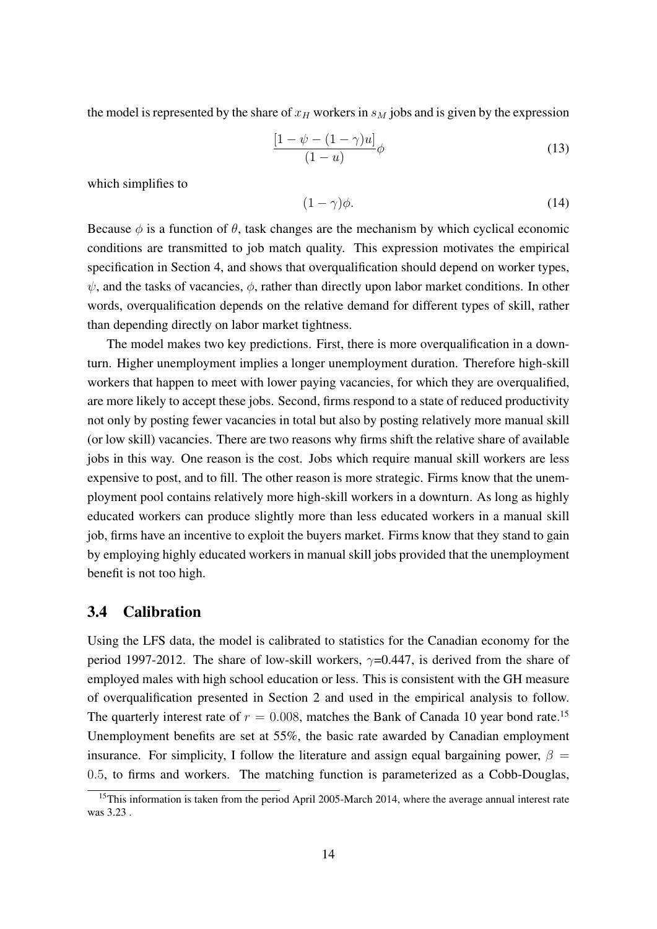the model is represented by the share of  $x_H$  workers in  $s_M$  jobs and is given by the expression

<span id="page-14-1"></span>
$$
\frac{\left[1-\psi-(1-\gamma)u\right]}{(1-u)}\phi\tag{13}
$$

which simplifies to

$$
(1 - \gamma)\phi. \tag{14}
$$

Because  $\phi$  is a function of  $\theta$ , task changes are the mechanism by which cyclical economic conditions are transmitted to job match quality. This expression motivates the empirical specification in Section [4,](#page-17-0) and shows that overqualification should depend on worker types,  $\psi$ , and the tasks of vacancies,  $\phi$ , rather than directly upon labor market conditions. In other words, overqualification depends on the relative demand for different types of skill, rather than depending directly on labor market tightness.

The model makes two key predictions. First, there is more overqualification in a downturn. Higher unemployment implies a longer unemployment duration. Therefore high-skill workers that happen to meet with lower paying vacancies, for which they are overqualified, are more likely to accept these jobs. Second, firms respond to a state of reduced productivity not only by posting fewer vacancies in total but also by posting relatively more manual skill (or low skill) vacancies. There are two reasons why firms shift the relative share of available jobs in this way. One reason is the cost. Jobs which require manual skill workers are less expensive to post, and to fill. The other reason is more strategic. Firms know that the unemployment pool contains relatively more high-skill workers in a downturn. As long as highly educated workers can produce slightly more than less educated workers in a manual skill job, firms have an incentive to exploit the buyers market. Firms know that they stand to gain by employing highly educated workers in manual skill jobs provided that the unemployment benefit is not too high.

### 3.4 Calibration

Using the LFS data, the model is calibrated to statistics for the Canadian economy for the period 1997-2012. The share of low-skill workers,  $\gamma$ =0.447, is derived from the share of employed males with high school education or less. This is consistent with the GH measure of overqualification presented in Section [2](#page-4-0) and used in the empirical analysis to follow. The quarterly interest rate of  $r = 0.008$ , matches the Bank of Canada 10 year bond rate.<sup>[15](#page-14-0)</sup> Unemployment benefits are set at 55%, the basic rate awarded by Canadian employment insurance. For simplicity, I follow the literature and assign equal bargaining power,  $\beta =$ 0.5, to firms and workers. The matching function is parameterized as a Cobb-Douglas,

<span id="page-14-0"></span><sup>&</sup>lt;sup>15</sup>This information is taken from the period April 2005-March 2014, where the average annual interest rate was 3.23 .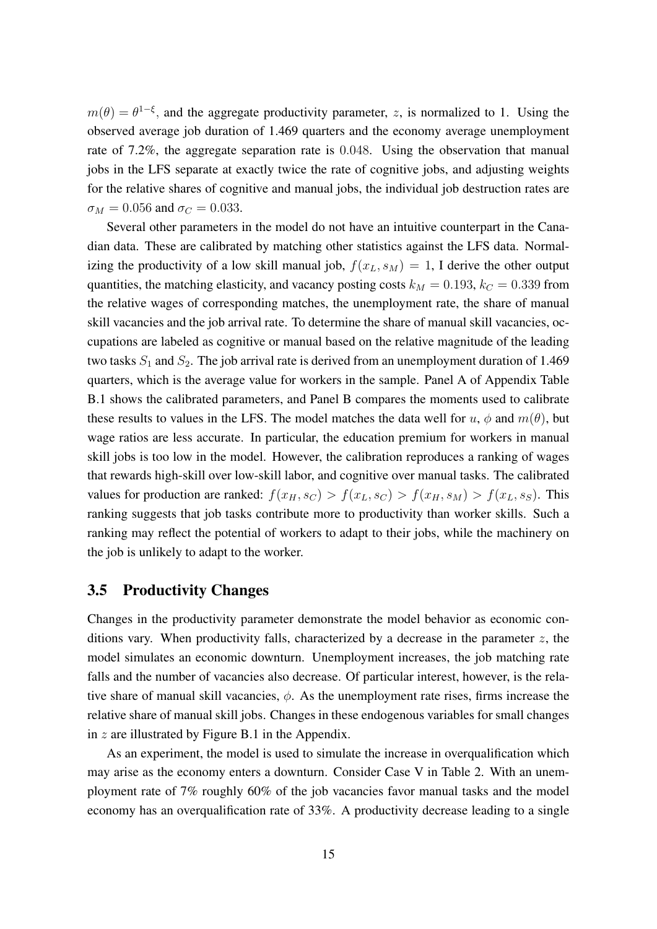$m(\theta) = \theta^{1-\xi}$ , and the aggregate productivity parameter, z, is normalized to 1. Using the observed average job duration of 1.469 quarters and the economy average unemployment rate of 7.2%, the aggregate separation rate is 0.048. Using the observation that manual jobs in the LFS separate at exactly twice the rate of cognitive jobs, and adjusting weights for the relative shares of cognitive and manual jobs, the individual job destruction rates are  $\sigma_M = 0.056$  and  $\sigma_C = 0.033$ .

Several other parameters in the model do not have an intuitive counterpart in the Canadian data. These are calibrated by matching other statistics against the LFS data. Normalizing the productivity of a low skill manual job,  $f(x_L, s_M) = 1$ , I derive the other output quantities, the matching elasticity, and vacancy posting costs  $k_M = 0.193$ ,  $k_C = 0.339$  from the relative wages of corresponding matches, the unemployment rate, the share of manual skill vacancies and the job arrival rate. To determine the share of manual skill vacancies, occupations are labeled as cognitive or manual based on the relative magnitude of the leading two tasks  $S_1$  and  $S_2$ . The job arrival rate is derived from an unemployment duration of 1.469 quarters, which is the average value for workers in the sample. Panel A of Appendix Table [B.1](#page-36-0) shows the calibrated parameters, and Panel B compares the moments used to calibrate these results to values in the LFS. The model matches the data well for  $u, \phi$  and  $m(\theta)$ , but wage ratios are less accurate. In particular, the education premium for workers in manual skill jobs is too low in the model. However, the calibration reproduces a ranking of wages that rewards high-skill over low-skill labor, and cognitive over manual tasks. The calibrated values for production are ranked:  $f(x_H, s_C) > f(x_L, s_C) > f(x_H, s_M) > f(x_L, s_S)$ . This ranking suggests that job tasks contribute more to productivity than worker skills. Such a ranking may reflect the potential of workers to adapt to their jobs, while the machinery on the job is unlikely to adapt to the worker.

#### 3.5 Productivity Changes

Changes in the productivity parameter demonstrate the model behavior as economic conditions vary. When productivity falls, characterized by a decrease in the parameter  $z$ , the model simulates an economic downturn. Unemployment increases, the job matching rate falls and the number of vacancies also decrease. Of particular interest, however, is the relative share of manual skill vacancies,  $\phi$ . As the unemployment rate rises, firms increase the relative share of manual skill jobs. Changes in these endogenous variables for small changes in  $z$  are illustrated by Figure [B.1](#page-35-0) in the Appendix.

As an experiment, the model is used to simulate the increase in overqualification which may arise as the economy enters a downturn. Consider Case V in Table [2.](#page-16-0) With an unemployment rate of 7% roughly 60% of the job vacancies favor manual tasks and the model economy has an overqualification rate of 33%. A productivity decrease leading to a single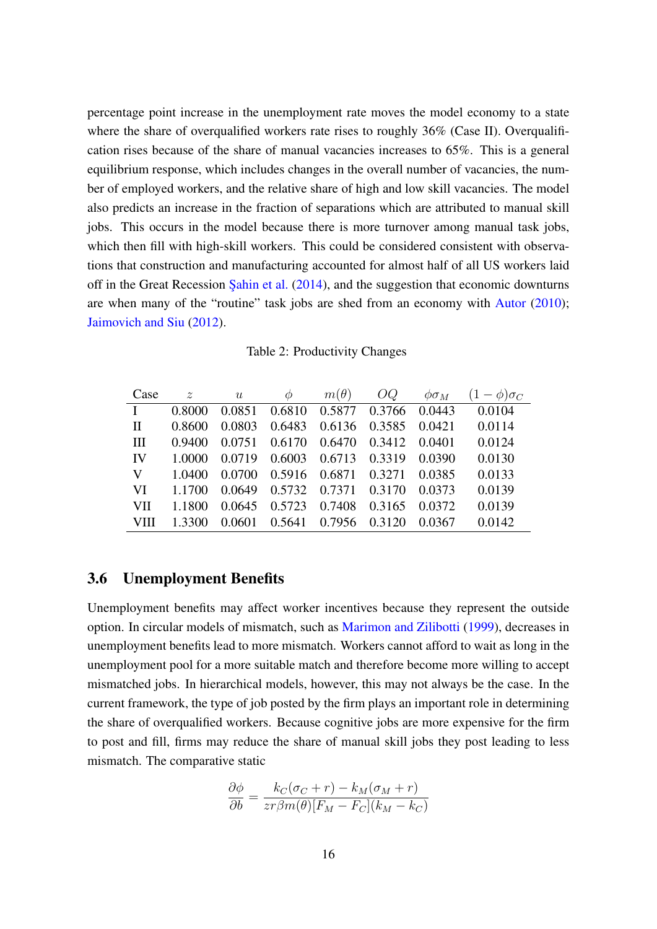percentage point increase in the unemployment rate moves the model economy to a state where the share of overqualified workers rate rises to roughly  $36\%$  (Case II). Overqualification rises because of the share of manual vacancies increases to 65%. This is a general equilibrium response, which includes changes in the overall number of vacancies, the number of employed workers, and the relative share of high and low skill vacancies. The model also predicts an increase in the fraction of separations which are attributed to manual skill jobs. This occurs in the model because there is more turnover among manual task jobs, which then fill with high-skill workers. This could be considered consistent with observations that construction and manufacturing accounted for almost half of all US workers laid off in the Great Recession Sahin et al.  $(2014)$ , and the suggestion that economic downturns are when many of the "routine" task jobs are shed from an economy with [Autor](#page-26-4) [\(2010\)](#page-26-4); [Jaimovich and Siu](#page-28-2) [\(2012\)](#page-28-2).

Table 2: Productivity Changes

<span id="page-16-0"></span>

| Case         |        | z u $\phi$ $m(\theta)$ $OQ$ $\phi \sigma_M$  |  |        | $(1-\phi)\sigma_C$                               |
|--------------|--------|----------------------------------------------|--|--------|--------------------------------------------------|
| $\mathbf{I}$ | 0.8000 | 0.0851 0.6810 0.5877 0.3766 0.0443           |  |        | 0.0104                                           |
| $\mathbf{H}$ |        |                                              |  |        | 0.8600 0.0803 0.6483 0.6136 0.3585 0.0421 0.0114 |
| III          |        | 0.9400 0.0751 0.6170 0.6470 0.3412 0.0401    |  |        | 0.0124                                           |
|              |        | IV 1.0000 0.0719 0.6003 0.6713 0.3319 0.0390 |  |        | 0.0130                                           |
|              |        | V 1.0400 0.0700 0.5916 0.6871 0.3271 0.0385  |  |        | 0.0133                                           |
| VI           |        | 1.1700 0.0649 0.5732 0.7371 0.3170 0.0373    |  |        | 0.0139                                           |
| VII          | 1.1800 | 0.0645 0.5723 0.7408 0.3165 0.0372           |  |        | 0.0139                                           |
| VIII         | 1.3300 | 0.0601 0.5641 0.7956 0.3120                  |  | 0.0367 | 0.0142                                           |

#### 3.6 Unemployment Benefits

Unemployment benefits may affect worker incentives because they represent the outside option. In circular models of mismatch, such as [Marimon and Zilibotti](#page-28-11) [\(1999\)](#page-28-11), decreases in unemployment benefits lead to more mismatch. Workers cannot afford to wait as long in the unemployment pool for a more suitable match and therefore become more willing to accept mismatched jobs. In hierarchical models, however, this may not always be the case. In the current framework, the type of job posted by the firm plays an important role in determining the share of overqualified workers. Because cognitive jobs are more expensive for the firm to post and fill, firms may reduce the share of manual skill jobs they post leading to less mismatch. The comparative static

$$
\frac{\partial \phi}{\partial b} = \frac{k_C(\sigma_C + r) - k_M(\sigma_M + r)}{zr\beta m(\theta)[F_M - F_C](k_M - k_C)}
$$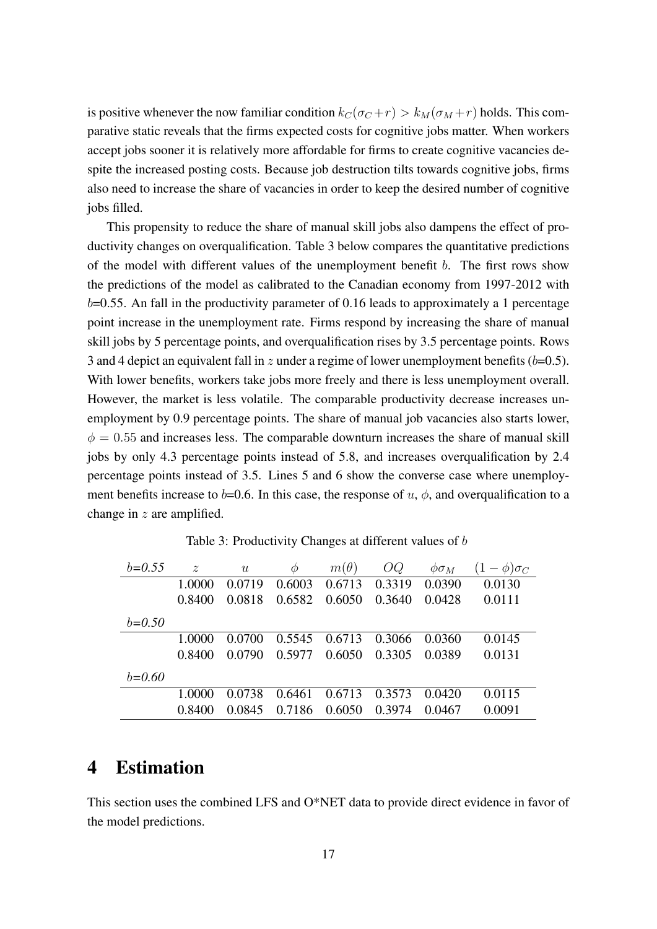is positive whenever the now familiar condition  $k_C(\sigma_C + r) > k_M(\sigma_M + r)$  holds. This comparative static reveals that the firms expected costs for cognitive jobs matter. When workers accept jobs sooner it is relatively more affordable for firms to create cognitive vacancies despite the increased posting costs. Because job destruction tilts towards cognitive jobs, firms also need to increase the share of vacancies in order to keep the desired number of cognitive jobs filled.

This propensity to reduce the share of manual skill jobs also dampens the effect of productivity changes on overqualification. Table [3](#page-17-1) below compares the quantitative predictions of the model with different values of the unemployment benefit b. The first rows show the predictions of the model as calibrated to the Canadian economy from 1997-2012 with  $b=0.55$ . An fall in the productivity parameter of 0.16 leads to approximately a 1 percentage point increase in the unemployment rate. Firms respond by increasing the share of manual skill jobs by 5 percentage points, and overqualification rises by 3.5 percentage points. Rows 3 and 4 depict an equivalent fall in z under a regime of lower unemployment benefits  $(b=0.5)$ . With lower benefits, workers take jobs more freely and there is less unemployment overall. However, the market is less volatile. The comparable productivity decrease increases unemployment by 0.9 percentage points. The share of manual job vacancies also starts lower,  $\phi = 0.55$  and increases less. The comparable downturn increases the share of manual skill jobs by only 4.3 percentage points instead of 5.8, and increases overqualification by 2.4 percentage points instead of 3.5. Lines 5 and 6 show the converse case where unemployment benefits increase to b=0.6. In this case, the response of  $u, \phi$ , and overqualification to a change in z are amplified.

<span id="page-17-1"></span>

| $b=0.55$ | $\mathcal{Z}$ | $\boldsymbol{u}$ | Ф      | $m(\theta)$ | OQ     | $\phi \sigma_M$ | $(-\phi)\sigma_C$ |
|----------|---------------|------------------|--------|-------------|--------|-----------------|-------------------|
|          | 1.0000        | 0.0719           | 0.6003 | 0.6713      | 0.3319 | 0.0390          | 0.0130            |
|          | 0.8400        | 0.0818           | 0.6582 | 0.6050      | 0.3640 | 0.0428          | 0.0111            |
| $b=0.50$ |               |                  |        |             |        |                 |                   |
|          | 1.0000        | 0.0700           | 0.5545 | 0.6713      | 0.3066 | 0.0360          | 0.0145            |
|          | 0.8400        | 0.0790           | 0.5977 | 0.6050      | 0.3305 | 0.0389          | 0.0131            |
| $b=0.60$ |               |                  |        |             |        |                 |                   |
|          | 1.0000        | 0.0738           | 0.6461 | 0.6713      | 0.3573 | 0.0420          | 0.0115            |
|          | 0.8400        | 0.0845           | 0.7186 | 0.6050      | 0.3974 | 0.0467          | 0.0091            |

Table 3: Productivity Changes at different values of b

## <span id="page-17-0"></span>4 Estimation

This section uses the combined LFS and O\*NET data to provide direct evidence in favor of the model predictions.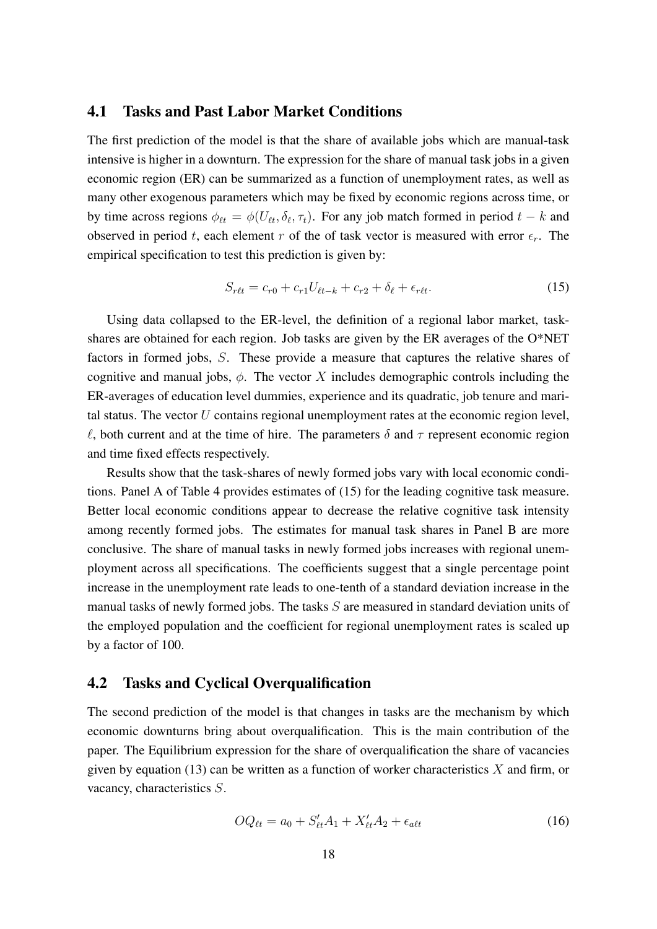### 4.1 Tasks and Past Labor Market Conditions

The first prediction of the model is that the share of available jobs which are manual-task intensive is higher in a downturn. The expression for the share of manual task jobs in a given economic region (ER) can be summarized as a function of unemployment rates, as well as many other exogenous parameters which may be fixed by economic regions across time, or by time across regions  $\phi_{\ell t} = \phi(U_{\ell t}, \delta_{\ell}, \tau_t)$ . For any job match formed in period  $t - k$  and observed in period t, each element r of the of task vector is measured with error  $\epsilon_r$ . The empirical specification to test this prediction is given by:

<span id="page-18-0"></span>
$$
S_{rtt} = c_{r0} + c_{r1}U_{\ell t-k} + c_{r2} + \delta_{\ell} + \epsilon_{rtt}.
$$
 (15)

Using data collapsed to the ER-level, the definition of a regional labor market, taskshares are obtained for each region. Job tasks are given by the ER averages of the O\*NET factors in formed jobs, S. These provide a measure that captures the relative shares of cognitive and manual jobs,  $\phi$ . The vector X includes demographic controls including the ER-averages of education level dummies, experience and its quadratic, job tenure and marital status. The vector  $U$  contains regional unemployment rates at the economic region level,  $\ell$ , both current and at the time of hire. The parameters  $\delta$  and  $\tau$  represent economic region and time fixed effects respectively.

Results show that the task-shares of newly formed jobs vary with local economic conditions. Panel A of Table [4](#page-19-0) provides estimates of [\(15\)](#page-18-0) for the leading cognitive task measure. Better local economic conditions appear to decrease the relative cognitive task intensity among recently formed jobs. The estimates for manual task shares in Panel B are more conclusive. The share of manual tasks in newly formed jobs increases with regional unemployment across all specifications. The coefficients suggest that a single percentage point increase in the unemployment rate leads to one-tenth of a standard deviation increase in the manual tasks of newly formed jobs. The tasks  $S$  are measured in standard deviation units of the employed population and the coefficient for regional unemployment rates is scaled up by a factor of 100.

### 4.2 Tasks and Cyclical Overqualification

The second prediction of the model is that changes in tasks are the mechanism by which economic downturns bring about overqualification. This is the main contribution of the paper. The Equilibrium expression for the share of overqualification the share of vacancies given by equation [\(13\)](#page-14-1) can be written as a function of worker characteristics  $X$  and firm, or vacancy, characteristics S.

<span id="page-18-1"></span>
$$
OQ_{\ell t} = a_0 + S'_{\ell t} A_1 + X'_{\ell t} A_2 + \epsilon_{\alpha \ell t} \tag{16}
$$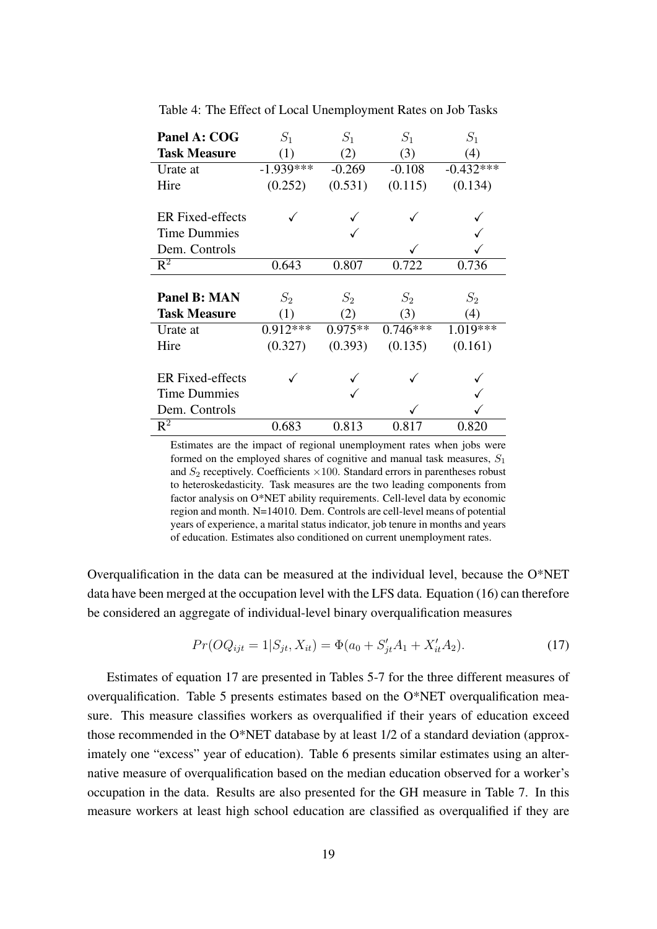| Panel A: COG            | $S_1$       | $S_1$     | $S_1$      | $S_1$       |
|-------------------------|-------------|-----------|------------|-------------|
| <b>Task Measure</b>     | (1)         | (2)       | (3)        | (4)         |
| Urate at                | $-1.939***$ | $-0.269$  | $-0.108$   | $-0.432***$ |
| Hire                    | (0.252)     | (0.531)   | (0.115)    | (0.134)     |
|                         |             |           |            |             |
| <b>ER</b> Fixed-effects |             |           |            |             |
| <b>Time Dummies</b>     |             |           |            |             |
| Dem. Controls           |             |           |            |             |
| $\mathbb{R}^2$          | 0.643       | 0.807     | 0.722      | 0.736       |
|                         |             |           |            |             |
| Panel B: MAN            | $S_2$       | $S_2$     | $S_2$      | $S_2$       |
| <b>Task Measure</b>     | (1)         |           |            |             |
|                         |             | (2)       | (3)        | (4)         |
| Urate at                | $0.912***$  | $0.975**$ | $0.746***$ | 1.019***    |
| Hire                    | (0.327)     | (0.393)   | (0.135)    | (0.161)     |
|                         |             |           |            |             |
| <b>ER</b> Fixed-effects |             |           |            |             |
| <b>Time Dummies</b>     |             |           |            |             |
| Dem. Controls           |             |           |            |             |

<span id="page-19-0"></span>Table 4: The Effect of Local Unemployment Rates on Job Tasks

Estimates are the impact of regional unemployment rates when jobs were formed on the employed shares of cognitive and manual task measures,  $S_1$ and  $S_2$  receptively. Coefficients  $\times 100$ . Standard errors in parentheses robust to heteroskedasticity. Task measures are the two leading components from factor analysis on O\*NET ability requirements. Cell-level data by economic region and month. N=14010. Dem. Controls are cell-level means of potential years of experience, a marital status indicator, job tenure in months and years of education. Estimates also conditioned on current unemployment rates.

Overqualification in the data can be measured at the individual level, because the O\*NET data have been merged at the occupation level with the LFS data. Equation [\(16\)](#page-18-1) can therefore be considered an aggregate of individual-level binary overqualification measures

<span id="page-19-1"></span>
$$
Pr(OQ_{ijt} = 1|S_{jt}, X_{it}) = \Phi(a_0 + S'_{jt}A_1 + X'_{it}A_2). \tag{17}
$$

Estimates of equation [17](#page-19-1) are presented in Tables [5-](#page-23-0)[7](#page-25-0) for the three different measures of overqualification. Table [5](#page-23-0) presents estimates based on the O\*NET overqualification measure. This measure classifies workers as overqualified if their years of education exceed those recommended in the O\*NET database by at least 1/2 of a standard deviation (approximately one "excess" year of education). Table [6](#page-24-0) presents similar estimates using an alternative measure of overqualification based on the median education observed for a worker's occupation in the data. Results are also presented for the GH measure in Table [7.](#page-25-0) In this measure workers at least high school education are classified as overqualified if they are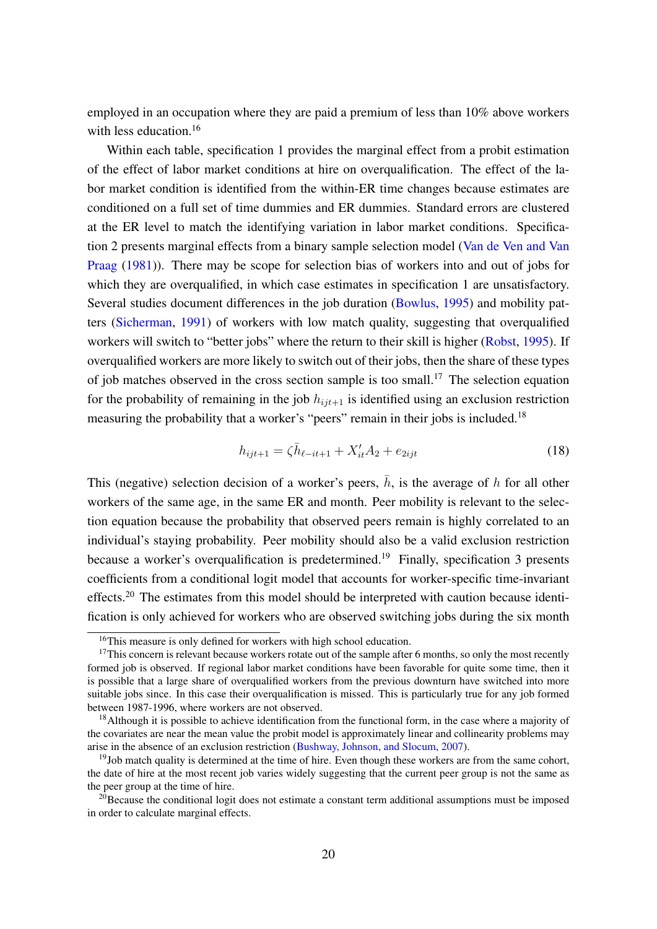employed in an occupation where they are paid a premium of less than 10% above workers with less education.<sup>[16](#page-20-0)</sup>

Within each table, specification 1 provides the marginal effect from a probit estimation of the effect of labor market conditions at hire on overqualification. The effect of the labor market condition is identified from the within-ER time changes because estimates are conditioned on a full set of time dummies and ER dummies. Standard errors are clustered at the ER level to match the identifying variation in labor market conditions. Specification 2 presents marginal effects from a binary sample selection model [\(Van de Ven and Van](#page-30-4) [Praag](#page-30-4) [\(1981\)](#page-30-4)). There may be scope for selection bias of workers into and out of jobs for which they are overqualified, in which case estimates in specification 1 are unsatisfactory. Several studies document differences in the job duration [\(Bowlus,](#page-27-0) [1995\)](#page-27-0) and mobility patters [\(Sicherman,](#page-29-8) [1991\)](#page-29-8) of workers with low match quality, suggesting that overqualified workers will switch to "better jobs" where the return to their skill is higher [\(Robst,](#page-29-12) [1995\)](#page-29-12). If overqualified workers are more likely to switch out of their jobs, then the share of these types of job matches observed in the cross section sample is too small.<sup>[17](#page-20-1)</sup> The selection equation for the probability of remaining in the job  $h_{ijt+1}$  is identified using an exclusion restriction measuring the probability that a worker's "peers" remain in their jobs is included.<sup>[18](#page-20-2)</sup>

$$
h_{ijt+1} = \zeta \bar{h}_{\ell - it + 1} + X_{it}' A_2 + e_{2ijt}
$$
 (18)

This (negative) selection decision of a worker's peers,  $\bar{h}$ , is the average of h for all other workers of the same age, in the same ER and month. Peer mobility is relevant to the selection equation because the probability that observed peers remain is highly correlated to an individual's staying probability. Peer mobility should also be a valid exclusion restriction because a worker's overqualification is predetermined.<sup>[19](#page-20-3)</sup> Finally, specification 3 presents coefficients from a conditional logit model that accounts for worker-specific time-invariant effects.[20](#page-20-4) The estimates from this model should be interpreted with caution because identification is only achieved for workers who are observed switching jobs during the six month

<span id="page-20-1"></span><span id="page-20-0"></span><sup>&</sup>lt;sup>16</sup>This measure is only defined for workers with high school education.

<sup>&</sup>lt;sup>17</sup>This concern is relevant because workers rotate out of the sample after 6 months, so only the most recently formed job is observed. If regional labor market conditions have been favorable for quite some time, then it is possible that a large share of overqualified workers from the previous downturn have switched into more suitable jobs since. In this case their overqualification is missed. This is particularly true for any job formed between 1987-1996, where workers are not observed.

<span id="page-20-2"></span> $18$ Although it is possible to achieve identification from the functional form, in the case where a majority of the covariates are near the mean value the probit model is approximately linear and collinearity problems may arise in the absence of an exclusion restriction [\(Bushway, Johnson, and Slocum,](#page-27-13) [2007\)](#page-27-13).

<span id="page-20-3"></span> $19$ Job match quality is determined at the time of hire. Even though these workers are from the same cohort, the date of hire at the most recent job varies widely suggesting that the current peer group is not the same as the peer group at the time of hire.

<span id="page-20-4"></span> $^{20}$ Because the conditional logit does not estimate a constant term additional assumptions must be imposed in order to calculate marginal effects.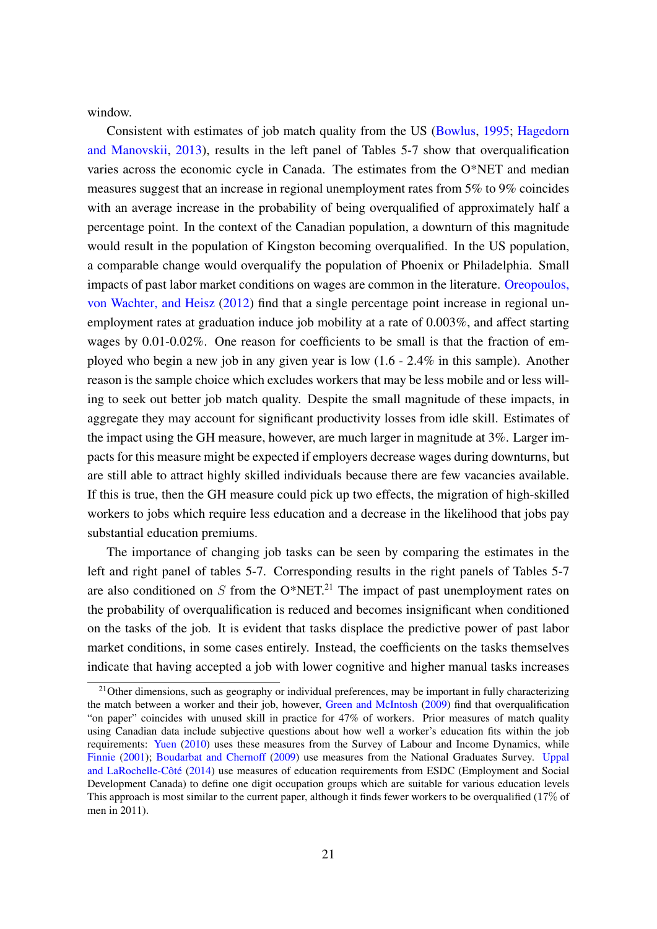window.

Consistent with estimates of job match quality from the US [\(Bowlus,](#page-27-0) [1995;](#page-27-0) [Hagedorn](#page-28-5) [and Manovskii,](#page-28-5) [2013\)](#page-28-5), results in the left panel of Tables [5](#page-23-0)[-7](#page-25-0) show that overqualification varies across the economic cycle in Canada. The estimates from the O\*NET and median measures suggest that an increase in regional unemployment rates from 5% to 9% coincides with an average increase in the probability of being overqualified of approximately half a percentage point. In the context of the Canadian population, a downturn of this magnitude would result in the population of Kingston becoming overqualified. In the US population, a comparable change would overqualify the population of Phoenix or Philadelphia. Small impacts of past labor market conditions on wages are common in the literature. [Oreopoulos,](#page-29-6) [von Wachter, and Heisz](#page-29-6) [\(2012\)](#page-29-6) find that a single percentage point increase in regional unemployment rates at graduation induce job mobility at a rate of 0.003%, and affect starting wages by 0.01-0.02%. One reason for coefficients to be small is that the fraction of employed who begin a new job in any given year is low (1.6 - 2.4% in this sample). Another reason is the sample choice which excludes workers that may be less mobile and or less willing to seek out better job match quality. Despite the small magnitude of these impacts, in aggregate they may account for significant productivity losses from idle skill. Estimates of the impact using the GH measure, however, are much larger in magnitude at 3%. Larger impacts for this measure might be expected if employers decrease wages during downturns, but are still able to attract highly skilled individuals because there are few vacancies available. If this is true, then the GH measure could pick up two effects, the migration of high-skilled workers to jobs which require less education and a decrease in the likelihood that jobs pay substantial education premiums.

The importance of changing job tasks can be seen by comparing the estimates in the left and right panel of tables [5-](#page-23-0)[7.](#page-25-0) Corresponding results in the right panels of Tables [5](#page-23-0)[-7](#page-25-0) are also conditioned on S from the  $O*NET<sup>21</sup>$  $O*NET<sup>21</sup>$  $O*NET<sup>21</sup>$ . The impact of past unemployment rates on the probability of overqualification is reduced and becomes insignificant when conditioned on the tasks of the job. It is evident that tasks displace the predictive power of past labor market conditions, in some cases entirely. Instead, the coefficients on the tasks themselves indicate that having accepted a job with lower cognitive and higher manual tasks increases

<span id="page-21-0"></span><sup>&</sup>lt;sup>21</sup>Other dimensions, such as geography or individual preferences, may be important in fully characterizing the match between a worker and their job, however, [Green and McIntosh](#page-28-12) [\(2009\)](#page-28-12) find that overqualification "on paper" coincides with unused skill in practice for 47% of workers. Prior measures of match quality using Canadian data include subjective questions about how well a worker's education fits within the job requirements: [Yuen](#page-30-5) [\(2010\)](#page-30-5) uses these measures from the Survey of Labour and Income Dynamics, while [Finnie](#page-27-14) [\(2001\)](#page-27-14); [Boudarbat and Chernoff](#page-27-15) [\(2009\)](#page-27-15) use measures from the National Graduates Survey. [Uppal](#page-30-6) and LaRochelle-Côté [\(2014\)](#page-30-6) use measures of education requirements from ESDC (Employment and Social Development Canada) to define one digit occupation groups which are suitable for various education levels This approach is most similar to the current paper, although it finds fewer workers to be overqualified (17% of men in 2011).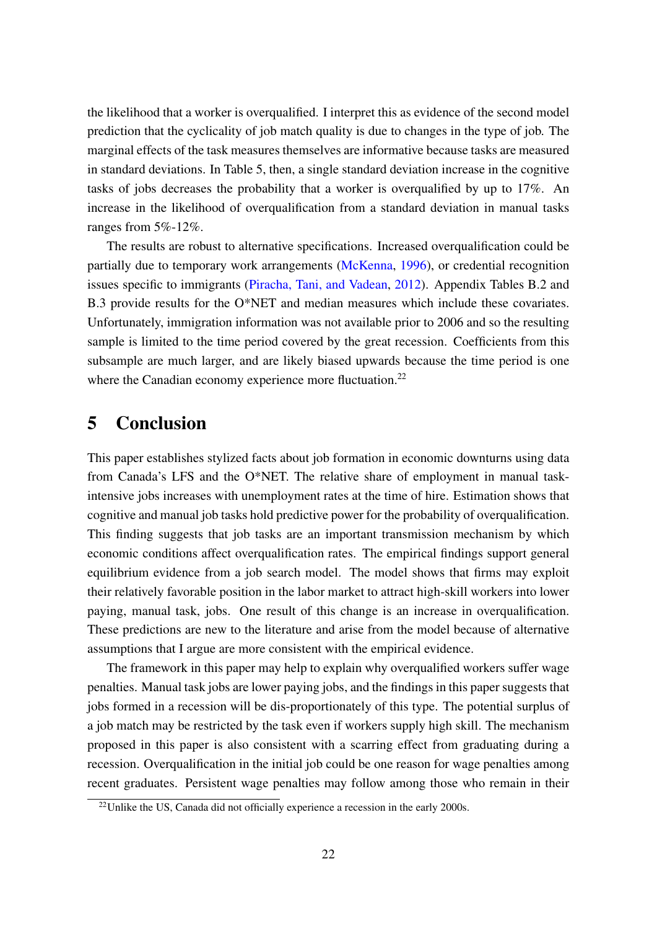the likelihood that a worker is overqualified. I interpret this as evidence of the second model prediction that the cyclicality of job match quality is due to changes in the type of job. The marginal effects of the task measures themselves are informative because tasks are measured in standard deviations. In Table [5,](#page-23-0) then, a single standard deviation increase in the cognitive tasks of jobs decreases the probability that a worker is overqualified by up to 17%. An increase in the likelihood of overqualification from a standard deviation in manual tasks ranges from 5%-12%.

The results are robust to alternative specifications. Increased overqualification could be partially due to temporary work arrangements [\(McKenna,](#page-29-13) [1996\)](#page-29-13), or credential recognition issues specific to immigrants [\(Piracha, Tani, and Vadean,](#page-29-14) [2012\)](#page-29-14). Appendix Tables [B.2](#page-37-0) and [B.3](#page-38-0) provide results for the O\*NET and median measures which include these covariates. Unfortunately, immigration information was not available prior to 2006 and so the resulting sample is limited to the time period covered by the great recession. Coefficients from this subsample are much larger, and are likely biased upwards because the time period is one where the Canadian economy experience more fluctuation.<sup>[22](#page-22-1)</sup>

## <span id="page-22-0"></span>5 Conclusion

This paper establishes stylized facts about job formation in economic downturns using data from Canada's LFS and the O\*NET. The relative share of employment in manual taskintensive jobs increases with unemployment rates at the time of hire. Estimation shows that cognitive and manual job tasks hold predictive power for the probability of overqualification. This finding suggests that job tasks are an important transmission mechanism by which economic conditions affect overqualification rates. The empirical findings support general equilibrium evidence from a job search model. The model shows that firms may exploit their relatively favorable position in the labor market to attract high-skill workers into lower paying, manual task, jobs. One result of this change is an increase in overqualification. These predictions are new to the literature and arise from the model because of alternative assumptions that I argue are more consistent with the empirical evidence.

The framework in this paper may help to explain why overqualified workers suffer wage penalties. Manual task jobs are lower paying jobs, and the findings in this paper suggests that jobs formed in a recession will be dis-proportionately of this type. The potential surplus of a job match may be restricted by the task even if workers supply high skill. The mechanism proposed in this paper is also consistent with a scarring effect from graduating during a recession. Overqualification in the initial job could be one reason for wage penalties among recent graduates. Persistent wage penalties may follow among those who remain in their

<span id="page-22-1"></span> $22$ Unlike the US, Canada did not officially experience a recession in the early 2000s.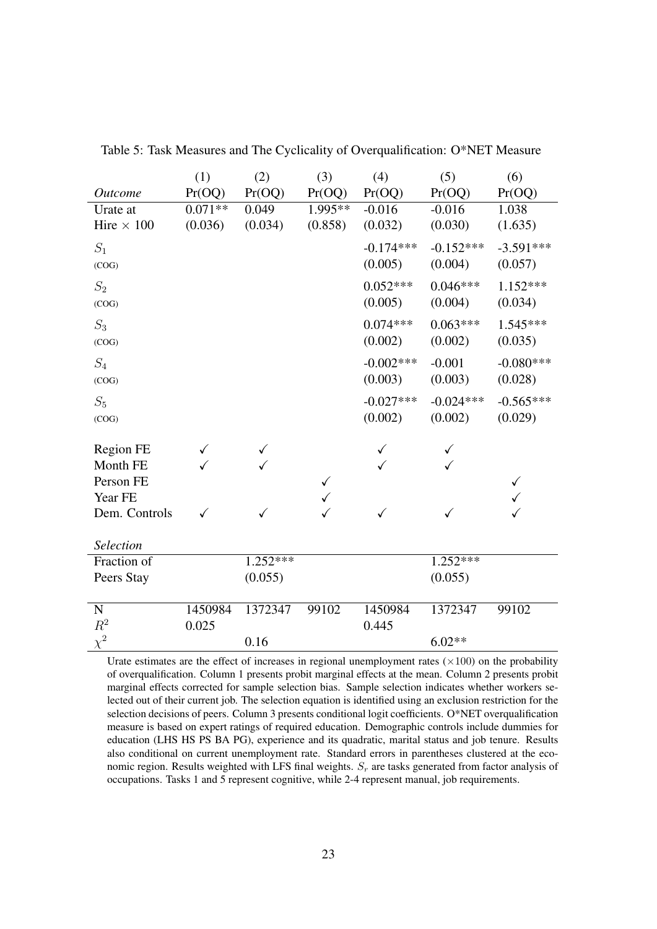|                   | (1)          | (2)          | (3)          | (4)          | (5)         | (6)         |
|-------------------|--------------|--------------|--------------|--------------|-------------|-------------|
| <b>Outcome</b>    | Pr(OQ)       | Pr(OQ)       | Pr(OQ)       | Pr(OQ)       | Pr(OQ)      | Pr(OQ)      |
| Urate at          | $0.071**$    | 0.049        | $1.995**$    | $-0.016$     | $-0.016$    | 1.038       |
| Hire $\times$ 100 | (0.036)      | (0.034)      | (0.858)      | (0.032)      | (0.030)     | (1.635)     |
| $S_1$             |              |              |              | $-0.174***$  | $-0.152***$ | $-3.591***$ |
| (COG)             |              |              |              | (0.005)      | (0.004)     | (0.057)     |
| $S_2$             |              |              |              | $0.052***$   | $0.046***$  | $1.152***$  |
| (COG)             |              |              |              | (0.005)      | (0.004)     | (0.034)     |
| $S_3$             |              |              |              | $0.074***$   | $0.063***$  | $1.545***$  |
| (COG)             |              |              |              | (0.002)      | (0.002)     | (0.035)     |
| $S_4$             |              |              |              | $-0.002$ *** | $-0.001$    | $-0.080***$ |
| (COG)             |              |              |              | (0.003)      | (0.003)     | (0.028)     |
| $S_5$             |              |              |              | $-0.027***$  | $-0.024***$ | $-0.565***$ |
| (COG)             |              |              |              | (0.002)      | (0.002)     | (0.029)     |
| Region FE         | $\checkmark$ | $\checkmark$ |              | ✓            | ✓           |             |
| Month FE          |              |              |              |              |             |             |
| Person FE         |              |              | $\checkmark$ |              |             | ✓           |
| Year FE           |              |              |              |              |             |             |
| Dem. Controls     | ✓            | ✓            | ✓            | $\checkmark$ | ✓           | ✓           |
| Selection         |              |              |              |              |             |             |
| Fraction of       |              | $1.252***$   |              |              | $1.252***$  |             |
| Peers Stay        |              | (0.055)      |              |              | (0.055)     |             |
|                   |              |              |              |              |             |             |
| N                 | 1450984      | 1372347      | 99102        | 1450984      | 1372347     | 99102       |
| $R^2$             | 0.025        |              |              | 0.445        |             |             |
| $\chi^2$          |              | 0.16         |              |              | $6.02**$    |             |

<span id="page-23-0"></span>Table 5: Task Measures and The Cyclicality of Overqualification: O\*NET Measure

Urate estimates are the effect of increases in regional unemployment rates  $(\times 100)$  on the probability of overqualification. Column 1 presents probit marginal effects at the mean. Column 2 presents probit marginal effects corrected for sample selection bias. Sample selection indicates whether workers selected out of their current job. The selection equation is identified using an exclusion restriction for the selection decisions of peers. Column 3 presents conditional logit coefficients. O\*NET overqualification measure is based on expert ratings of required education. Demographic controls include dummies for education (LHS HS PS BA PG), experience and its quadratic, marital status and job tenure. Results also conditional on current unemployment rate. Standard errors in parentheses clustered at the economic region. Results weighted with LFS final weights.  $S_r$  are tasks generated from factor analysis of occupations. Tasks 1 and 5 represent cognitive, while 2-4 represent manual, job requirements.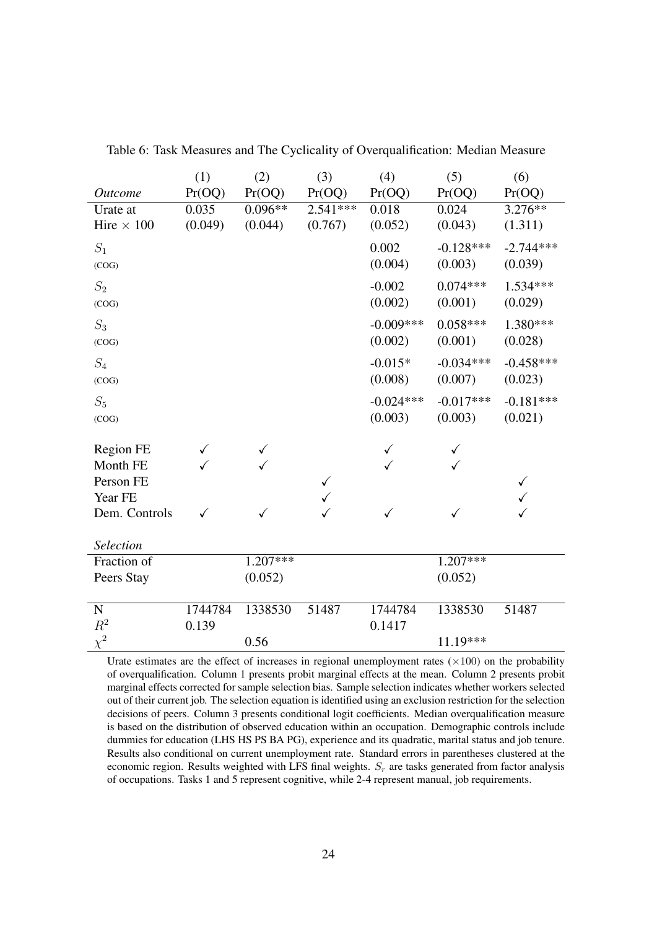|                       | (1)          | (2)          | (3)          | (4)         | (5)         | (6)         |
|-----------------------|--------------|--------------|--------------|-------------|-------------|-------------|
| <i><u>Outcome</u></i> | Pr(OQ)       | Pr(OQ)       | Pr(OQ)       | Pr(OQ)      | Pr(OQ)      | Pr(OQ)      |
| Urate at              | 0.035        | $0.096**$    | $2.541***$   | 0.018       | 0.024       | $3.276**$   |
| Hire $\times$ 100     | (0.049)      | (0.044)      | (0.767)      | (0.052)     | (0.043)     | (1.311)     |
| $\mathcal{S}_1$       |              |              |              | 0.002       | $-0.128***$ | $-2.744***$ |
| (COG)                 |              |              |              | (0.004)     | (0.003)     | (0.039)     |
| $S_2$                 |              |              |              | $-0.002$    | $0.074***$  | $1.534***$  |
| (COG)                 |              |              |              | (0.002)     | (0.001)     | (0.029)     |
| $S_3$                 |              |              |              | $-0.009***$ | $0.058***$  | 1.380***    |
| (COG)                 |              |              |              | (0.002)     | (0.001)     | (0.028)     |
| $\mathcal{S}_4$       |              |              |              | $-0.015*$   | $-0.034***$ | $-0.458***$ |
| (COG)                 |              |              |              | (0.008)     | (0.007)     | (0.023)     |
| $\mathcal{S}_5$       |              |              |              | $-0.024***$ | $-0.017***$ | $-0.181***$ |
| (COG)                 |              |              |              | (0.003)     | (0.003)     | (0.021)     |
| Region FE             | $\checkmark$ | $\checkmark$ |              | ✓           | ✓           |             |
| Month FE              |              |              |              |             |             |             |
| Person FE             |              |              | $\checkmark$ |             |             | ✓           |
| Year FE               |              |              |              |             |             |             |
| Dem. Controls         | ✓            | ✓            |              | ✓           | ✓           | ✓           |
| Selection             |              |              |              |             |             |             |
| Fraction of           |              | $1.207***$   |              |             | $1.207***$  |             |
| Peers Stay            |              | (0.052)      |              |             | (0.052)     |             |
|                       |              |              |              |             |             |             |
| N                     | 1744784      | 1338530      | 51487        | 1744784     | 1338530     | 51487       |
| $R^2$                 | 0.139        |              |              | 0.1417      |             |             |
| $\chi^2$              |              | 0.56         |              |             | 11.19***    |             |

<span id="page-24-0"></span>Table 6: Task Measures and The Cyclicality of Overqualification: Median Measure

Urate estimates are the effect of increases in regional unemployment rates  $(\times 100)$  on the probability of overqualification. Column 1 presents probit marginal effects at the mean. Column 2 presents probit marginal effects corrected for sample selection bias. Sample selection indicates whether workers selected out of their current job. The selection equation is identified using an exclusion restriction for the selection decisions of peers. Column 3 presents conditional logit coefficients. Median overqualification measure is based on the distribution of observed education within an occupation. Demographic controls include dummies for education (LHS HS PS BA PG), experience and its quadratic, marital status and job tenure. Results also conditional on current unemployment rate. Standard errors in parentheses clustered at the economic region. Results weighted with LFS final weights.  $S_r$  are tasks generated from factor analysis of occupations. Tasks 1 and 5 represent cognitive, while 2-4 represent manual, job requirements.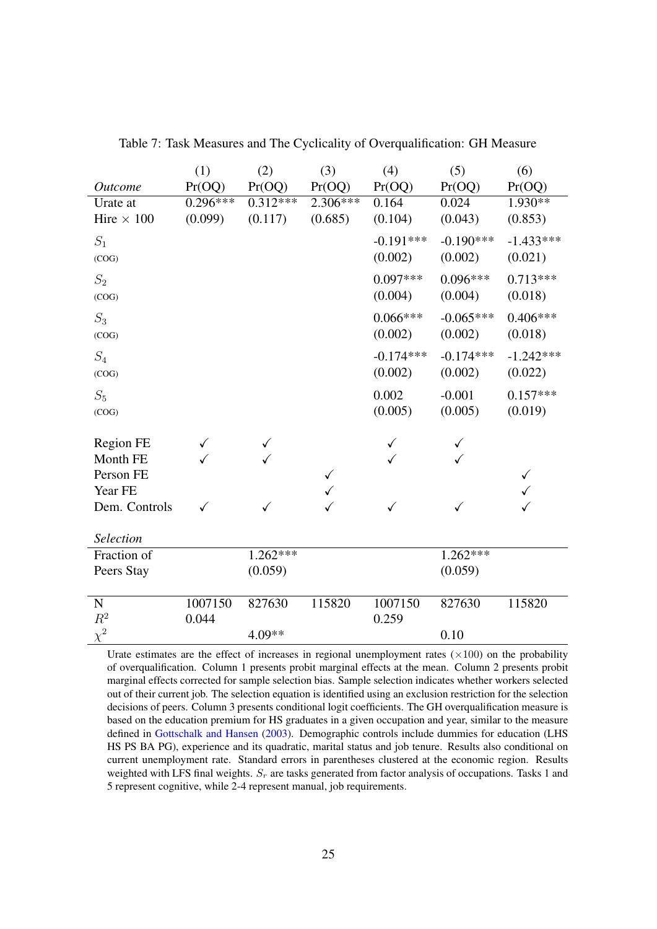<span id="page-25-0"></span>

|                   | (1)        | (2)        | (3)          | (4)          | (5)          | (6)          |
|-------------------|------------|------------|--------------|--------------|--------------|--------------|
| <b>Outcome</b>    | Pr(OQ)     | Pr(OQ)     | Pr(OQ)       | Pr(OQ)       | Pr(OQ)       | Pr(OQ)       |
| Urate at          | $0.296***$ | $0.312***$ | $2.306***$   | 0.164        | 0.024        | $1.930**$    |
| Hire $\times$ 100 | (0.099)    | (0.117)    | (0.685)      | (0.104)      | (0.043)      | (0.853)      |
| $S_1$             |            |            |              | $-0.191***$  | $-0.190***$  | $-1.433***$  |
| (COG)             |            |            |              | (0.002)      | (0.002)      | (0.021)      |
| $\mathcal{S}_2$   |            |            |              | $0.097***$   | $0.096***$   | $0.713***$   |
| (COG)             |            |            |              | (0.004)      | (0.004)      | (0.018)      |
| $S_3$             |            |            |              | $0.066***$   | $-0.065***$  | $0.406***$   |
| (COG)             |            |            |              | (0.002)      | (0.002)      | (0.018)      |
| $S_4$             |            |            |              | $-0.174***$  | $-0.174***$  | $-1.242***$  |
| (COG)             |            |            |              | (0.002)      | (0.002)      | (0.022)      |
| $S_5$             |            |            |              | 0.002        | $-0.001$     | $0.157***$   |
| (COG)             |            |            |              | (0.005)      | (0.005)      | (0.019)      |
| <b>Region FE</b>  |            |            |              | ✓            | $\checkmark$ |              |
| Month FE          |            |            |              | ✓            | ✓            |              |
| Person FE         |            |            | $\checkmark$ |              |              | $\checkmark$ |
| Year FE           |            |            | ✓            |              |              |              |
| Dem. Controls     | ✓          | ✓          | $\checkmark$ | $\checkmark$ | ✓            |              |
| Selection         |            |            |              |              |              |              |
| Fraction of       |            | $1.262***$ |              |              | $1.262***$   |              |
| Peers Stay        |            | (0.059)    |              |              | (0.059)      |              |
|                   |            |            |              |              |              |              |
| $\mathbf N$       | 1007150    | 827630     | 115820       | 1007150      | 827630       | 115820       |
| $\mathbb{R}^2$    | 0.044      |            |              | 0.259        |              |              |
| $\chi^2$          |            | 4.09**     |              |              | 0.10         |              |

Table 7: Task Measures and The Cyclicality of Overqualification: GH Measure

Urate estimates are the effect of increases in regional unemployment rates  $(\times 100)$  on the probability of overqualification. Column 1 presents probit marginal effects at the mean. Column 2 presents probit marginal effects corrected for sample selection bias. Sample selection indicates whether workers selected out of their current job. The selection equation is identified using an exclusion restriction for the selection decisions of peers. Column 3 presents conditional logit coefficients. The GH overqualification measure is based on the education premium for HS graduates in a given occupation and year, similar to the measure defined in [Gottschalk and Hansen](#page-28-8) [\(2003\)](#page-28-8). Demographic controls include dummies for education (LHS HS PS BA PG), experience and its quadratic, marital status and job tenure. Results also conditional on current unemployment rate. Standard errors in parentheses clustered at the economic region. Results weighted with LFS final weights.  $S_r$  are tasks generated from factor analysis of occupations. Tasks 1 and 5 represent cognitive, while 2-4 represent manual, job requirements.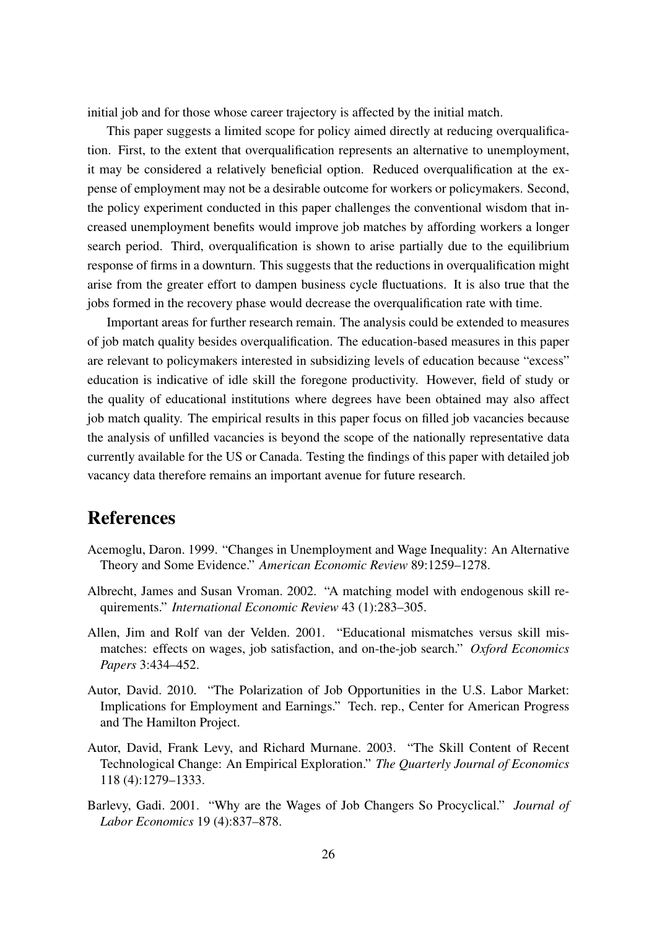initial job and for those whose career trajectory is affected by the initial match.

This paper suggests a limited scope for policy aimed directly at reducing overqualification. First, to the extent that overqualification represents an alternative to unemployment, it may be considered a relatively beneficial option. Reduced overqualification at the expense of employment may not be a desirable outcome for workers or policymakers. Second, the policy experiment conducted in this paper challenges the conventional wisdom that increased unemployment benefits would improve job matches by affording workers a longer search period. Third, overqualification is shown to arise partially due to the equilibrium response of firms in a downturn. This suggests that the reductions in overqualification might arise from the greater effort to dampen business cycle fluctuations. It is also true that the jobs formed in the recovery phase would decrease the overqualification rate with time.

Important areas for further research remain. The analysis could be extended to measures of job match quality besides overqualification. The education-based measures in this paper are relevant to policymakers interested in subsidizing levels of education because "excess" education is indicative of idle skill the foregone productivity. However, field of study or the quality of educational institutions where degrees have been obtained may also affect job match quality. The empirical results in this paper focus on filled job vacancies because the analysis of unfilled vacancies is beyond the scope of the nationally representative data currently available for the US or Canada. Testing the findings of this paper with detailed job vacancy data therefore remains an important avenue for future research.

## References

- <span id="page-26-3"></span>Acemoglu, Daron. 1999. "Changes in Unemployment and Wage Inequality: An Alternative Theory and Some Evidence." *American Economic Review* 89:1259–1278.
- <span id="page-26-1"></span>Albrecht, James and Susan Vroman. 2002. "A matching model with endogenous skill requirements." *International Economic Review* 43 (1):283–305.
- <span id="page-26-0"></span>Allen, Jim and Rolf van der Velden. 2001. "Educational mismatches versus skill mismatches: effects on wages, job satisfaction, and on-the-job search." *Oxford Economics Papers* 3:434–452.
- <span id="page-26-4"></span>Autor, David. 2010. "The Polarization of Job Opportunities in the U.S. Labor Market: Implications for Employment and Earnings." Tech. rep., Center for American Progress and The Hamilton Project.
- <span id="page-26-5"></span>Autor, David, Frank Levy, and Richard Murnane. 2003. "The Skill Content of Recent Technological Change: An Empirical Exploration." *The Quarterly Journal of Economics* 118 (4):1279–1333.
- <span id="page-26-2"></span>Barlevy, Gadi. 2001. "Why are the Wages of Job Changers So Procyclical." *Journal of Labor Economics* 19 (4):837–878.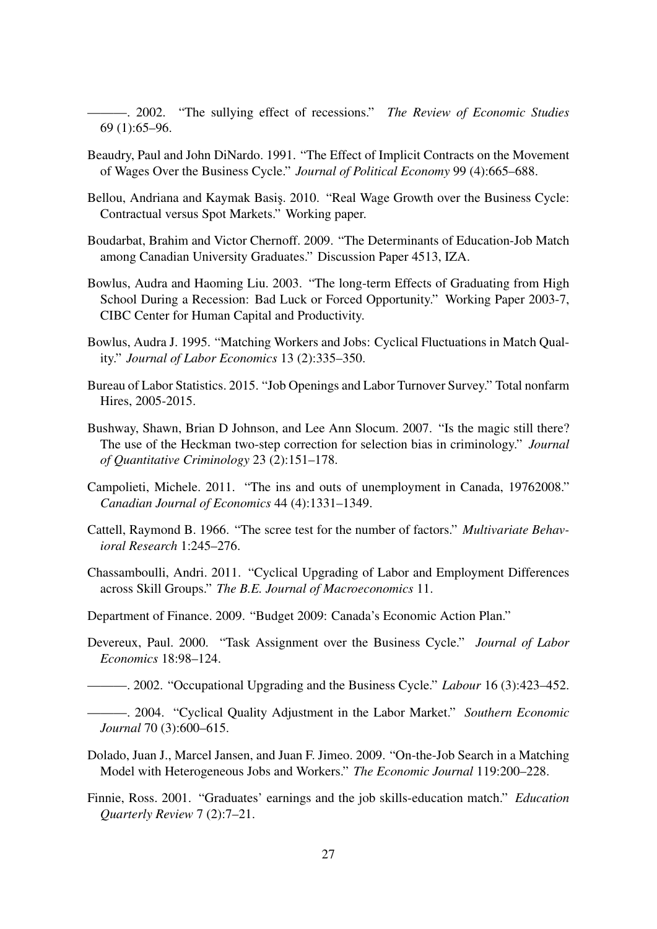<span id="page-27-10"></span>———. 2002. "The sullying effect of recessions." *The Review of Economic Studies* 69 (1):65–96.

- <span id="page-27-6"></span>Beaudry, Paul and John DiNardo. 1991. "The Effect of Implicit Contracts on the Movement of Wages Over the Business Cycle." *Journal of Political Economy* 99 (4):665–688.
- <span id="page-27-7"></span>Bellou, Andriana and Kaymak Basis, 2010. "Real Wage Growth over the Business Cycle: Contractual versus Spot Markets." Working paper.
- <span id="page-27-15"></span>Boudarbat, Brahim and Victor Chernoff. 2009. "The Determinants of Education-Job Match among Canadian University Graduates." Discussion Paper 4513, IZA.
- <span id="page-27-9"></span>Bowlus, Audra and Haoming Liu. 2003. "The long-term Effects of Graduating from High School During a Recession: Bad Luck or Forced Opportunity." Working Paper 2003-7, CIBC Center for Human Capital and Productivity.
- <span id="page-27-0"></span>Bowlus, Audra J. 1995. "Matching Workers and Jobs: Cyclical Fluctuations in Match Quality." *Journal of Labor Economics* 13 (2):335–350.
- <span id="page-27-1"></span>Bureau of Labor Statistics. 2015. "Job Openings and Labor Turnover Survey." Total nonfarm Hires, 2005-2015.
- <span id="page-27-13"></span>Bushway, Shawn, Brian D Johnson, and Lee Ann Slocum. 2007. "Is the magic still there? The use of the Heckman two-step correction for selection bias in criminology." *Journal of Quantitative Criminology* 23 (2):151–178.
- <span id="page-27-2"></span>Campolieti, Michele. 2011. "The ins and outs of unemployment in Canada, 19762008." *Canadian Journal of Economics* 44 (4):1331–1349.
- <span id="page-27-16"></span>Cattell, Raymond B. 1966. "The scree test for the number of factors." *Multivariate Behavioral Research* 1:245–276.
- <span id="page-27-12"></span>Chassamboulli, Andri. 2011. "Cyclical Upgrading of Labor and Employment Differences across Skill Groups." *The B.E. Journal of Macroeconomics* 11.
- <span id="page-27-8"></span>Department of Finance. 2009. "Budget 2009: Canada's Economic Action Plan."
- <span id="page-27-5"></span>Devereux, Paul. 2000. "Task Assignment over the Business Cycle." *Journal of Labor Economics* 18:98–124.

<span id="page-27-4"></span><span id="page-27-3"></span>———. 2002. "Occupational Upgrading and the Business Cycle." *Labour* 16 (3):423–452.

———. 2004. "Cyclical Quality Adjustment in the Labor Market." *Southern Economic Journal* 70 (3):600–615.

- <span id="page-27-11"></span>Dolado, Juan J., Marcel Jansen, and Juan F. Jimeo. 2009. "On-the-Job Search in a Matching Model with Heterogeneous Jobs and Workers." *The Economic Journal* 119:200–228.
- <span id="page-27-14"></span>Finnie, Ross. 2001. "Graduates' earnings and the job skills-education match." *Education Quarterly Review* 7 (2):7–21.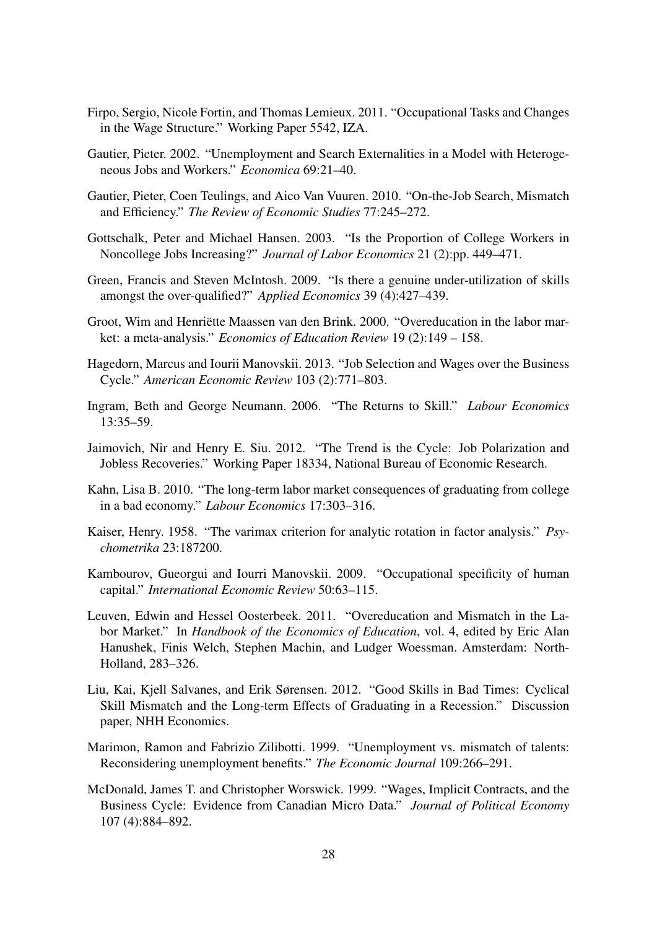- <span id="page-28-13"></span>Firpo, Sergio, Nicole Fortin, and Thomas Lemieux. 2011. "Occupational Tasks and Changes in the Wage Structure." Working Paper 5542, IZA.
- <span id="page-28-10"></span>Gautier, Pieter. 2002. "Unemployment and Search Externalities in a Model with Heterogeneous Jobs and Workers." *Economica* 69:21–40.
- <span id="page-28-9"></span>Gautier, Pieter, Coen Teulings, and Aico Van Vuuren. 2010. "On-the-Job Search, Mismatch and Efficiency." *The Review of Economic Studies* 77:245–272.
- <span id="page-28-8"></span>Gottschalk, Peter and Michael Hansen. 2003. "Is the Proportion of College Workers in Noncollege Jobs Increasing?" *Journal of Labor Economics* 21 (2):pp. 449–471.
- <span id="page-28-12"></span>Green, Francis and Steven McIntosh. 2009. "Is there a genuine under-utilization of skills amongst the over-qualified?" *Applied Economics* 39 (4):427–439.
- <span id="page-28-0"></span>Groot, Wim and Henriëtte Maassen van den Brink. 2000. "Overeducation in the labor market: a meta-analysis." *Economics of Education Review* 19 (2):149 – 158.
- <span id="page-28-5"></span>Hagedorn, Marcus and Iourii Manovskii. 2013. "Job Selection and Wages over the Business Cycle." *American Economic Review* 103 (2):771–803.
- <span id="page-28-15"></span>Ingram, Beth and George Neumann. 2006. "The Returns to Skill." *Labour Economics* 13:35–59.
- <span id="page-28-2"></span>Jaimovich, Nir and Henry E. Siu. 2012. "The Trend is the Cycle: Job Polarization and Jobless Recoveries." Working Paper 18334, National Bureau of Economic Research.
- <span id="page-28-6"></span>Kahn, Lisa B. 2010. "The long-term labor market consequences of graduating from college in a bad economy." *Labour Economics* 17:303–316.
- <span id="page-28-14"></span>Kaiser, Henry. 1958. "The varimax criterion for analytic rotation in factor analysis." *Psychometrika* 23:187200.
- <span id="page-28-4"></span>Kambourov, Gueorgui and Iourri Manovskii. 2009. "Occupational specificity of human capital." *International Economic Review* 50:63–115.
- <span id="page-28-1"></span>Leuven, Edwin and Hessel Oosterbeek. 2011. "Overeducation and Mismatch in the Labor Market." In *Handbook of the Economics of Education*, vol. 4, edited by Eric Alan Hanushek, Finis Welch, Stephen Machin, and Ludger Woessman. Amsterdam: North-Holland, 283–326.
- <span id="page-28-7"></span>Liu, Kai, Kjell Salvanes, and Erik Sørensen. 2012. "Good Skills in Bad Times: Cyclical Skill Mismatch and the Long-term Effects of Graduating in a Recession." Discussion paper, NHH Economics.
- <span id="page-28-11"></span>Marimon, Ramon and Fabrizio Zilibotti. 1999. "Unemployment vs. mismatch of talents: Reconsidering unemployment benefits." *The Economic Journal* 109:266–291.
- <span id="page-28-3"></span>McDonald, James T. and Christopher Worswick. 1999. "Wages, Implicit Contracts, and the Business Cycle: Evidence from Canadian Micro Data." *Journal of Political Economy* 107 (4):884–892.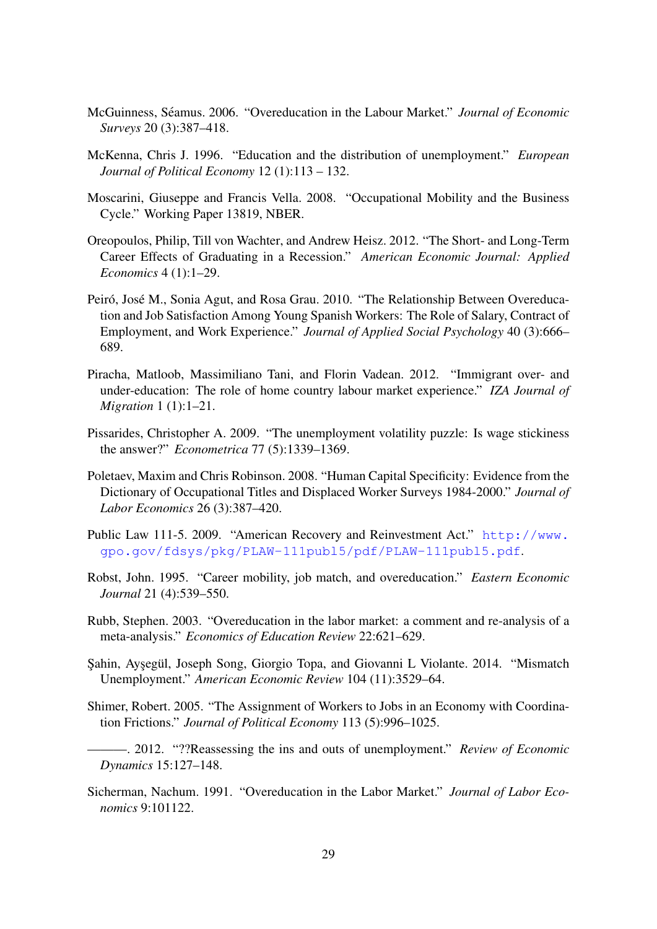- <span id="page-29-0"></span>McGuinness, Seamus. 2006. "Overeducation in the Labour Market." ´ *Journal of Economic Surveys* 20 (3):387–418.
- <span id="page-29-13"></span>McKenna, Chris J. 1996. "Education and the distribution of unemployment." *European Journal of Political Economy* 12 (1):113 – 132.
- <span id="page-29-7"></span>Moscarini, Giuseppe and Francis Vella. 2008. "Occupational Mobility and the Business Cycle." Working Paper 13819, NBER.
- <span id="page-29-6"></span>Oreopoulos, Philip, Till von Wachter, and Andrew Heisz. 2012. "The Short- and Long-Term Career Effects of Graduating in a Recession." *American Economic Journal: Applied Economics* 4 (1):1–29.
- <span id="page-29-1"></span>Peiró, José M., Sonia Agut, and Rosa Grau. 2010. "The Relationship Between Overeducation and Job Satisfaction Among Young Spanish Workers: The Role of Salary, Contract of Employment, and Work Experience." *Journal of Applied Social Psychology* 40 (3):666– 689.
- <span id="page-29-14"></span>Piracha, Matloob, Massimiliano Tani, and Florin Vadean. 2012. "Immigrant over- and under-education: The role of home country labour market experience." *IZA Journal of Migration* 1 (1):1–21.
- <span id="page-29-9"></span>Pissarides, Christopher A. 2009. "The unemployment volatility puzzle: Is wage stickiness the answer?" *Econometrica* 77 (5):1339–1369.
- <span id="page-29-3"></span>Poletaev, Maxim and Chris Robinson. 2008. "Human Capital Specificity: Evidence from the Dictionary of Occupational Titles and Displaced Worker Surveys 1984-2000." *Journal of Labor Economics* 26 (3):387–420.
- <span id="page-29-5"></span>Public Law 111-5. 2009. "American Recovery and Reinvestment Act." [http://www.](http://www.gpo.gov/fdsys/pkg/PLAW-111publ5/pdf/PLAW-111publ5.pdf) [gpo.gov/fdsys/pkg/PLAW-111publ5/pdf/PLAW-111publ5.pdf](http://www.gpo.gov/fdsys/pkg/PLAW-111publ5/pdf/PLAW-111publ5.pdf).
- <span id="page-29-12"></span>Robst, John. 1995. "Career mobility, job match, and overeducation." *Eastern Economic Journal* 21 (4):539–550.
- <span id="page-29-2"></span>Rubb, Stephen. 2003. "Overeducation in the labor market: a comment and re-analysis of a meta-analysis." *Economics of Education Review* 22:621–629.
- <span id="page-29-11"></span>Sahin, Ayşegül, Joseph Song, Giorgio Topa, and Giovanni L Violante. 2014. "Mismatch" Unemployment." *American Economic Review* 104 (11):3529–64.
- <span id="page-29-10"></span>Shimer, Robert. 2005. "The Assignment of Workers to Jobs in an Economy with Coordination Frictions." *Journal of Political Economy* 113 (5):996–1025.
- <span id="page-29-4"></span>———. 2012. "??Reassessing the ins and outs of unemployment." *Review of Economic Dynamics* 15:127–148.
- <span id="page-29-8"></span>Sicherman, Nachum. 1991. "Overeducation in the Labor Market." *Journal of Labor Economics* 9:101122.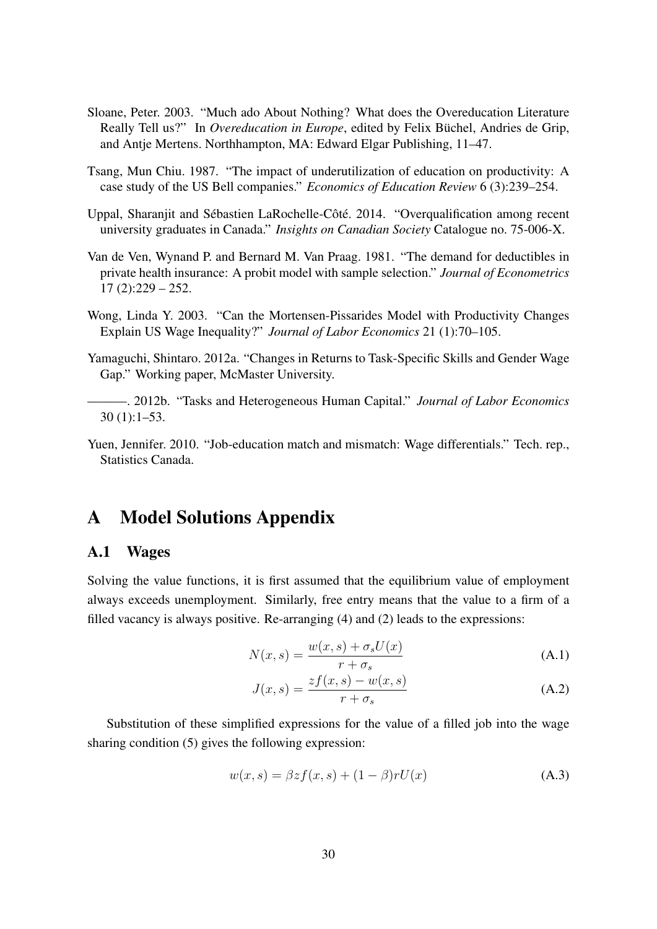- <span id="page-30-0"></span>Sloane, Peter. 2003. "Much ado About Nothing? What does the Overeducation Literature Really Tell us?" In *Overeducation in Europe*, edited by Felix Büchel, Andries de Grip, and Antje Mertens. Northhampton, MA: Edward Elgar Publishing, 11–47.
- <span id="page-30-1"></span>Tsang, Mun Chiu. 1987. "The impact of underutilization of education on productivity: A case study of the US Bell companies." *Economics of Education Review* 6 (3):239–254.
- <span id="page-30-6"></span>Uppal, Sharanjit and Sébastien LaRochelle-Côté. 2014. "Overqualification among recent university graduates in Canada." *Insights on Canadian Society* Catalogue no. 75-006-X.
- <span id="page-30-4"></span>Van de Ven, Wynand P. and Bernard M. Van Praag. 1981. "The demand for deductibles in private health insurance: A probit model with sample selection." *Journal of Econometrics*  $17(2):229-252.$
- <span id="page-30-2"></span>Wong, Linda Y. 2003. "Can the Mortensen-Pissarides Model with Productivity Changes Explain US Wage Inequality?" *Journal of Labor Economics* 21 (1):70–105.
- <span id="page-30-8"></span>Yamaguchi, Shintaro. 2012a. "Changes in Returns to Task-Specific Skills and Gender Wage Gap." Working paper, McMaster University.
- <span id="page-30-9"></span>———. 2012b. "Tasks and Heterogeneous Human Capital." *Journal of Labor Economics* 30 (1):1–53.
- <span id="page-30-5"></span>Yuen, Jennifer. 2010. "Job-education match and mismatch: Wage differentials." Tech. rep., Statistics Canada.

## A Model Solutions Appendix

### <span id="page-30-3"></span>A.1 Wages

Solving the value functions, it is first assumed that the equilibrium value of employment always exceeds unemployment. Similarly, free entry means that the value to a firm of a filled vacancy is always positive. Re-arranging [\(4\)](#page-10-1) and [\(2\)](#page-10-2) leads to the expressions:

$$
N(x,s) = \frac{w(x,s) + \sigma_s U(x)}{r + \sigma_s}
$$
 (A.1)

$$
J(x,s) = \frac{zf(x,s) - w(x,s)}{r + \sigma_s}
$$
 (A.2)

Substitution of these simplified expressions for the value of a filled job into the wage sharing condition [\(5\)](#page-11-3) gives the following expression:

<span id="page-30-7"></span>
$$
w(x,s) = \beta z f(x,s) + (1 - \beta) r U(x)
$$
\n(A.3)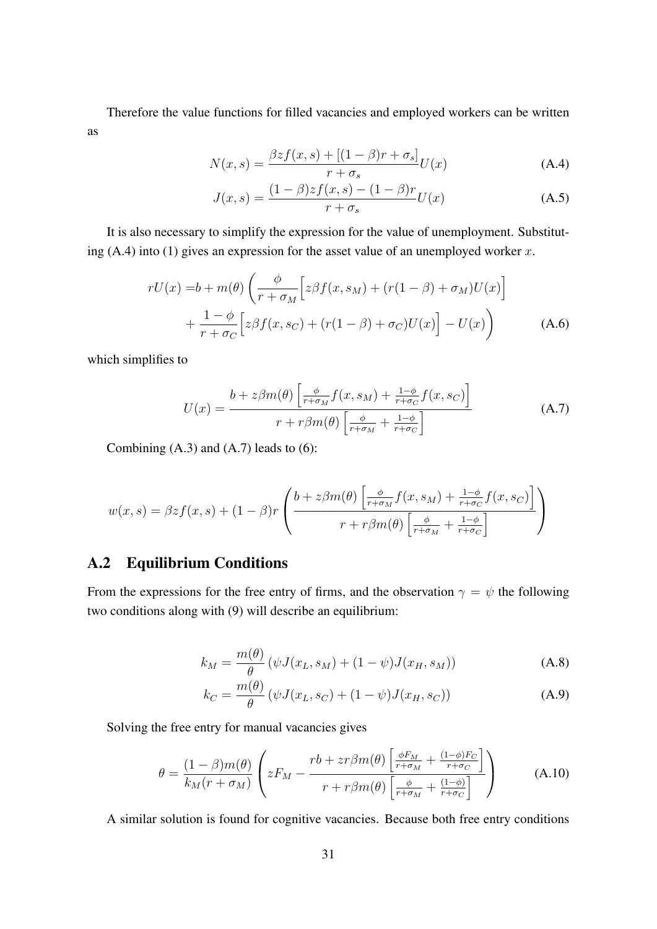Therefore the value functions for filled vacancies and employed workers can be written as

$$
N(x,s) = \frac{\beta z f(x,s) + [(1-\beta)r + \sigma_s]}{r + \sigma_s} U(x)
$$
 (A.4)

<span id="page-31-2"></span><span id="page-31-0"></span>
$$
J(x,s) = \frac{(1-\beta)zf(x,s) - (1-\beta)r}{r + \sigma_s}U(x)
$$
 (A.5)

It is also necessary to simplify the expression for the value of unemployment. Substituting  $(A.4)$  into  $(1)$  gives an expression for the asset value of an unemployed worker x.

$$
rU(x) = b + m(\theta) \left( \frac{\phi}{r + \sigma_M} \left[ z\beta f(x, s_M) + (r(1 - \beta) + \sigma_M)U(x) \right] + \frac{1 - \phi}{r + \sigma_C} \left[ z\beta f(x, s_C) + (r(1 - \beta) + \sigma_C)U(x) \right] - U(x) \right)
$$
(A.6)

which simplifies to

<span id="page-31-1"></span>
$$
U(x) = \frac{b + z\beta m(\theta) \left[ \frac{\phi}{r + \sigma_M} f(x, s_M) + \frac{1 - \phi}{r + \sigma_C} f(x, s_C) \right]}{r + r\beta m(\theta) \left[ \frac{\phi}{r + \sigma_M} + \frac{1 - \phi}{r + \sigma_C} \right]}
$$
(A.7)

Combining  $(A.3)$  and  $(A.7)$  leads to  $(6)$ :

$$
w(x,s) = \beta z f(x,s) + (1-\beta)r \left( \frac{b + z\beta m(\theta) \left[ \frac{\phi}{r+\sigma_M} f(x,s_M) + \frac{1-\phi}{r+\sigma_C} f(x,s_C) \right]}{r + r\beta m(\theta) \left[ \frac{\phi}{r+\sigma_M} + \frac{1-\phi}{r+\sigma_C} \right]} \right)
$$

## A.2 Equilibrium Conditions

From the expressions for the free entry of firms, and the observation  $\gamma = \psi$  the following two conditions along with [\(9\)](#page-11-2) will describe an equilibrium:

$$
k_M = \frac{m(\theta)}{\theta} (\psi J(x_L, s_M) + (1 - \psi) J(x_H, s_M))
$$
 (A.8)

$$
k_C = \frac{m(\theta)}{\theta} (\psi J(x_L, s_C) + (1 - \psi) J(x_H, s_C))
$$
 (A.9)

Solving the free entry for manual vacancies gives

<span id="page-31-3"></span>
$$
\theta = \frac{(1-\beta)m(\theta)}{k_M(r+\sigma_M)} \left( zF_M - \frac{rb + zr\beta m(\theta) \left[ \frac{\phi F_M}{r+\sigma_M} + \frac{(1-\phi)F_C}{r+\sigma_C} \right]}{r+r\beta m(\theta) \left[ \frac{\phi}{r+\sigma_M} + \frac{(1-\phi)}{r+\sigma_C} \right]} \right)
$$
(A.10)

A similar solution is found for cognitive vacancies. Because both free entry conditions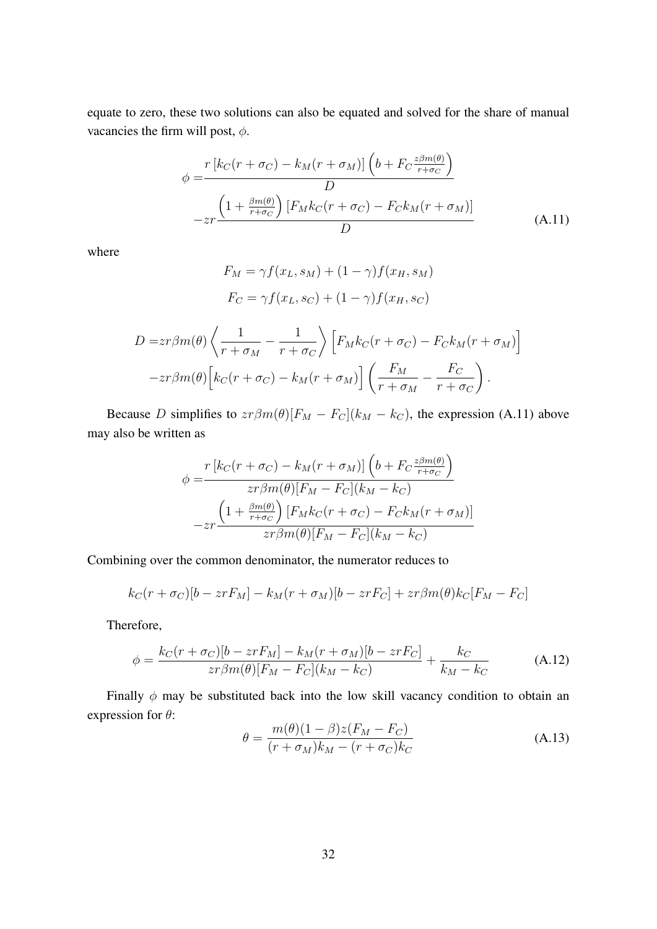equate to zero, these two solutions can also be equated and solved for the share of manual vacancies the firm will post,  $\phi$ .

<span id="page-32-0"></span>
$$
\phi = \frac{r \left[ k_C(r + \sigma_C) - k_M(r + \sigma_M) \right] \left( b + F_C \frac{z \beta m(\theta)}{r + \sigma_C} \right)}{D}
$$
  
- zr 
$$
\frac{\left( 1 + \frac{\beta m(\theta)}{r + \sigma_C} \right) \left[ F_M k_C(r + \sigma_C) - F_C k_M(r + \sigma_M) \right]}{D}
$$
(A.11)

where

$$
F_M = \gamma f(x_L, s_M) + (1 - \gamma) f(x_H, s_M)
$$

$$
F_C = \gamma f(x_L, s_C) + (1 - \gamma) f(x_H, s_C)
$$

$$
D = zr\beta m(\theta) \left\langle \frac{1}{r + \sigma_M} - \frac{1}{r + \sigma_C} \right\rangle \left[ F_M k_C(r + \sigma_C) - F_C k_M(r + \sigma_M) \right]
$$

$$
-zr\beta m(\theta) \left[ k_C(r + \sigma_C) - k_M(r + \sigma_M) \right] \left( \frac{F_M}{r + \sigma_M} - \frac{F_C}{r + \sigma_C} \right).
$$

Because D simplifies to  $zr\beta m(\theta)[F_M - F_C](k_M - k_C)$ , the expression [\(A.11\)](#page-32-0) above may also be written as

$$
\phi = \frac{r \left[ k_C(r + \sigma_C) - k_M(r + \sigma_M) \right] \left( b + F_C \frac{z \beta m(\theta)}{r + \sigma_C} \right)}{z r \beta m(\theta) \left[ F_M - F_C \right] \left( k_M - k_C \right)}
$$

$$
- z r \frac{\left( 1 + \frac{\beta m(\theta)}{r + \sigma_C} \right) \left[ F_M k_C(r + \sigma_C) - F_C k_M(r + \sigma_M) \right]}{z r \beta m(\theta) \left[ F_M - F_C \right] \left( k_M - k_C \right)}
$$

Combining over the common denominator, the numerator reduces to

$$
k_C(r + \sigma_C)[b - zrF_M] - k_M(r + \sigma_M)[b - zrF_C] + zr\beta m(\theta)k_C[F_M - F_C]
$$

Therefore,

$$
\phi = \frac{k_C(r + \sigma_C)[b - zrF_M] - k_M(r + \sigma_M)[b - zrF_C]}{zr\beta m(\theta)[F_M - F_C](k_M - k_C)} + \frac{k_C}{k_M - k_C}
$$
(A.12)

Finally  $\phi$  may be substituted back into the low skill vacancy condition to obtain an expression for  $\theta$ :

$$
\theta = \frac{m(\theta)(1-\beta)z(F_M - F_C)}{(r+\sigma_M)k_M - (r+\sigma_C)k_C}
$$
\n(A.13)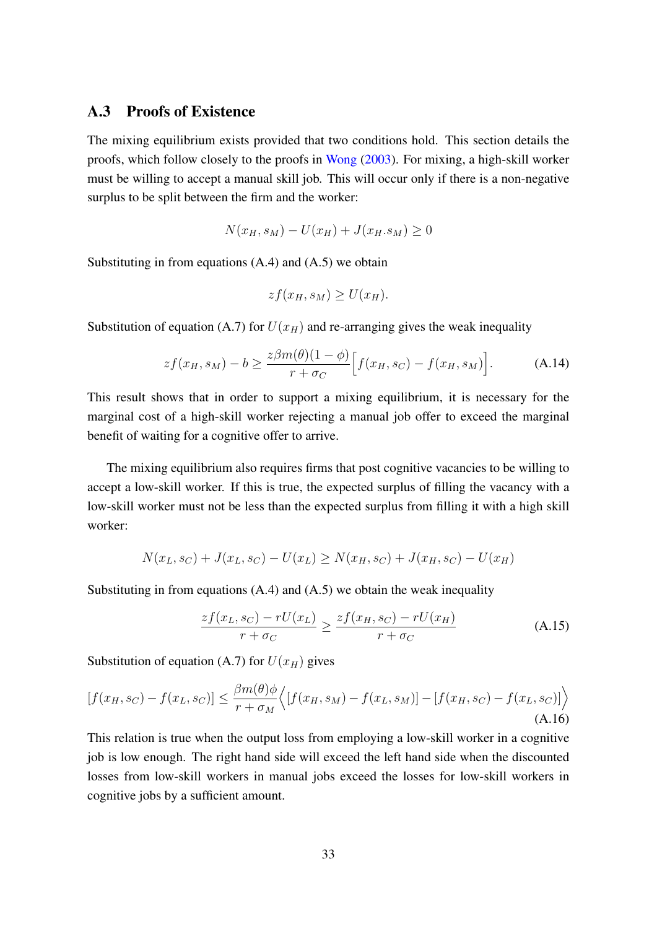### <span id="page-33-0"></span>A.3 Proofs of Existence

The mixing equilibrium exists provided that two conditions hold. This section details the proofs, which follow closely to the proofs in [Wong](#page-30-2) [\(2003\)](#page-30-2). For mixing, a high-skill worker must be willing to accept a manual skill job. This will occur only if there is a non-negative surplus to be split between the firm and the worker:

$$
N(x_H, s_M) - U(x_H) + J(x_H, s_M) \ge 0
$$

Substituting in from equations  $(A.4)$  and  $(A.5)$  we obtain

$$
zf(x_H, s_M) \ge U(x_H).
$$

Substitution of equation [\(A.7\)](#page-31-1) for  $U(x_H)$  and re-arranging gives the weak inequality

$$
zf(x_H, s_M) - b \ge \frac{z\beta m(\theta)(1-\phi)}{r+\sigma_C} \Big[ f(x_H, s_C) - f(x_H, s_M) \Big].
$$
 (A.14)

This result shows that in order to support a mixing equilibrium, it is necessary for the marginal cost of a high-skill worker rejecting a manual job offer to exceed the marginal benefit of waiting for a cognitive offer to arrive.

The mixing equilibrium also requires firms that post cognitive vacancies to be willing to accept a low-skill worker. If this is true, the expected surplus of filling the vacancy with a low-skill worker must not be less than the expected surplus from filling it with a high skill worker:

$$
N(x_L, s_C) + J(x_L, s_C) - U(x_L) \ge N(x_H, s_C) + J(x_H, s_C) - U(x_H)
$$

Substituting in from equations  $(A.4)$  and  $(A.5)$  we obtain the weak inequality

$$
\frac{zf(x_L, s_C) - rU(x_L)}{r + \sigma_C} \ge \frac{zf(x_H, s_C) - rU(x_H)}{r + \sigma_C}
$$
\n(A.15)

Substitution of equation [\(A.7\)](#page-31-1) for  $U(x_H)$  gives

$$
[f(x_H, s_C) - f(x_L, s_C)] \leq \frac{\beta m(\theta)\phi}{r + \sigma_M} \Big\langle [f(x_H, s_M) - f(x_L, s_M)] - [f(x_H, s_C) - f(x_L, s_C)] \Big\rangle \tag{A.16}
$$

This relation is true when the output loss from employing a low-skill worker in a cognitive job is low enough. The right hand side will exceed the left hand side when the discounted losses from low-skill workers in manual jobs exceed the losses for low-skill workers in cognitive jobs by a sufficient amount.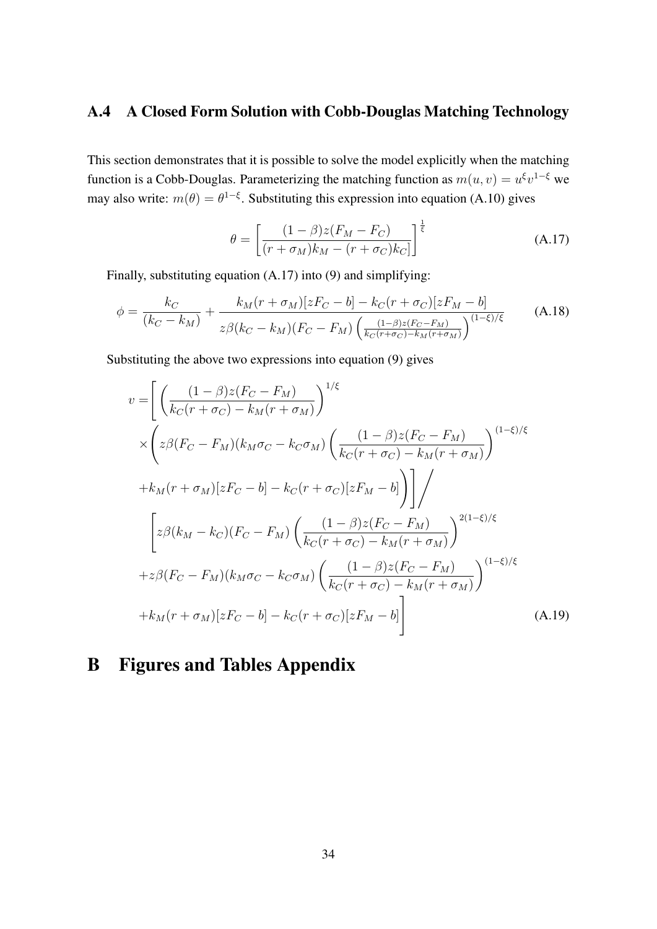## <span id="page-34-0"></span>A.4 A Closed Form Solution with Cobb-Douglas Matching Technology

This section demonstrates that it is possible to solve the model explicitly when the matching function is a Cobb-Douglas. Parameterizing the matching function as  $m(u, v) = u^{\xi}v^{1-\xi}$  we may also write:  $m(\theta) = \theta^{1-\xi}$ . Substituting this expression into equation [\(A.10\)](#page-31-3) gives

<span id="page-34-1"></span>
$$
\theta = \left[ \frac{(1-\beta)z(F_M - F_C)}{(r+\sigma_M)k_M - (r+\sigma_C)k_C} \right]^{\frac{1}{\xi}}
$$
(A.17)

Finally, substituting equation [\(A.17\)](#page-34-1) into [\(9\)](#page-11-2) and simplifying:

$$
\phi = \frac{k_C}{(k_C - k_M)} + \frac{k_M(r + \sigma_M)[zF_C - b] - k_C(r + \sigma_C)[zF_M - b]}{z\beta(k_C - k_M)(F_C - F_M)\left(\frac{(1-\beta)z(F_C - F_M)}{k_C(r + \sigma_C) - k_M(r + \sigma_M)}\right)^{(1-\xi)/\xi}}
$$
(A.18)

Substituting the above two expressions into equation [\(9\)](#page-11-2) gives

$$
v = \left[ \left( \frac{(1-\beta)z(F_C - F_M)}{k_C(r + \sigma_C) - k_M(r + \sigma_M)} \right)^{1/\xi} \times \left( z\beta(F_C - F_M)(k_M\sigma_C - k_C\sigma_M) \left( \frac{(1-\beta)z(F_C - F_M)}{k_C(r + \sigma_C) - k_M(r + \sigma_M)} \right)^{(1-\xi)/\xi} \right. \\ + k_M(r + \sigma_M)[zF_C - b] - k_C(r + \sigma_C)[zF_M - b] \right) \Bigg] / \left. \left[ z\beta(k_M - k_C)(F_C - F_M) \left( \frac{(1-\beta)z(F_C - F_M)}{k_C(r + \sigma_C) - k_M(r + \sigma_M)} \right)^{2(1-\xi)/\xi} \right. \\ + z\beta(F_C - F_M)(k_M\sigma_C - k_C\sigma_M) \left( \frac{(1-\beta)z(F_C - F_M)}{k_C(r + \sigma_C) - k_M(r + \sigma_M)} \right)^{(1-\xi)/\xi} \right. \\ + k_M(r + \sigma_M)[zF_C - b] - k_C(r + \sigma_C)[zF_M - b] \Bigg] \tag{A.19}
$$

## B Figures and Tables Appendix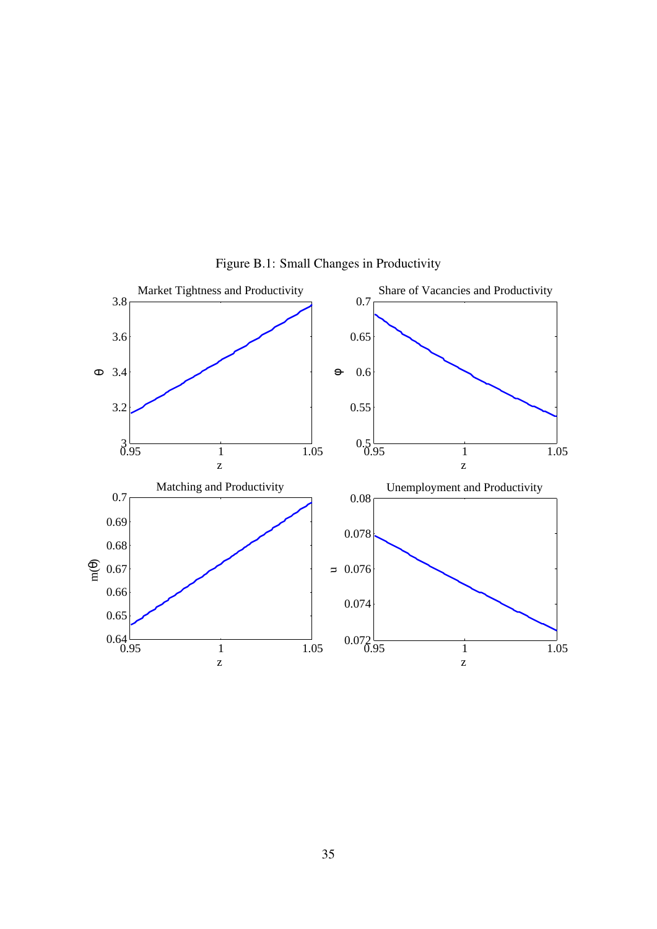<span id="page-35-0"></span>

Figure B.1: Small Changes in Productivity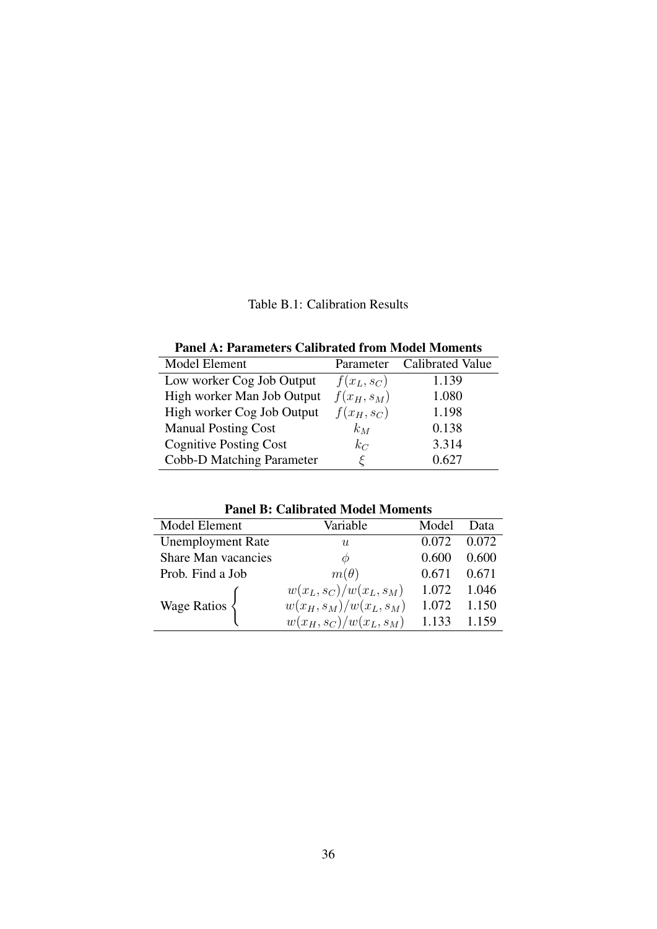Table B.1: Calibration Results

|  | <b>Panel A: Parameters Calibrated from Model Moments</b> |
|--|----------------------------------------------------------|
|--|----------------------------------------------------------|

<span id="page-36-0"></span>

| Model Element                 | Parameter     | <b>Calibrated Value</b> |
|-------------------------------|---------------|-------------------------|
| Low worker Cog Job Output     | $f(x_L, s_C)$ | 1.139                   |
| High worker Man Job Output    | $f(x_H, s_M)$ | 1.080                   |
| High worker Cog Job Output    | $f(x_H, s_C)$ | 1.198                   |
| <b>Manual Posting Cost</b>    | $k_M$         | 0.138                   |
| <b>Cognitive Posting Cost</b> | $k_C$         | 3.314                   |
| Cobb-D Matching Parameter     |               | 0.627                   |

Panel B: Calibrated Model Moments

| т анст р. Сандгавса мюаст моніснь |                           |       |       |  |  |  |
|-----------------------------------|---------------------------|-------|-------|--|--|--|
| Model Element                     | Variable                  | Model | Data  |  |  |  |
| <b>Unemployment Rate</b>          | $\boldsymbol{u}$          | 0.072 | 0.072 |  |  |  |
| <b>Share Man vacancies</b>        | Ø                         | 0.600 | 0.600 |  |  |  |
| Prob. Find a Job                  | $m(\theta)$               | 0.671 | 0.671 |  |  |  |
|                                   | $w(x_L, s_C)/w(x_L, s_M)$ | 1.072 | 1.046 |  |  |  |
| Wage Ratios                       | $w(x_H, s_M)/w(x_L, s_M)$ | 1.072 | 1.150 |  |  |  |
|                                   | $w(x_H, s_C)/w(x_L, s_M)$ | 1.133 | 1.159 |  |  |  |
|                                   |                           |       |       |  |  |  |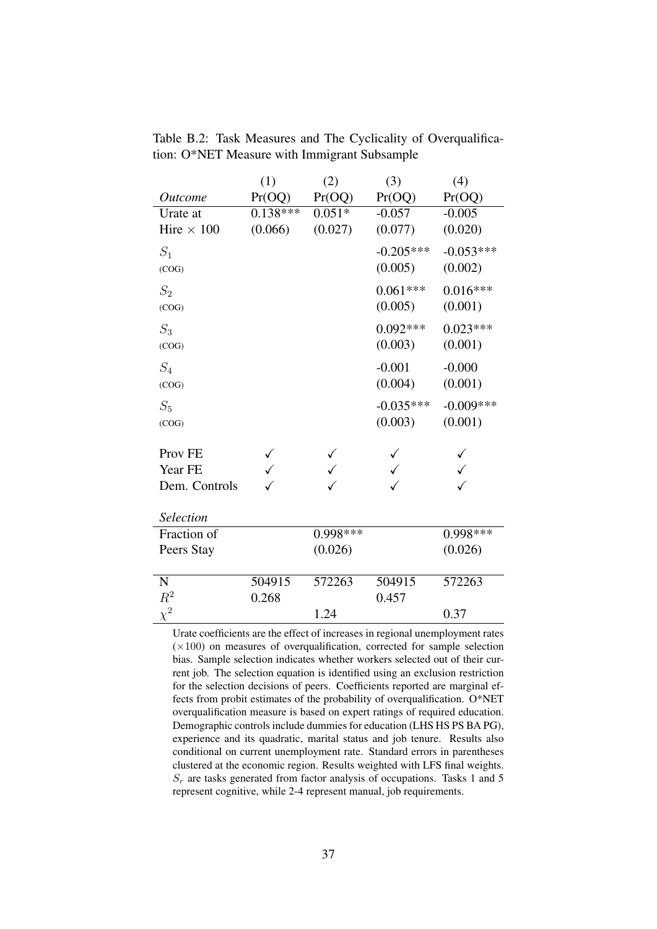|                    | (1)          | (2)        | (3)         | (4)         |
|--------------------|--------------|------------|-------------|-------------|
| <i>Outcome</i>     | Pr(OQ)       | Pr(OQ)     | Pr(OQ)      | Pr(OQ)      |
| Urate at           | $0.138***$   | $0.051*$   | $-0.057$    | $-0.005$    |
| Hire $\times$ 100  | (0.066)      | (0.027)    | (0.077)     | (0.020)     |
| $S_1$              |              |            | $-0.205***$ | $-0.053***$ |
| (COG)              |              |            | (0.005)     | (0.002)     |
| $S_2$              |              |            | $0.061***$  | $0.016***$  |
| (COG)              |              |            | (0.005)     | (0.001)     |
| $S_3$              |              |            | $0.092***$  | $0.023***$  |
| (COG)              |              |            | (0.003)     | (0.001)     |
| $\mathcal{S}_4$    |              |            | $-0.001$    | $-0.000$    |
| (COG)              |              |            | (0.004)     | (0.001)     |
| $S_5$              |              |            | $-0.035***$ | $-0.009***$ |
| (COG)              |              |            | (0.003)     | (0.001)     |
| Prov <sub>FE</sub> |              |            |             |             |
| Year FE            | $\checkmark$ |            |             |             |
|                    |              |            |             |             |
| Dem. Controls      |              |            |             |             |
| <b>Selection</b>   |              |            |             |             |
| Fraction of        |              | $0.998***$ |             | 0.998 ***   |
| Peers Stay         |              | (0.026)    |             | (0.026)     |
|                    |              |            |             |             |
| ${\bf N}$          | 504915       | 572263     | 504915      | 572263      |
| $R^2$              | 0.268        |            | 0.457       |             |
| $\chi^2$           |              | 1.24       |             | 0.37        |

<span id="page-37-0"></span>Table B.2: Task Measures and The Cyclicality of Overqualification: O\*NET Measure with Immigrant Subsample

Urate coefficients are the effect of increases in regional unemployment rates  $(\times 100)$  on measures of overqualification, corrected for sample selection bias. Sample selection indicates whether workers selected out of their current job. The selection equation is identified using an exclusion restriction for the selection decisions of peers. Coefficients reported are marginal effects from probit estimates of the probability of overqualification. O\*NET overqualification measure is based on expert ratings of required education. Demographic controls include dummies for education (LHS HS PS BA PG), experience and its quadratic, marital status and job tenure. Results also conditional on current unemployment rate. Standard errors in parentheses clustered at the economic region. Results weighted with LFS final weights.  $S_r$  are tasks generated from factor analysis of occupations. Tasks 1 and 5 represent cognitive, while 2-4 represent manual, job requirements.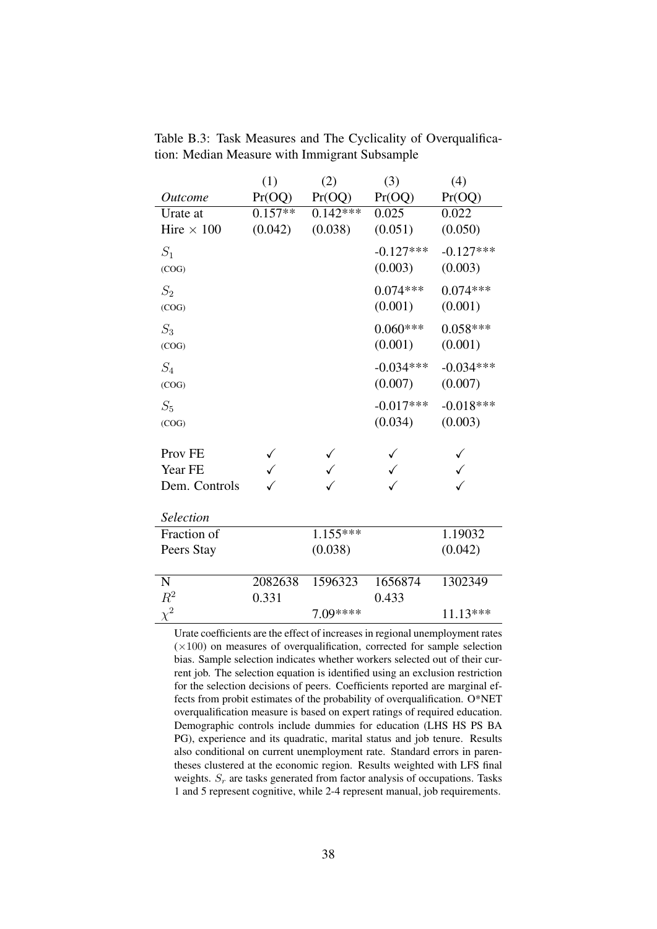|                    | (1)       | (2)        | (3)         | (4)         |
|--------------------|-----------|------------|-------------|-------------|
| <i>Outcome</i>     | Pr(OQ)    | Pr(OQ)     | Pr(OQ)      | Pr(OQ)      |
| Urate at           | $0.157**$ | $0.142***$ | 0.025       | 0.022       |
| Hire $\times$ 100  | (0.042)   | (0.038)    | (0.051)     | (0.050)     |
| $S_1$              |           |            | $-0.127***$ | $-0.127***$ |
| (COG)              |           |            | (0.003)     | (0.003)     |
| $S_2$              |           |            | $0.074***$  | $0.074***$  |
| (COG)              |           |            | (0.001)     | (0.001)     |
| $S_3$              |           |            | $0.060***$  | $0.058***$  |
| (COG)              |           |            | (0.001)     | (0.001)     |
| $S_4$              |           |            | $-0.034***$ | $-0.034***$ |
| (COG)              |           |            | (0.007)     | (0.007)     |
| $S_5$              |           |            | $-0.017***$ | $-0.018***$ |
| (COG)              |           |            | (0.034)     | (0.003)     |
| Prov <sub>FE</sub> |           |            |             |             |
| Year FE            |           |            |             |             |
|                    |           |            |             |             |
| Dem. Controls      |           |            |             |             |
| Selection          |           |            |             |             |
| Fraction of        |           | $1.155***$ |             | 1.19032     |
| Peers Stay         |           | (0.038)    |             | (0.042)     |
|                    |           |            |             |             |
| $\mathbf N$        | 2082638   | 1596323    | 1656874     | 1302349     |
| $\mathbb{R}^2$     | 0.331     |            | 0.433       |             |
| $\chi^2$           |           | 7.09****   |             | 11.13***    |

<span id="page-38-0"></span>Table B.3: Task Measures and The Cyclicality of Overqualification: Median Measure with Immigrant Subsample

Urate coefficients are the effect of increases in regional unemployment rates  $(\times 100)$  on measures of overqualification, corrected for sample selection bias. Sample selection indicates whether workers selected out of their current job. The selection equation is identified using an exclusion restriction for the selection decisions of peers. Coefficients reported are marginal effects from probit estimates of the probability of overqualification. O\*NET overqualification measure is based on expert ratings of required education. Demographic controls include dummies for education (LHS HS PS BA PG), experience and its quadratic, marital status and job tenure. Results also conditional on current unemployment rate. Standard errors in parentheses clustered at the economic region. Results weighted with LFS final weights.  $S_r$  are tasks generated from factor analysis of occupations. Tasks 1 and 5 represent cognitive, while 2-4 represent manual, job requirements.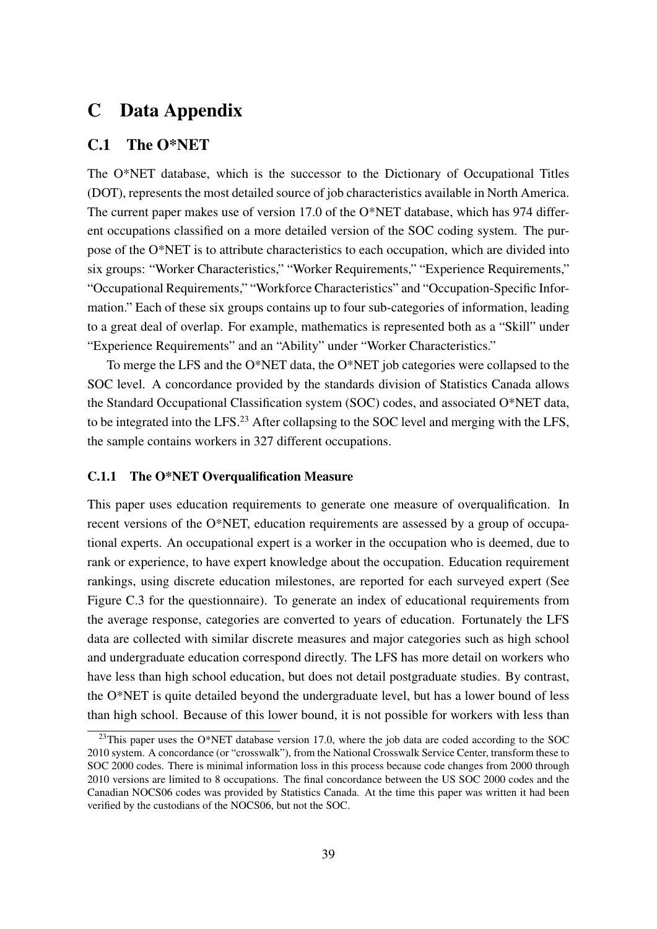## C Data Appendix

### C.1 The O\*NET

The O\*NET database, which is the successor to the Dictionary of Occupational Titles (DOT), represents the most detailed source of job characteristics available in North America. The current paper makes use of version 17.0 of the O\*NET database, which has 974 different occupations classified on a more detailed version of the SOC coding system. The purpose of the O\*NET is to attribute characteristics to each occupation, which are divided into six groups: "Worker Characteristics," "Worker Requirements," "Experience Requirements," "Occupational Requirements," "Workforce Characteristics" and "Occupation-Specific Information." Each of these six groups contains up to four sub-categories of information, leading to a great deal of overlap. For example, mathematics is represented both as a "Skill" under "Experience Requirements" and an "Ability" under "Worker Characteristics."

To merge the LFS and the O\*NET data, the O\*NET job categories were collapsed to the SOC level. A concordance provided by the standards division of Statistics Canada allows the Standard Occupational Classification system (SOC) codes, and associated O\*NET data, to be integrated into the LFS.[23](#page-39-0) After collapsing to the SOC level and merging with the LFS, the sample contains workers in 327 different occupations.

#### C.1.1 The O\*NET Overqualification Measure

This paper uses education requirements to generate one measure of overqualification. In recent versions of the O\*NET, education requirements are assessed by a group of occupational experts. An occupational expert is a worker in the occupation who is deemed, due to rank or experience, to have expert knowledge about the occupation. Education requirement rankings, using discrete education milestones, are reported for each surveyed expert (See Figure [C.3](#page-45-0) for the questionnaire). To generate an index of educational requirements from the average response, categories are converted to years of education. Fortunately the LFS data are collected with similar discrete measures and major categories such as high school and undergraduate education correspond directly. The LFS has more detail on workers who have less than high school education, but does not detail postgraduate studies. By contrast, the O\*NET is quite detailed beyond the undergraduate level, but has a lower bound of less than high school. Because of this lower bound, it is not possible for workers with less than

<span id="page-39-0"></span> $^{23}$ This paper uses the O\*NET database version 17.0, where the job data are coded according to the SOC 2010 system. A concordance (or "crosswalk"), from the National Crosswalk Service Center, transform these to SOC 2000 codes. There is minimal information loss in this process because code changes from 2000 through 2010 versions are limited to 8 occupations. The final concordance between the US SOC 2000 codes and the Canadian NOCS06 codes was provided by Statistics Canada. At the time this paper was written it had been verified by the custodians of the NOCS06, but not the SOC.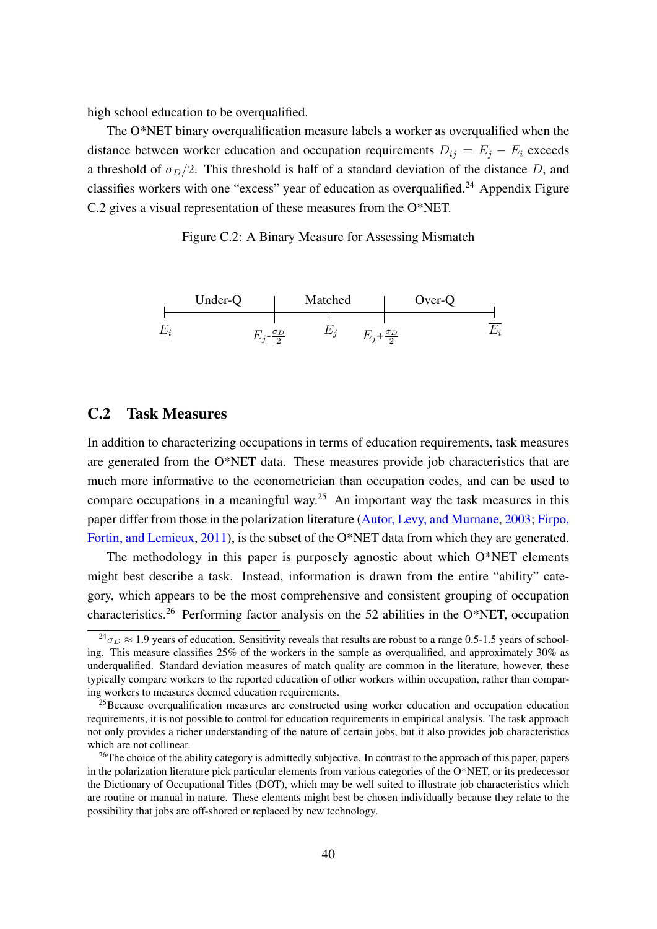high school education to be overqualified.

The O\*NET binary overqualification measure labels a worker as overqualified when the distance between worker education and occupation requirements  $D_{ij} = E_j - E_i$  exceeds a threshold of  $\sigma_D/2$ . This threshold is half of a standard deviation of the distance D, and classifies workers with one "excess" year of education as overgualified.<sup>[24](#page-40-0)</sup> Appendix Figure [C.2](#page-40-1) gives a visual representation of these measures from the O\*NET.

Figure C.2: A Binary Measure for Assessing Mismatch

<span id="page-40-1"></span>

### C.2 Task Measures

In addition to characterizing occupations in terms of education requirements, task measures are generated from the O\*NET data. These measures provide job characteristics that are much more informative to the econometrician than occupation codes, and can be used to compare occupations in a meaningful way.<sup>[25](#page-40-2)</sup> An important way the task measures in this paper differ from those in the polarization literature [\(Autor, Levy, and Murnane,](#page-26-5) [2003;](#page-26-5) [Firpo,](#page-28-13) [Fortin, and Lemieux,](#page-28-13) [2011\)](#page-28-13), is the subset of the O\*NET data from which they are generated.

The methodology in this paper is purposely agnostic about which O\*NET elements might best describe a task. Instead, information is drawn from the entire "ability" category, which appears to be the most comprehensive and consistent grouping of occupation characteristics.[26](#page-40-3) Performing factor analysis on the 52 abilities in the O\*NET, occupation

<span id="page-40-0"></span> $\frac{24}{30}$   $\approx$  1.9 years of education. Sensitivity reveals that results are robust to a range 0.5-1.5 years of schooling. This measure classifies 25% of the workers in the sample as overqualified, and approximately 30% as underqualified. Standard deviation measures of match quality are common in the literature, however, these typically compare workers to the reported education of other workers within occupation, rather than comparing workers to measures deemed education requirements.

<span id="page-40-2"></span> $25$ Because overqualification measures are constructed using worker education and occupation education requirements, it is not possible to control for education requirements in empirical analysis. The task approach not only provides a richer understanding of the nature of certain jobs, but it also provides job characteristics which are not collinear.

<span id="page-40-3"></span><sup>&</sup>lt;sup>26</sup>The choice of the ability category is admittedly subjective. In contrast to the approach of this paper, papers in the polarization literature pick particular elements from various categories of the O\*NET, or its predecessor the Dictionary of Occupational Titles (DOT), which may be well suited to illustrate job characteristics which are routine or manual in nature. These elements might best be chosen individually because they relate to the possibility that jobs are off-shored or replaced by new technology.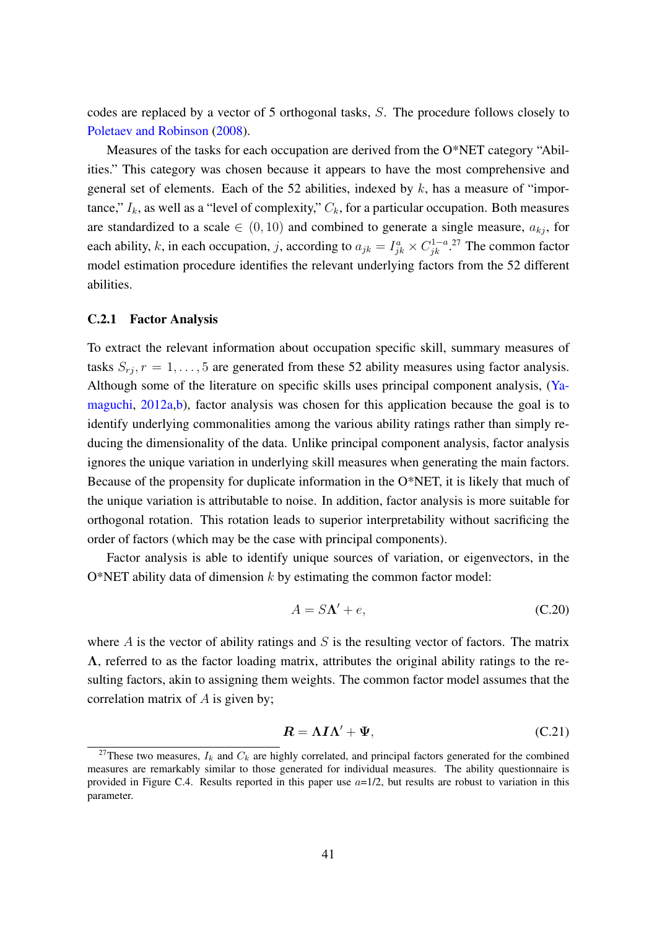codes are replaced by a vector of 5 orthogonal tasks, S. The procedure follows closely to [Poletaev and Robinson](#page-29-3) [\(2008\)](#page-29-3).

Measures of the tasks for each occupation are derived from the O\*NET category "Abilities." This category was chosen because it appears to have the most comprehensive and general set of elements. Each of the 52 abilities, indexed by  $k$ , has a measure of "importance,"  $I_k$ , as well as a "level of complexity,"  $C_k$ , for a particular occupation. Both measures are standardized to a scale  $\in (0, 10)$  and combined to generate a single measure,  $a_{kj}$ , for each ability, k, in each occupation, j, according to  $a_{jk} = I_{jk}^a \times C_{jk}^{1-a}$ .<sup>[27](#page-41-0)</sup> The common factor model estimation procedure identifies the relevant underlying factors from the 52 different abilities.

#### C.2.1 Factor Analysis

To extract the relevant information about occupation specific skill, summary measures of tasks  $S_{ri}$ ,  $r = 1, \ldots, 5$  are generated from these 52 ability measures using factor analysis. Although some of the literature on specific skills uses principal component analysis, [\(Ya](#page-30-8)[maguchi,](#page-30-8)  $2012a$ , [b\)](#page-30-9), factor analysis was chosen for this application because the goal is to identify underlying commonalities among the various ability ratings rather than simply reducing the dimensionality of the data. Unlike principal component analysis, factor analysis ignores the unique variation in underlying skill measures when generating the main factors. Because of the propensity for duplicate information in the O\*NET, it is likely that much of the unique variation is attributable to noise. In addition, factor analysis is more suitable for orthogonal rotation. This rotation leads to superior interpretability without sacrificing the order of factors (which may be the case with principal components).

Factor analysis is able to identify unique sources of variation, or eigenvectors, in the O\*NET ability data of dimension  $k$  by estimating the common factor model:

$$
A = S\Lambda' + e,\tag{C.20}
$$

where  $\vec{A}$  is the vector of ability ratings and  $\vec{S}$  is the resulting vector of factors. The matrix Λ, referred to as the factor loading matrix, attributes the original ability ratings to the resulting factors, akin to assigning them weights. The common factor model assumes that the correlation matrix of  $A$  is given by;

$$
R = \Lambda I \Lambda' + \Psi, \tag{C.21}
$$

<span id="page-41-0"></span><sup>&</sup>lt;sup>27</sup>These two measures,  $I_k$  and  $C_k$  are highly correlated, and principal factors generated for the combined measures are remarkably similar to those generated for individual measures. The ability questionnaire is provided in Figure [C.4.](#page-46-0) Results reported in this paper use  $a=1/2$ , but results are robust to variation in this parameter.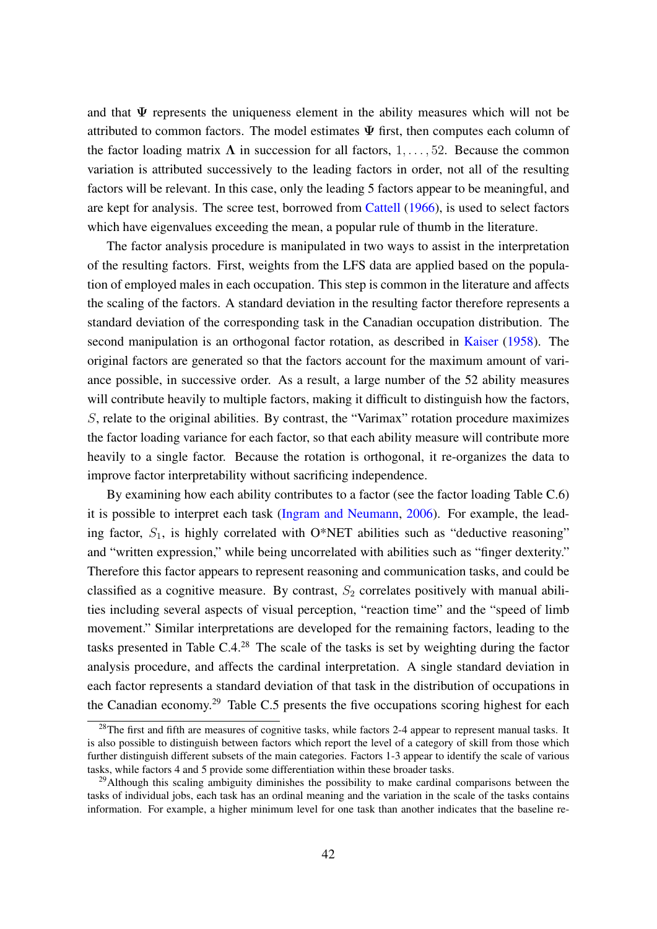and that  $\Psi$  represents the uniqueness element in the ability measures which will not be attributed to common factors. The model estimates  $\Psi$  first, then computes each column of the factor loading matrix  $\Lambda$  in succession for all factors, 1, ..., 52. Because the common variation is attributed successively to the leading factors in order, not all of the resulting factors will be relevant. In this case, only the leading 5 factors appear to be meaningful, and are kept for analysis. The scree test, borrowed from [Cattell](#page-27-16) [\(1966\)](#page-27-16), is used to select factors which have eigenvalues exceeding the mean, a popular rule of thumb in the literature.

The factor analysis procedure is manipulated in two ways to assist in the interpretation of the resulting factors. First, weights from the LFS data are applied based on the population of employed males in each occupation. This step is common in the literature and affects the scaling of the factors. A standard deviation in the resulting factor therefore represents a standard deviation of the corresponding task in the Canadian occupation distribution. The second manipulation is an orthogonal factor rotation, as described in [Kaiser](#page-28-14) [\(1958\)](#page-28-14). The original factors are generated so that the factors account for the maximum amount of variance possible, in successive order. As a result, a large number of the 52 ability measures will contribute heavily to multiple factors, making it difficult to distinguish how the factors, S, relate to the original abilities. By contrast, the "Varimax" rotation procedure maximizes the factor loading variance for each factor, so that each ability measure will contribute more heavily to a single factor. Because the rotation is orthogonal, it re-organizes the data to improve factor interpretability without sacrificing independence.

By examining how each ability contributes to a factor (see the factor loading Table [C.6\)](#page-44-0) it is possible to interpret each task [\(Ingram and Neumann,](#page-28-15) [2006\)](#page-28-15). For example, the leading factor,  $S_1$ , is highly correlated with O\*NET abilities such as "deductive reasoning" and "written expression," while being uncorrelated with abilities such as "finger dexterity." Therefore this factor appears to represent reasoning and communication tasks, and could be classified as a cognitive measure. By contrast,  $S_2$  correlates positively with manual abilities including several aspects of visual perception, "reaction time" and the "speed of limb movement." Similar interpretations are developed for the remaining factors, leading to the tasks presented in Table [C.4.](#page-43-0) [28](#page-42-0) The scale of the tasks is set by weighting during the factor analysis procedure, and affects the cardinal interpretation. A single standard deviation in each factor represents a standard deviation of that task in the distribution of occupations in the Canadian economy.<sup>[29](#page-42-1)</sup> Table [C.5](#page-43-1) presents the five occupations scoring highest for each

<span id="page-42-0"></span><sup>&</sup>lt;sup>28</sup>The first and fifth are measures of cognitive tasks, while factors 2-4 appear to represent manual tasks. It is also possible to distinguish between factors which report the level of a category of skill from those which further distinguish different subsets of the main categories. Factors 1-3 appear to identify the scale of various tasks, while factors 4 and 5 provide some differentiation within these broader tasks.

<span id="page-42-1"></span> $^{29}$ Although this scaling ambiguity diminishes the possibility to make cardinal comparisons between the tasks of individual jobs, each task has an ordinal meaning and the variation in the scale of the tasks contains information. For example, a higher minimum level for one task than another indicates that the baseline re-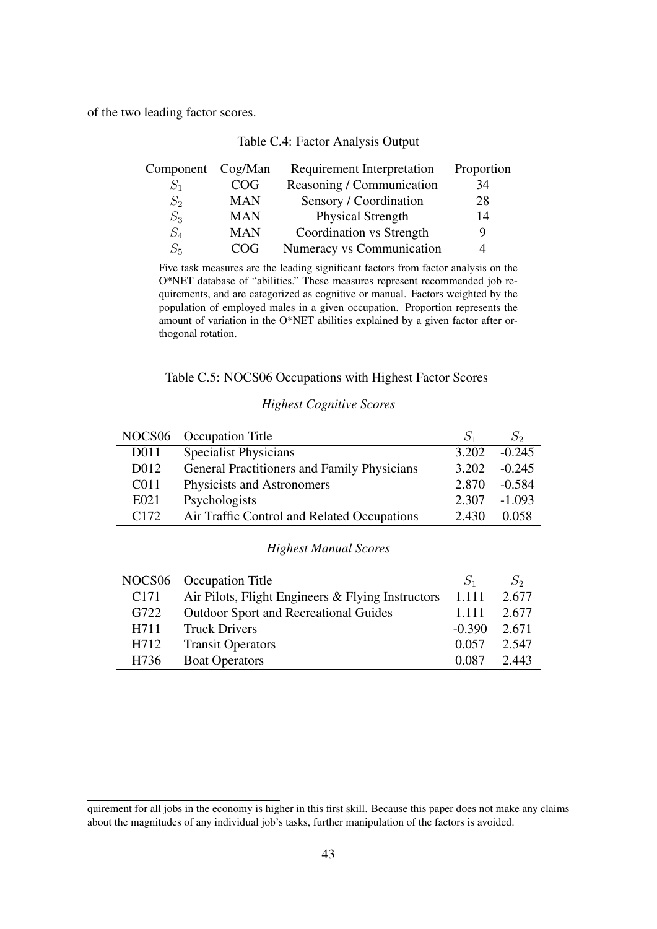<span id="page-43-0"></span>of the two leading factor scores.

| Component Cog/Man |            | Requirement Interpretation | Proportion |
|-------------------|------------|----------------------------|------------|
|                   | COG        | Reasoning / Communication  | 34         |
| $S_2$             | <b>MAN</b> | Sensory / Coordination     | 28         |
| $S_3$             | <b>MAN</b> | <b>Physical Strength</b>   | 14         |
| $S_4$             | <b>MAN</b> | Coordination vs Strength   |            |
| $S_{5}$           | COG        | Numeracy vs Communication  |            |

|  |  |  | Table C.4: Factor Analysis Output |  |
|--|--|--|-----------------------------------|--|
|--|--|--|-----------------------------------|--|

Five task measures are the leading significant factors from factor analysis on the O\*NET database of "abilities." These measures represent recommended job requirements, and are categorized as cognitive or manual. Factors weighted by the population of employed males in a given occupation. Proportion represents the amount of variation in the O\*NET abilities explained by a given factor after orthogonal rotation.

#### Table C.5: NOCS06 Occupations with Highest Factor Scores

#### *Highest Cognitive Scores*

<span id="page-43-1"></span>

|                   | NOCS06 Occupation Title                     |       | $S_2$    |
|-------------------|---------------------------------------------|-------|----------|
| D011              | <b>Specialist Physicians</b>                | 3.202 | $-0.245$ |
| D <sub>0</sub> 12 | General Practitioners and Family Physicians | 3.202 | $-0.245$ |
| C <sub>011</sub>  | Physicists and Astronomers                  | 2.870 | $-0.584$ |
| E021              | Psychologists                               | 2.307 | $-1.093$ |
| C172              | Air Traffic Control and Related Occupations | 2.430 | 0.058    |

#### *Highest Manual Scores*

|                  | NOCS06 Occupation Title                                   |          |       |
|------------------|-----------------------------------------------------------|----------|-------|
| C <sub>171</sub> | Air Pilots, Flight Engineers $&$ Flying Instructors 1.111 |          | 2.677 |
| G722             | <b>Outdoor Sport and Recreational Guides</b>              | 1.111    | 2.677 |
| H711             | <b>Truck Drivers</b>                                      | $-0.390$ | 2.671 |
| H712             | <b>Transit Operators</b>                                  | 0.057    | 2.547 |
| H736             | <b>Boat Operators</b>                                     | 0.087    | 2.443 |

quirement for all jobs in the economy is higher in this first skill. Because this paper does not make any claims about the magnitudes of any individual job's tasks, further manipulation of the factors is avoided.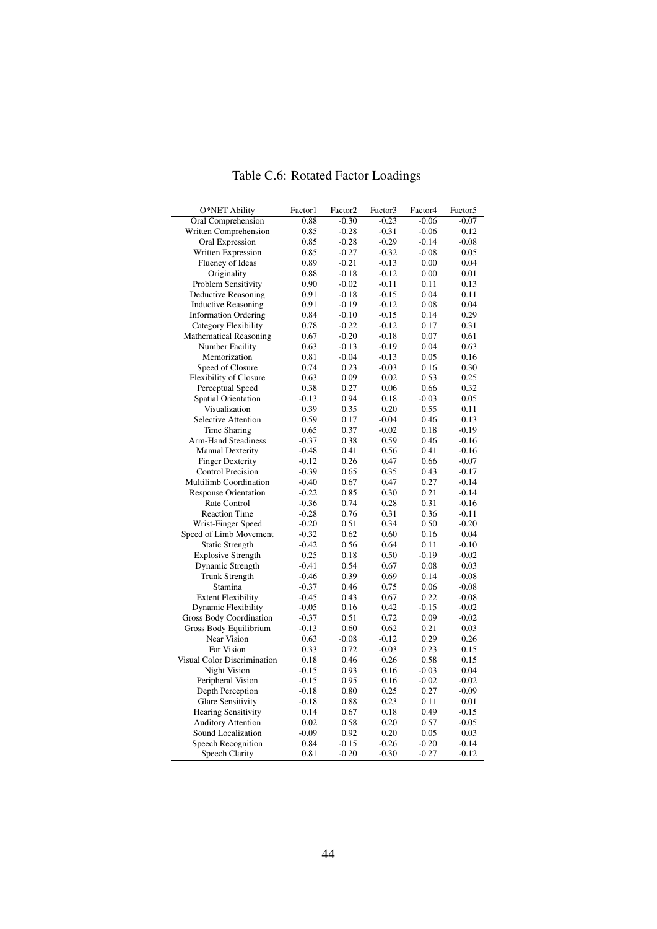<span id="page-44-0"></span>

| O*NET Ability                  | Factor1         | Factor <sub>2</sub> | Factor3      | Factor4            | Factor <sub>5</sub> |
|--------------------------------|-----------------|---------------------|--------------|--------------------|---------------------|
| Oral Comprehension             | 0.88            | $-0.30$             | $-0.23$      | $-0.06$            | $-0.07$             |
| Written Comprehension          | 0.85            | $-0.28$             | $-0.31$      | $-0.06$            | 0.12                |
| Oral Expression                | 0.85            | $-0.28$             | $-0.29$      | $-0.14$            | $-0.08$             |
| Written Expression             | 0.85            | $-0.27$             | $-0.32$      | $-0.08$            | 0.05                |
| Fluency of Ideas               | 0.89            | $-0.21$             | $-0.13$      | 0.00               | 0.04                |
| Originality                    | 0.88            | $-0.18$             | $-0.12$      | 0.00               | 0.01                |
| Problem Sensitivity            | 0.90            | $-0.02$             | $-0.11$      | 0.11               | 0.13                |
| <b>Deductive Reasoning</b>     | 0.91            | $-0.18$             | $-0.15$      | 0.04               | 0.11                |
| <b>Inductive Reasoning</b>     | 0.91            | $-0.19$             | $-0.12$      | 0.08               | 0.04                |
| <b>Information Ordering</b>    | 0.84            | $-0.10$             | $-0.15$      | 0.14               | 0.29                |
| <b>Category Flexibility</b>    | 0.78            | $-0.22$             | $-0.12$      | 0.17               | 0.31                |
| <b>Mathematical Reasoning</b>  | 0.67            | $-0.20$             | $-0.18$      | 0.07               | 0.61                |
| <b>Number Facility</b>         | 0.63            | $-0.13$             | $-0.19$      | 0.04               | 0.63                |
| Memorization                   | 0.81            | $-0.04$             | $-0.13$      | 0.05               | 0.16                |
| Speed of Closure               | 0.74            | 0.23                | $-0.03$      | 0.16               | 0.30                |
| <b>Flexibility of Closure</b>  | 0.63            | 0.09                | 0.02         | 0.53               | 0.25                |
| Perceptual Speed               | 0.38            | 0.27                | 0.06         | 0.66               | 0.32                |
| <b>Spatial Orientation</b>     | $-0.13$         | 0.94                | 0.18         | $-0.03$            | 0.05                |
| Visualization                  | 0.39            | 0.35                | 0.20         | 0.55               | 0.11                |
| <b>Selective Attention</b>     | 0.59            | 0.17                | $-0.04$      | 0.46               | 0.13                |
| Time Sharing                   | 0.65            | 0.37                | $-0.02$      | 0.18               | $-0.19$             |
| <b>Arm-Hand Steadiness</b>     | $-0.37$         | 0.38                | 0.59         | 0.46               | $-0.16$             |
| <b>Manual Dexterity</b>        | $-0.48$         | 0.41                | 0.56         | 0.41               | $-0.16$             |
| <b>Finger Dexterity</b>        | $-0.12$         | 0.26                | 0.47         | 0.66               | $-0.07$             |
| <b>Control Precision</b>       | $-0.39$         | 0.65                | 0.35         | 0.43               | $-0.17$             |
| Multilimb Coordination         | $-0.40$         | 0.67                | 0.47         | 0.27               | $-0.14$             |
| <b>Response Orientation</b>    | $-0.22$         | 0.85                | 0.30         | 0.21               | $-0.14$             |
| Rate Control                   | $-0.36$         | 0.74                | 0.28         | 0.31               | $-0.16$             |
| <b>Reaction Time</b>           | $-0.28$         | 0.76                | 0.31         | 0.36               | $-0.11$             |
| Wrist-Finger Speed             | $-0.20$         | 0.51                | 0.34         | 0.50               | $-0.20$             |
| Speed of Limb Movement         | $-0.32$         | 0.62                | 0.60         | 0.16               | 0.04                |
| <b>Static Strength</b>         | $-0.42$         | 0.56                | 0.64         | 0.11               | $-0.10$             |
| <b>Explosive Strength</b>      | 0.25            | 0.18                | 0.50         | $-0.19$            | $-0.02$             |
| Dynamic Strength               | $-0.41$         | 0.54                | 0.67         | 0.08               | 0.03                |
| Trunk Strength                 | $-0.46$         | 0.39                | 0.69         | 0.14               | $-0.08$             |
| Stamina                        | $-0.37$         | 0.46                | 0.75         | 0.06               | $-0.08$             |
| <b>Extent Flexibility</b>      | $-0.45$         | 0.43                | 0.67         | 0.22               | $-0.08$             |
| <b>Dynamic Flexibility</b>     | $-0.05$         | 0.16                | 0.42         | $-0.15$            | $-0.02$             |
| <b>Gross Body Coordination</b> | $-0.37$         | 0.51                | 0.72         | 0.09               | $-0.02$             |
| Gross Body Equilibrium         | $-0.13$         | 0.60                | 0.62         | 0.21               | 0.03                |
| Near Vision                    | 0.63            | $-0.08$             | $-0.12$      | 0.29               | 0.26                |
| Far Vision                     | 0.33            | 0.72                | $-0.03$      | 0.23               | 0.15                |
| Visual Color Discrimination    | 0.18            | 0.46                | 0.26         | 0.58               | 0.15                |
| Night Vision                   | $-0.15$         | 0.93                | 0.16         | $-0.03$            | 0.04                |
| Peripheral Vision              | $-0.15$         | 0.95                | 0.16         | $-0.02$            | $-0.02$             |
| Depth Perception               | $-0.18$         | 0.80                | 0.25         | 0.27               | $-0.09$             |
| Glare Sensitivity              | $-0.18$         | 0.88                | 0.23         | 0.11               | 0.01                |
| <b>Hearing Sensitivity</b>     |                 |                     |              |                    |                     |
| <b>Auditory Attention</b>      | 0.14            | 0.67                | 0.18<br>0.20 | 0.49<br>0.57       | $-0.15$             |
| Sound Localization             | 0.02<br>$-0.09$ | 0.58<br>0.92        | 0.20         | 0.05               | $-0.05$<br>0.03     |
|                                |                 |                     |              |                    |                     |
| Speech Recognition             | 0.84<br>0.81    | $-0.15$<br>$-0.20$  | $-0.26$      | $-0.20$<br>$-0.27$ | $-0.14$<br>$-0.12$  |
| Speech Clarity                 |                 |                     | $-0.30$      |                    |                     |

## Table C.6: Rotated Factor Loadings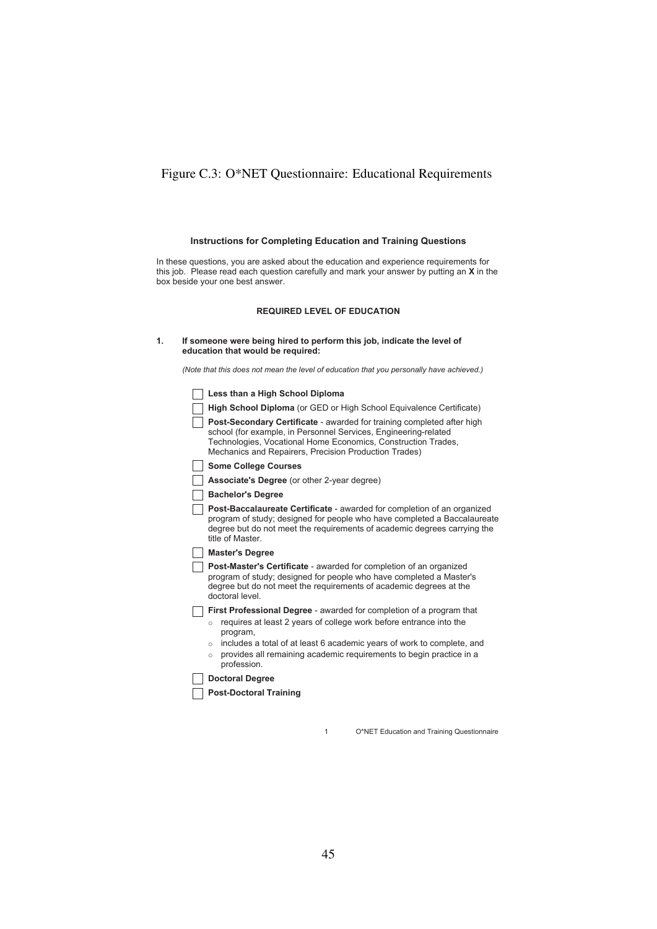### <span id="page-45-0"></span>Figure C.3: O\*NET Questionnaire: Educational Requirements

#### **Instructions for Completing Education and Training Questions**

In these questions, you are asked about the education and experience requirements for this job. Please read each question carefully and mark your answer by putting an **X** in the box beside your one best answer.

#### **REQUIRED LEVEL OF EDUCATION**

| If someone were being hired to perform this job, indicate the level of |
|------------------------------------------------------------------------|
| education that would be required:                                      |

*(Note that this does not mean the level of education that you personally have achieved.)*

| Less than a High School Diploma                                                                                                                                                                                                                                            |
|----------------------------------------------------------------------------------------------------------------------------------------------------------------------------------------------------------------------------------------------------------------------------|
| High School Diploma (or GED or High School Equivalence Certificate)                                                                                                                                                                                                        |
| <b>Post-Secondary Certificate</b> - awarded for training completed after high<br>school (for example, in Personnel Services, Engineering-related<br>Technologies, Vocational Home Economics, Construction Trades,<br>Mechanics and Repairers, Precision Production Trades) |
| <b>Some College Courses</b>                                                                                                                                                                                                                                                |
| <b>Associate's Degree</b> (or other 2-year degree)                                                                                                                                                                                                                         |
| <b>Bachelor's Degree</b>                                                                                                                                                                                                                                                   |
| <b>Post-Baccalaureate Certificate</b> - awarded for completion of an organized<br>program of study; designed for people who have completed a Baccalaureate<br>degree but do not meet the requirements of academic degrees carrying the<br>title of Master                  |
| <b>Master's Degree</b>                                                                                                                                                                                                                                                     |
| <b>Post-Master's Certificate</b> - awarded for completion of an organized<br>program of study; designed for people who have completed a Master's<br>degree but do not meet the requirements of academic degrees at the<br>doctoral level.                                  |
| First Professional Degree - awarded for completion of a program that                                                                                                                                                                                                       |
| requires at least 2 years of college work before entrance into the<br>$\circ$<br>program,                                                                                                                                                                                  |
| includes a total of at least 6 academic years of work to complete, and<br>$\circ$                                                                                                                                                                                          |
| provides all remaining academic requirements to begin practice in a<br>$\circ$<br>profession.                                                                                                                                                                              |
| <b>Doctoral Degree</b>                                                                                                                                                                                                                                                     |
| <b>Post-Doctoral Training</b>                                                                                                                                                                                                                                              |
|                                                                                                                                                                                                                                                                            |

1 O\*NET Education and Training Questionnaire